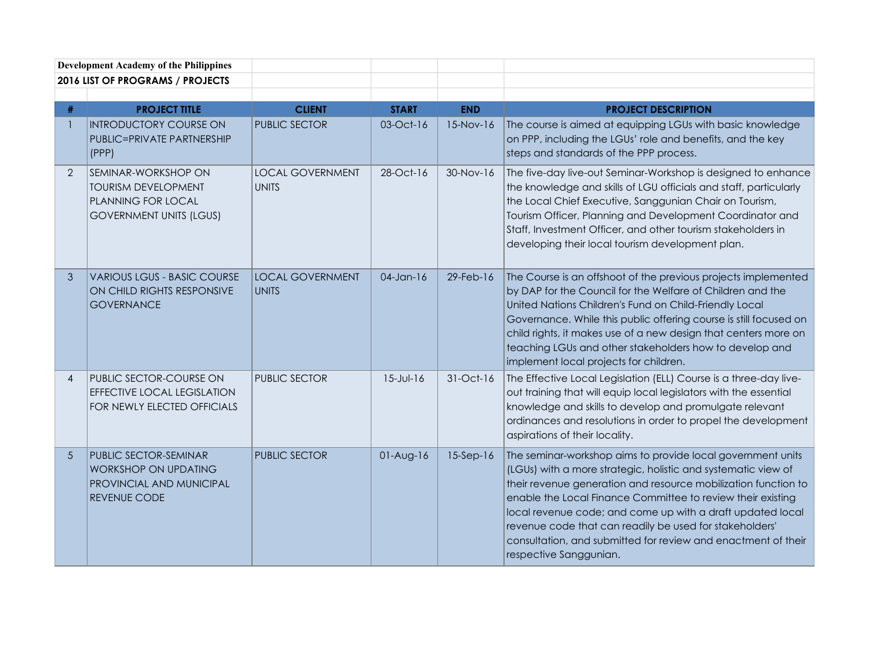| <b>Development Academy of the Philippines</b> |                                                                                                                  |                                         |                 |              |                                                                                                                                                                                                                                                                                                                                                                                                                                                                                   |
|-----------------------------------------------|------------------------------------------------------------------------------------------------------------------|-----------------------------------------|-----------------|--------------|-----------------------------------------------------------------------------------------------------------------------------------------------------------------------------------------------------------------------------------------------------------------------------------------------------------------------------------------------------------------------------------------------------------------------------------------------------------------------------------|
|                                               | 2016 LIST OF PROGRAMS / PROJECTS                                                                                 |                                         |                 |              |                                                                                                                                                                                                                                                                                                                                                                                                                                                                                   |
| #                                             | <b>PROJECT TITLE</b>                                                                                             | <b>CLIENT</b>                           | <b>START</b>    | <b>END</b>   | <b>PROJECT DESCRIPTION</b>                                                                                                                                                                                                                                                                                                                                                                                                                                                        |
|                                               | <b>INTRODUCTORY COURSE ON</b><br><b>PUBLIC=PRIVATE PARTNERSHIP</b><br>(PPP)                                      | <b>PUBLIC SECTOR</b>                    | $03-Oct-16$     | 15-Nov-16    | The course is aimed at equipping LGUs with basic knowledge<br>on PPP, including the LGUs' role and benefits, and the key<br>steps and standards of the PPP process.                                                                                                                                                                                                                                                                                                               |
| $\overline{2}$                                | SEMINAR-WORKSHOP ON<br><b>TOURISM DEVELOPMENT</b><br><b>PLANNING FOR LOCAL</b><br><b>GOVERNMENT UNITS (LGUS)</b> | <b>LOCAL GOVERNMENT</b><br><b>UNITS</b> | 28-Oct-16       | 30-Nov-16    | The five-day live-out Seminar-Workshop is designed to enhance<br>the knowledge and skills of LGU officials and staff, particularly<br>the Local Chief Executive, Sanggunian Chair on Tourism,<br>Tourism Officer, Planning and Development Coordinator and<br>Staff, Investment Officer, and other tourism stakeholders in<br>developing their local tourism development plan.                                                                                                    |
| 3                                             | <b>VARIOUS LGUS - BASIC COURSE</b><br>ON CHILD RIGHTS RESPONSIVE<br><b>GOVERNANCE</b>                            | <b>LOCAL GOVERNMENT</b><br><b>UNITS</b> | $04$ -Jan-16    | $29$ -Feb-16 | The Course is an offshoot of the previous projects implemented<br>by DAP for the Council for the Welfare of Children and the<br>United Nations Children's Fund on Child-Friendly Local<br>Governance. While this public offering course is still focused on<br>child rights, it makes use of a new design that centers more on<br>teaching LGUs and other stakeholders how to develop and<br>implement local projects for children.                                               |
| $\overline{4}$                                | PUBLIC SECTOR-COURSE ON<br><b>EFFECTIVE LOCAL LEGISLATION</b><br>FOR NEWLY ELECTED OFFICIALS                     | <b>PUBLIC SECTOR</b>                    | $15 - Jul - 16$ | 31-Oct-16    | The Effective Local Legislation (ELL) Course is a three-day live-<br>out training that will equip local legislators with the essential<br>knowledge and skills to develop and promulgate relevant<br>ordinances and resolutions in order to propel the development<br>aspirations of their locality.                                                                                                                                                                              |
| 5                                             | PUBLIC SECTOR-SEMINAR<br><b>WORKSHOP ON UPDATING</b><br>PROVINCIAL AND MUNICIPAL<br><b>REVENUE CODE</b>          | <b>PUBLIC SECTOR</b>                    | $01-Aug-16$     | $15-Sep-16$  | The seminar-workshop aims to provide local government units<br>(LGUs) with a more strategic, holistic and systematic view of<br>their revenue generation and resource mobilization function to<br>enable the Local Finance Committee to review their existing<br>local revenue code; and come up with a draft updated local<br>revenue code that can readily be used for stakeholders'<br>consultation, and submitted for review and enactment of their<br>respective Sanggunian. |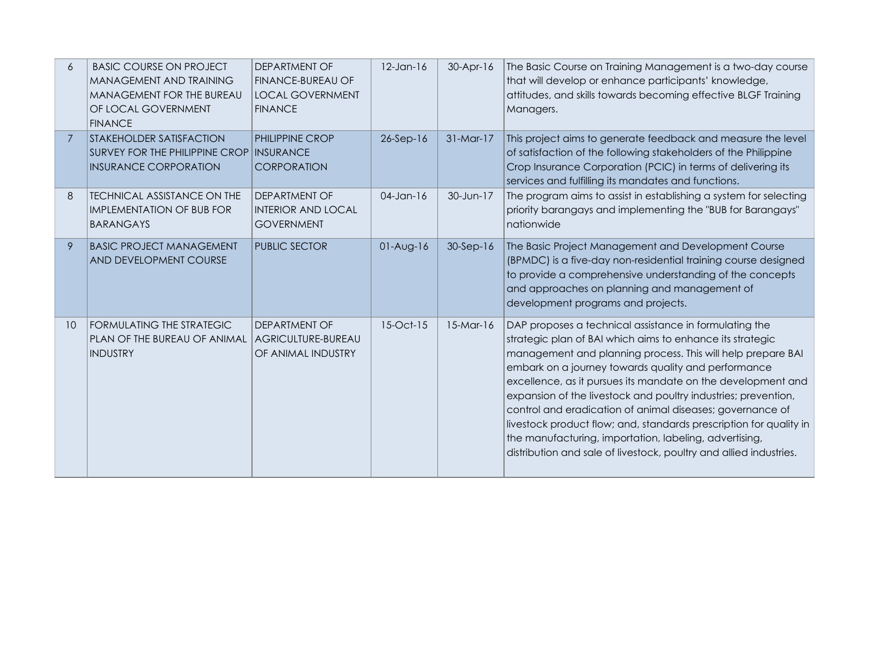| 6               | <b>BASIC COURSE ON PROJECT</b><br>MANAGEMENT AND TRAINING<br>MANAGEMENT FOR THE BUREAU<br>OF LOCAL GOVERNMENT<br><b>FINANCE</b> | <b>DEPARTMENT OF</b><br><b>FINANCE-BUREAU OF</b><br><b>LOCAL GOVERNMENT</b><br><b>FINANCE</b> | $12$ -Jan- $16$ | $30-Apr-16$ | The Basic Course on Training Management is a two-day course<br>that will develop or enhance participants' knowledge,<br>attitudes, and skills towards becoming effective BLGF Training<br>Managers.                                                                                                                                                                                                                                                                                                                                                                                                                                            |
|-----------------|---------------------------------------------------------------------------------------------------------------------------------|-----------------------------------------------------------------------------------------------|-----------------|-------------|------------------------------------------------------------------------------------------------------------------------------------------------------------------------------------------------------------------------------------------------------------------------------------------------------------------------------------------------------------------------------------------------------------------------------------------------------------------------------------------------------------------------------------------------------------------------------------------------------------------------------------------------|
| $\overline{7}$  | <b>STAKEHOLDER SATISFACTION</b><br>SURVEY FOR THE PHILIPPINE CROP INSURANCE<br><b>INSURANCE CORPORATION</b>                     | <b>PHILIPPINE CROP</b><br><b>CORPORATION</b>                                                  | $26-Sep-16$     | 31-Mar-17   | This project aims to generate feedback and measure the level<br>of satisfaction of the following stakeholders of the Philippine<br>Crop Insurance Corporation (PCIC) in terms of delivering its<br>services and fulfilling its mandates and functions.                                                                                                                                                                                                                                                                                                                                                                                         |
| 8               | <b>TECHNICAL ASSISTANCE ON THE</b><br><b>IMPLEMENTATION OF BUB FOR</b><br><b>BARANGAYS</b>                                      | <b>DEPARTMENT OF</b><br><b>INTERIOR AND LOCAL</b><br><b>GOVERNMENT</b>                        | $04$ -Jan-16    | 30-Jun-17   | The program aims to assist in establishing a system for selecting<br>priority barangays and implementing the "BUB for Barangays"<br>nationwide                                                                                                                                                                                                                                                                                                                                                                                                                                                                                                 |
| 9               | <b>BASIC PROJECT MANAGEMENT</b><br>AND DEVELOPMENT COURSE                                                                       | <b>PUBLIC SECTOR</b>                                                                          | $01-Aug-16$     | $30-Sep-16$ | The Basic Project Management and Development Course<br>(BPMDC) is a five-day non-residential training course designed<br>to provide a comprehensive understanding of the concepts<br>and approaches on planning and management of<br>development programs and projects.                                                                                                                                                                                                                                                                                                                                                                        |
| 10 <sup>°</sup> | FORMULATING THE STRATEGIC<br>PLAN OF THE BUREAU OF ANIMAL<br><b>INDUSTRY</b>                                                    | <b>DEPARTMENT OF</b><br>AGRICULTURE-BUREAU<br>OF ANIMAL INDUSTRY                              | 15-Oct-15       | $15-Mar-16$ | DAP proposes a technical assistance in formulating the<br>strategic plan of BAI which aims to enhance its strategic<br>management and planning process. This will help prepare BAI<br>embark on a journey towards quality and performance<br>excellence, as it pursues its mandate on the development and<br>expansion of the livestock and poultry industries; prevention,<br>control and eradication of animal diseases; governance of<br>livestock product flow; and, standards prescription for quality in<br>the manufacturing, importation, labeling, advertising,<br>distribution and sale of livestock, poultry and allied industries. |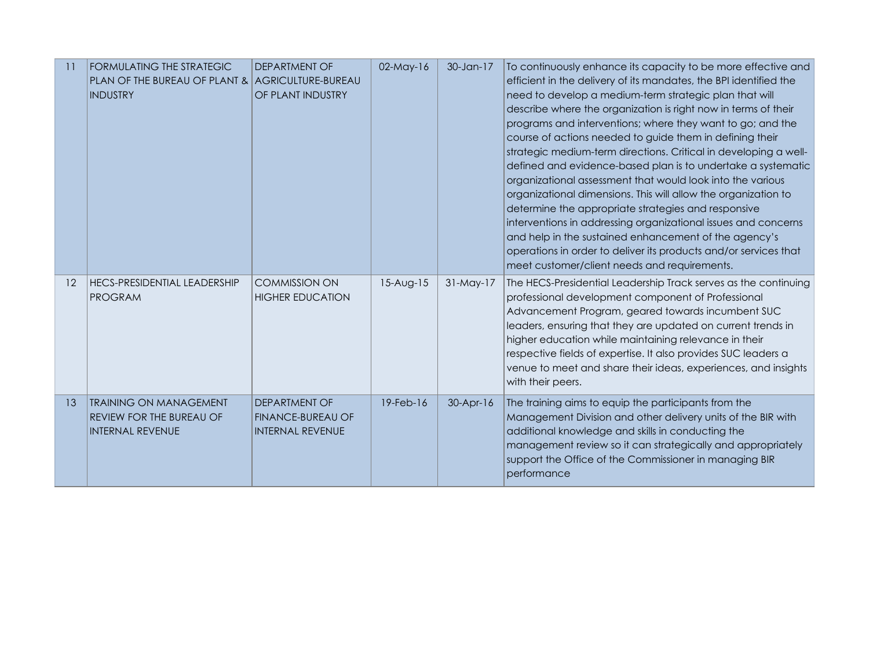| $\overline{11}$ | FORMULATING THE STRATEGIC<br>PLAN OF THE BUREAU OF PLANT & AGRICULTURE-BUREAU<br><b>INDUSTRY</b> | <b>DEPARTMENT OF</b><br>OF PLANT INDUSTRY                                   | 02-May-16       | 30-Jan-17   | To continuously enhance its capacity to be more effective and<br>efficient in the delivery of its mandates, the BPI identified the<br>need to develop a medium-term strategic plan that will<br>describe where the organization is right now in terms of their<br>programs and interventions; where they want to go; and the<br>course of actions needed to guide them in defining their<br>strategic medium-term directions. Critical in developing a well-<br>defined and evidence-based plan is to undertake a systematic<br>organizational assessment that would look into the various<br>organizational dimensions. This will allow the organization to<br>determine the appropriate strategies and responsive<br>interventions in addressing organizational issues and concerns<br>and help in the sustained enhancement of the agency's<br>operations in order to deliver its products and/or services that<br>meet customer/client needs and requirements. |
|-----------------|--------------------------------------------------------------------------------------------------|-----------------------------------------------------------------------------|-----------------|-------------|--------------------------------------------------------------------------------------------------------------------------------------------------------------------------------------------------------------------------------------------------------------------------------------------------------------------------------------------------------------------------------------------------------------------------------------------------------------------------------------------------------------------------------------------------------------------------------------------------------------------------------------------------------------------------------------------------------------------------------------------------------------------------------------------------------------------------------------------------------------------------------------------------------------------------------------------------------------------|
| 12              | <b>HECS-PRESIDENTIAL LEADERSHIP</b><br><b>PROGRAM</b>                                            | <b>COMMISSION ON</b><br><b>HIGHER EDUCATION</b>                             | $15-Aug-15$     | $31-May-17$ | The HECS-Presidential Leadership Track serves as the continuing<br>professional development component of Professional<br>Advancement Program, geared towards incumbent SUC<br>leaders, ensuring that they are updated on current trends in<br>higher education while maintaining relevance in their<br>respective fields of expertise. It also provides SUC leaders a<br>venue to meet and share their ideas, experiences, and insights<br>with their peers.                                                                                                                                                                                                                                                                                                                                                                                                                                                                                                       |
| 13              | <b>TRAINING ON MANAGEMENT</b><br>REVIEW FOR THE BUREAU OF<br><b>INTERNAL REVENUE</b>             | <b>DEPARTMENT OF</b><br><b>FINANCE-BUREAU OF</b><br><b>INTERNAL REVENUE</b> | $19$ -Feb- $16$ | $30-Apr-16$ | The training aims to equip the participants from the<br>Management Division and other delivery units of the BIR with<br>additional knowledge and skills in conducting the<br>management review so it can strategically and appropriately<br>support the Office of the Commissioner in managing BIR<br>performance                                                                                                                                                                                                                                                                                                                                                                                                                                                                                                                                                                                                                                                  |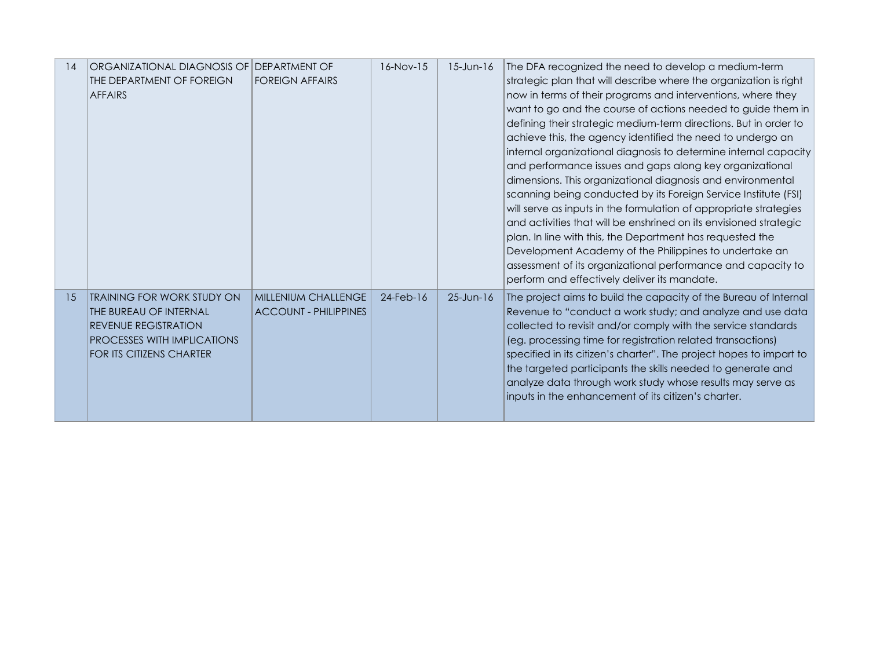| 14 | ORGANIZATIONAL DIAGNOSIS OF I DEPARTMENT OF<br>THE DEPARTMENT OF FOREIGN<br><b>AFFAIRS</b>                                                                   | <b>FOREIGN AFFAIRS</b>                              | $16-Nov-15$  | $15$ -Jun- $16$ | The DFA recognized the need to develop a medium-term<br>strategic plan that will describe where the organization is right<br>now in terms of their programs and interventions, where they<br>want to go and the course of actions needed to guide them in<br>defining their strategic medium-term directions. But in order to<br>achieve this, the agency identified the need to undergo an<br>internal organizational diagnosis to determine internal capacity<br>and performance issues and gaps along key organizational<br>dimensions. This organizational diagnosis and environmental<br>scanning being conducted by its Foreign Service Institute (FSI)<br>will serve as inputs in the formulation of appropriate strategies<br>and activities that will be enshrined on its envisioned strategic<br>plan. In line with this, the Department has requested the<br>Development Academy of the Philippines to undertake an<br>assessment of its organizational performance and capacity to<br>perform and effectively deliver its mandate. |
|----|--------------------------------------------------------------------------------------------------------------------------------------------------------------|-----------------------------------------------------|--------------|-----------------|------------------------------------------------------------------------------------------------------------------------------------------------------------------------------------------------------------------------------------------------------------------------------------------------------------------------------------------------------------------------------------------------------------------------------------------------------------------------------------------------------------------------------------------------------------------------------------------------------------------------------------------------------------------------------------------------------------------------------------------------------------------------------------------------------------------------------------------------------------------------------------------------------------------------------------------------------------------------------------------------------------------------------------------------|
| 15 | <b>TRAINING FOR WORK STUDY ON</b><br>THE BUREAU OF INTERNAL<br><b>REVENUE REGISTRATION</b><br>PROCESSES WITH IMPLICATIONS<br><b>FOR ITS CITIZENS CHARTER</b> | MILLENIUM CHALLENGE<br><b>ACCOUNT - PHILIPPINES</b> | $24$ -Feb-16 | $25 - Jun-16$   | The project aims to build the capacity of the Bureau of Internal<br>Revenue to "conduct a work study; and analyze and use data<br>collected to revisit and/or comply with the service standards<br>(eg. processing time for registration related transactions)<br>specified in its citizen's charter". The project hopes to impart to<br>the targeted participants the skills needed to generate and<br>analyze data through work study whose results may serve as<br>inputs in the enhancement of its citizen's charter.                                                                                                                                                                                                                                                                                                                                                                                                                                                                                                                      |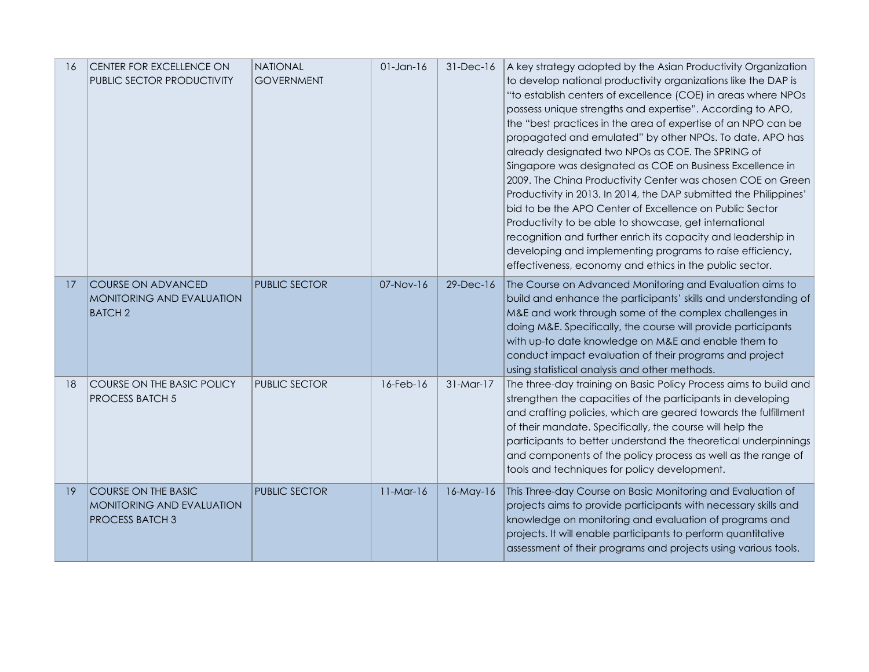| 16 | CENTER FOR EXCELLENCE ON<br>PUBLIC SECTOR PRODUCTIVITY                            | <b>NATIONAL</b><br><b>GOVERNMENT</b> | $01$ -Jan- $16$ | 31-Dec-16       | A key strategy adopted by the Asian Productivity Organization<br>to develop national productivity organizations like the DAP is<br>"to establish centers of excellence (COE) in areas where NPOs<br>possess unique strengths and expertise". According to APO,<br>the "best practices in the area of expertise of an NPO can be<br>propagated and emulated" by other NPOs. To date, APO has<br>already designated two NPOs as COE. The SPRING of<br>Singapore was designated as COE on Business Excellence in<br>2009. The China Productivity Center was chosen COE on Green<br>Productivity in 2013. In 2014, the DAP submitted the Philippines'<br>bid to be the APO Center of Excellence on Public Sector<br>Productivity to be able to showcase, get international<br>recognition and further enrich its capacity and leadership in<br>developing and implementing programs to raise efficiency,<br>effectiveness, economy and ethics in the public sector. |
|----|-----------------------------------------------------------------------------------|--------------------------------------|-----------------|-----------------|-----------------------------------------------------------------------------------------------------------------------------------------------------------------------------------------------------------------------------------------------------------------------------------------------------------------------------------------------------------------------------------------------------------------------------------------------------------------------------------------------------------------------------------------------------------------------------------------------------------------------------------------------------------------------------------------------------------------------------------------------------------------------------------------------------------------------------------------------------------------------------------------------------------------------------------------------------------------|
| 17 | <b>COURSE ON ADVANCED</b><br>MONITORING AND EVALUATION<br><b>BATCH2</b>           | <b>PUBLIC SECTOR</b>                 | 07-Nov-16       | 29-Dec-16       | The Course on Advanced Monitoring and Evaluation aims to<br>build and enhance the participants' skills and understanding of<br>M&E and work through some of the complex challenges in<br>doing M&E. Specifically, the course will provide participants<br>with up-to date knowledge on M&E and enable them to<br>conduct impact evaluation of their programs and project<br>using statistical analysis and other methods.                                                                                                                                                                                                                                                                                                                                                                                                                                                                                                                                       |
| 18 | COURSE ON THE BASIC POLICY<br><b>PROCESS BATCH 5</b>                              | <b>PUBLIC SECTOR</b>                 | 16-Feb-16       | $31-Mar-17$     | The three-day training on Basic Policy Process aims to build and<br>strengthen the capacities of the participants in developing<br>and crafting policies, which are geared towards the fulfillment<br>of their mandate. Specifically, the course will help the<br>participants to better understand the theoretical underpinnings<br>and components of the policy process as well as the range of<br>tools and techniques for policy development.                                                                                                                                                                                                                                                                                                                                                                                                                                                                                                               |
| 19 | <b>COURSE ON THE BASIC</b><br>MONITORING AND EVALUATION<br><b>PROCESS BATCH 3</b> | <b>PUBLIC SECTOR</b>                 | $11-Mar-16$     | $16$ -May- $16$ | This Three-day Course on Basic Monitoring and Evaluation of<br>projects aims to provide participants with necessary skills and<br>knowledge on monitoring and evaluation of programs and<br>projects. It will enable participants to perform quantitative<br>assessment of their programs and projects using various tools.                                                                                                                                                                                                                                                                                                                                                                                                                                                                                                                                                                                                                                     |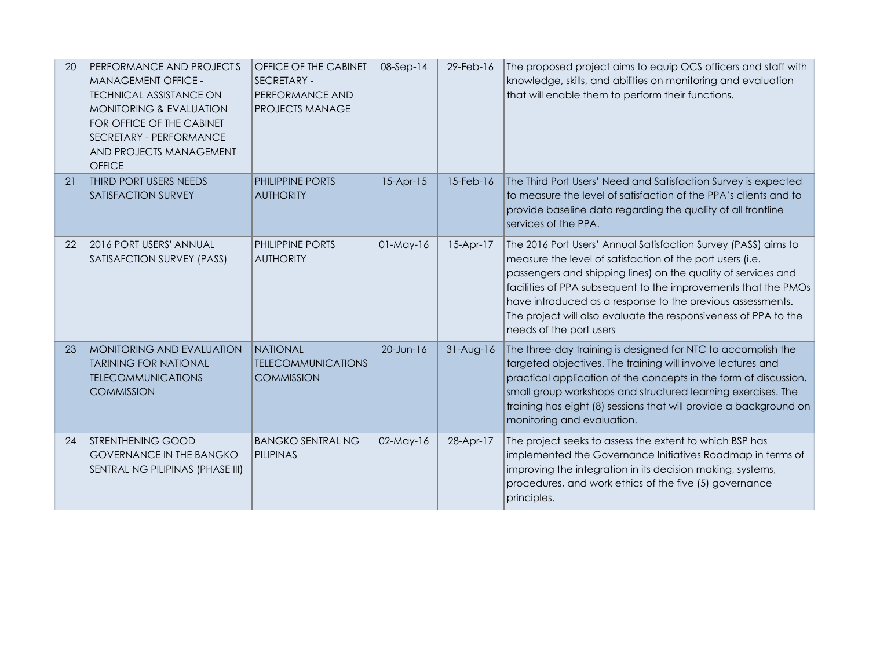| 20 | PERFORMANCE AND PROJECT'S<br><b>MANAGEMENT OFFICE -</b><br><b>TECHNICAL ASSISTANCE ON</b><br><b>MONITORING &amp; EVALUATION</b><br>FOR OFFICE OF THE CABINET<br>SECRETARY - PERFORMANCE<br>AND PROJECTS MANAGEMENT<br><b>OFFICE</b> | OFFICE OF THE CABINET<br><b>SECRETARY -</b><br>PERFORMANCE AND<br><b>PROJECTS MANAGE</b> | $08-Sep-14$  | 29-Feb-16   | The proposed project aims to equip OCS officers and staff with<br>knowledge, skills, and abilities on monitoring and evaluation<br>that will enable them to perform their functions.                                                                                                                                                                                                                                       |
|----|-------------------------------------------------------------------------------------------------------------------------------------------------------------------------------------------------------------------------------------|------------------------------------------------------------------------------------------|--------------|-------------|----------------------------------------------------------------------------------------------------------------------------------------------------------------------------------------------------------------------------------------------------------------------------------------------------------------------------------------------------------------------------------------------------------------------------|
| 21 | THIRD PORT USERS NEEDS<br>SATISFACTION SURVEY                                                                                                                                                                                       | <b>PHILIPPINE PORTS</b><br><b>AUTHORITY</b>                                              | $15-Apr-15$  | 15-Feb-16   | The Third Port Users' Need and Satisfaction Survey is expected<br>to measure the level of satisfaction of the PPA's clients and to<br>provide baseline data regarding the quality of all frontline<br>services of the PPA.                                                                                                                                                                                                 |
| 22 | 2016 PORT USERS' ANNUAL<br>SATISAFCTION SURVEY (PASS)                                                                                                                                                                               | <b>PHILIPPINE PORTS</b><br><b>AUTHORITY</b>                                              | $01$ -May-16 | $15-Apr-17$ | The 2016 Port Users' Annual Satisfaction Survey (PASS) aims to<br>measure the level of satisfaction of the port users (i.e.<br>passengers and shipping lines) on the quality of services and<br>facilities of PPA subsequent to the improvements that the PMOs<br>have introduced as a response to the previous assessments.<br>The project will also evaluate the responsiveness of PPA to the<br>needs of the port users |
| 23 | <b>MONITORING AND EVALUATION</b><br><b>TARINING FOR NATIONAL</b><br><b>TELECOMMUNICATIONS</b><br><b>COMMISSION</b>                                                                                                                  | <b>NATIONAL</b><br><b>TELECOMMUNICATIONS</b><br><b>COMMISSION</b>                        | 20-Jun-16    | $31-Aug-16$ | The three-day training is designed for NTC to accomplish the<br>targeted objectives. The training will involve lectures and<br>practical application of the concepts in the form of discussion,<br>small group workshops and structured learning exercises. The<br>training has eight (8) sessions that will provide a background on<br>monitoring and evaluation.                                                         |
| 24 | <b>STRENTHENING GOOD</b><br><b>GOVERNANCE IN THE BANGKO</b><br>SENTRAL NG PILIPINAS (PHASE III)                                                                                                                                     | <b>BANGKO SENTRAL NG</b><br>PILIPINAS                                                    | 02-May-16    | 28-Apr-17   | The project seeks to assess the extent to which BSP has<br>implemented the Governance Initiatives Roadmap in terms of<br>improving the integration in its decision making, systems,<br>procedures, and work ethics of the five (5) governance<br>principles.                                                                                                                                                               |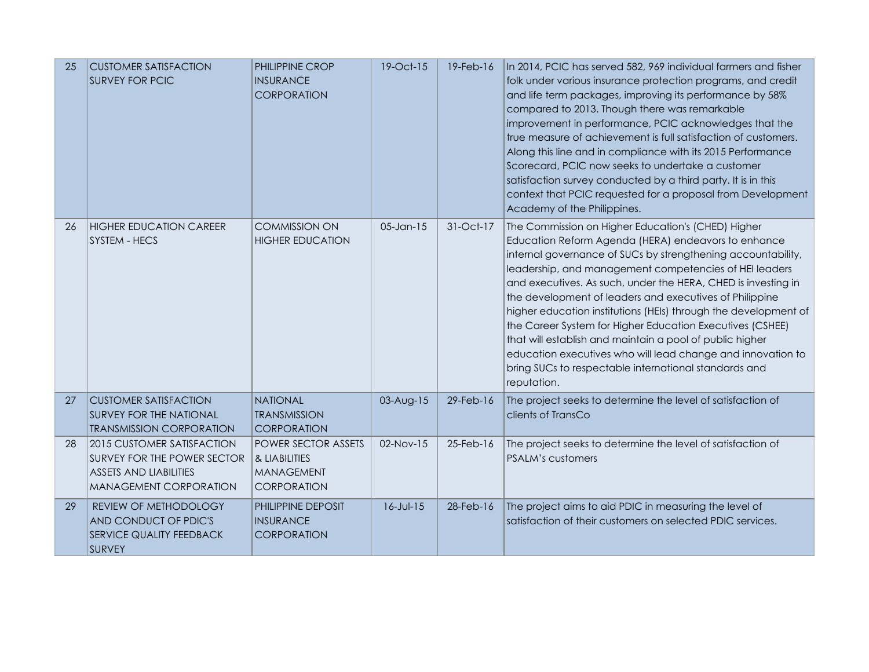| 25 | <b>CUSTOMER SATISFACTION</b><br><b>SURVEY FOR PCIC</b>                                                                      | PHILIPPINE CROP<br><b>INSURANCE</b><br><b>CORPORATION</b>                | 19-Oct-15       | $19$ -Feb- $16$ | In 2014, PCIC has served 582, 969 individual farmers and fisher<br>folk under various insurance protection programs, and credit<br>and life term packages, improving its performance by 58%<br>compared to 2013. Though there was remarkable<br>improvement in performance, PCIC acknowledges that the<br>true measure of achievement is full satisfaction of customers.<br>Along this line and in compliance with its 2015 Performance<br>Scorecard, PCIC now seeks to undertake a customer<br>satisfaction survey conducted by a third party. It is in this<br>context that PCIC requested for a proposal from Development<br>Academy of the Philippines.                                        |
|----|-----------------------------------------------------------------------------------------------------------------------------|--------------------------------------------------------------------------|-----------------|-----------------|----------------------------------------------------------------------------------------------------------------------------------------------------------------------------------------------------------------------------------------------------------------------------------------------------------------------------------------------------------------------------------------------------------------------------------------------------------------------------------------------------------------------------------------------------------------------------------------------------------------------------------------------------------------------------------------------------|
| 26 | <b>HIGHER EDUCATION CAREER</b><br><b>SYSTEM - HECS</b>                                                                      | <b>COMMISSION ON</b><br><b>HIGHER EDUCATION</b>                          | 05-Jan-15       | 31-Oct-17       | The Commission on Higher Education's (CHED) Higher<br>Education Reform Agenda (HERA) endeavors to enhance<br>internal governance of SUCs by strengthening accountability,<br>leadership, and management competencies of HEI leaders<br>and executives. As such, under the HERA, CHED is investing in<br>the development of leaders and executives of Philippine<br>higher education institutions (HEIs) through the development of<br>the Career System for Higher Education Executives (CSHEE)<br>that will establish and maintain a pool of public higher<br>education executives who will lead change and innovation to<br>bring SUCs to respectable international standards and<br>reputation. |
| 27 | <b>CUSTOMER SATISFACTION</b><br><b>SURVEY FOR THE NATIONAL</b><br><b>TRANSMISSION CORPORATION</b>                           | <b>NATIONAL</b><br><b>TRANSMISSION</b><br><b>CORPORATION</b>             | 03-Aug-15       | 29-Feb-16       | The project seeks to determine the level of satisfaction of<br>clients of TransCo                                                                                                                                                                                                                                                                                                                                                                                                                                                                                                                                                                                                                  |
| 28 | 2015 CUSTOMER SATISFACTION<br>SURVEY FOR THE POWER SECTOR<br><b>ASSETS AND LIABILITIES</b><br><b>MANAGEMENT CORPORATION</b> | POWER SECTOR ASSETS<br>& LIABILITIES<br><b>MANAGEMENT</b><br>CORPORATION | 02-Nov-15       | 25-Feb-16       | The project seeks to determine the level of satisfaction of<br><b>PSALM's customers</b>                                                                                                                                                                                                                                                                                                                                                                                                                                                                                                                                                                                                            |
| 29 | REVIEW OF METHODOLOGY<br>AND CONDUCT OF PDIC'S<br>SERVICE QUALITY FEEDBACK<br><b>SURVEY</b>                                 | PHILIPPINE DEPOSIT<br><b>INSURANCE</b><br><b>CORPORATION</b>             | $16 - Jul - 15$ | 28-Feb-16       | The project aims to aid PDIC in measuring the level of<br>satisfaction of their customers on selected PDIC services.                                                                                                                                                                                                                                                                                                                                                                                                                                                                                                                                                                               |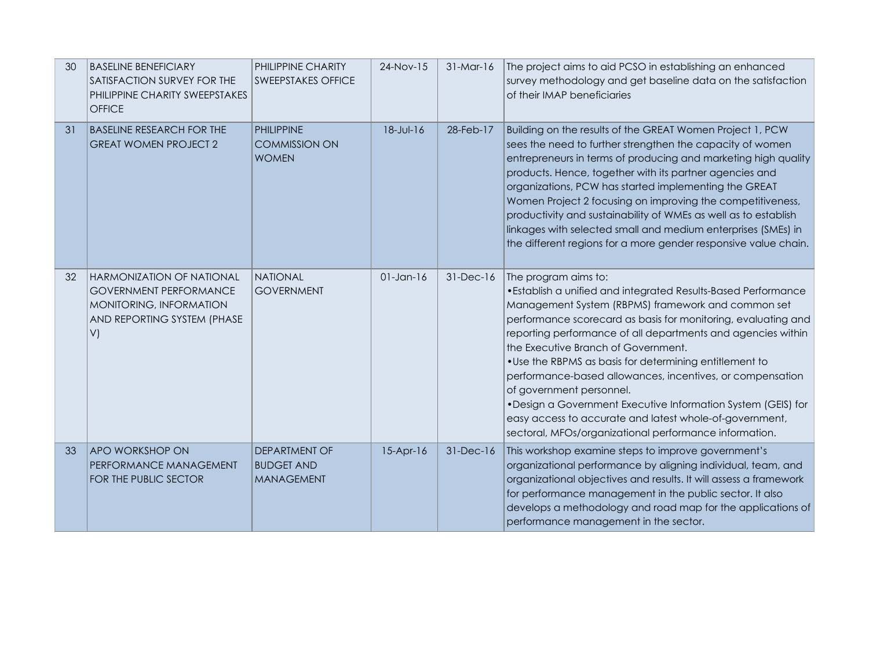| 30 | <b>BASELINE BENEFICIARY</b><br>SATISFACTION SURVEY FOR THE<br>PHILIPPINE CHARITY SWEEPSTAKES<br><b>OFFICE</b>                     | PHILIPPINE CHARITY<br><b>SWEEPSTAKES OFFICE</b>                | 24-Nov-15    | $31-Mar-16$ | The project aims to aid PCSO in establishing an enhanced<br>survey methodology and get baseline data on the satisfaction<br>of their IMAP beneficiaries                                                                                                                                                                                                                                                                                                                                                                                                                                                                                                        |
|----|-----------------------------------------------------------------------------------------------------------------------------------|----------------------------------------------------------------|--------------|-------------|----------------------------------------------------------------------------------------------------------------------------------------------------------------------------------------------------------------------------------------------------------------------------------------------------------------------------------------------------------------------------------------------------------------------------------------------------------------------------------------------------------------------------------------------------------------------------------------------------------------------------------------------------------------|
| 31 | <b>BASELINE RESEARCH FOR THE</b><br><b>GREAT WOMEN PROJECT 2</b>                                                                  | PHILIPPINE<br><b>COMMISSION ON</b><br><b>WOMEN</b>             | 18-Jul-16    | 28-Feb-17   | Building on the results of the GREAT Women Project 1, PCW<br>sees the need to further strengthen the capacity of women<br>entrepreneurs in terms of producing and marketing high quality<br>products. Hence, together with its partner agencies and<br>organizations, PCW has started implementing the GREAT<br>Women Project 2 focusing on improving the competitiveness,<br>productivity and sustainability of WMEs as well as to establish<br>linkages with selected small and medium enterprises (SMEs) in<br>the different regions for a more gender responsive value chain.                                                                              |
| 32 | <b>HARMONIZATION OF NATIONAL</b><br><b>GOVERNMENT PERFORMANCE</b><br>MONITORING, INFORMATION<br>AND REPORTING SYSTEM (PHASE<br>V) | NATIONAL<br><b>GOVERNMENT</b>                                  | $01$ -Jan-16 | 31-Dec-16   | The program aims to:<br>. Establish a unified and integrated Results-Based Performance<br>Management System (RBPMS) framework and common set<br>performance scorecard as basis for monitoring, evaluating and<br>reporting performance of all departments and agencies within<br>the Executive Branch of Government.<br>. Use the RBPMS as basis for determining entitlement to<br>performance-based allowances, incentives, or compensation<br>of government personnel.<br>• Design a Government Executive Information System (GEIS) for<br>easy access to accurate and latest whole-of-government,<br>sectoral, MFOs/organizational performance information. |
| 33 | <b>APO WORKSHOP ON</b><br>PERFORMANCE MANAGEMENT<br>FOR THE PUBLIC SECTOR                                                         | <b>DEPARTMENT OF</b><br><b>BUDGET AND</b><br><b>MANAGEMENT</b> | $15-Apr-16$  | 31-Dec-16   | This workshop examine steps to improve government's<br>organizational performance by aligning individual, team, and<br>organizational objectives and results. It will assess a framework<br>for performance management in the public sector. It also<br>develops a methodology and road map for the applications of<br>performance management in the sector.                                                                                                                                                                                                                                                                                                   |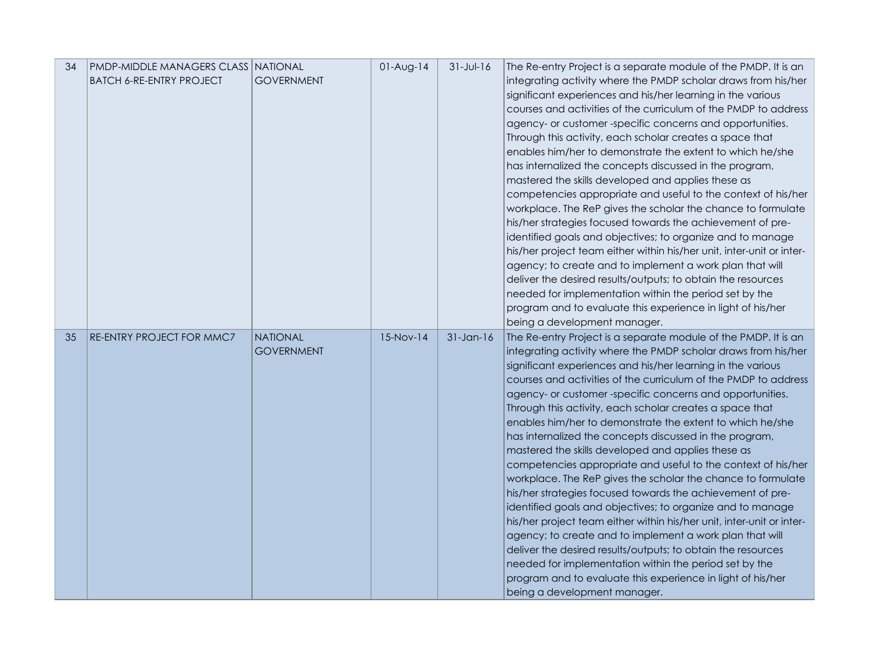| 34 | <b>PMDP-MIDDLE MANAGERS CLASS NATIONAL</b> |                   | $01-Aug-14$ | $31 - Jul - 16$ | The Re-entry Project is a separate module of the PMDP. It is an                             |
|----|--------------------------------------------|-------------------|-------------|-----------------|---------------------------------------------------------------------------------------------|
|    | <b>BATCH 6-RE-ENTRY PROJECT</b>            | <b>GOVERNMENT</b> |             |                 | integrating activity where the PMDP scholar draws from his/her                              |
|    |                                            |                   |             |                 | significant experiences and his/her learning in the various                                 |
|    |                                            |                   |             |                 | courses and activities of the curriculum of the PMDP to address                             |
|    |                                            |                   |             |                 | agency- or customer-specific concerns and opportunities.                                    |
|    |                                            |                   |             |                 | Through this activity, each scholar creates a space that                                    |
|    |                                            |                   |             |                 | enables him/her to demonstrate the extent to which he/she                                   |
|    |                                            |                   |             |                 | has internalized the concepts discussed in the program,                                     |
|    |                                            |                   |             |                 | mastered the skills developed and applies these as                                          |
|    |                                            |                   |             |                 | competencies appropriate and useful to the context of his/her                               |
|    |                                            |                   |             |                 | workplace. The ReP gives the scholar the chance to formulate                                |
|    |                                            |                   |             |                 | his/her strategies focused towards the achievement of pre-                                  |
|    |                                            |                   |             |                 | identified goals and objectives; to organize and to manage                                  |
|    |                                            |                   |             |                 | his/her project team either within his/her unit, inter-unit or inter-                       |
|    |                                            |                   |             |                 | agency; to create and to implement a work plan that will                                    |
|    |                                            |                   |             |                 | deliver the desired results/outputs; to obtain the resources                                |
|    |                                            |                   |             |                 | needed for implementation within the period set by the                                      |
|    |                                            |                   |             |                 | program and to evaluate this experience in light of his/her                                 |
|    |                                            |                   |             |                 | being a development manager.                                                                |
| 35 | RE-ENTRY PROJECT FOR MMC7                  | <b>NATIONAL</b>   | $15-Nov-14$ | $31$ -Jan-16    | The Re-entry Project is a separate module of the PMDP. It is an                             |
|    |                                            |                   |             |                 |                                                                                             |
|    |                                            | <b>GOVERNMENT</b> |             |                 | integrating activity where the PMDP scholar draws from his/her                              |
|    |                                            |                   |             |                 | significant experiences and his/her learning in the various                                 |
|    |                                            |                   |             |                 | courses and activities of the curriculum of the PMDP to address                             |
|    |                                            |                   |             |                 | agency- or customer-specific concerns and opportunities.                                    |
|    |                                            |                   |             |                 | Through this activity, each scholar creates a space that                                    |
|    |                                            |                   |             |                 | enables him/her to demonstrate the extent to which he/she                                   |
|    |                                            |                   |             |                 | has internalized the concepts discussed in the program,                                     |
|    |                                            |                   |             |                 | mastered the skills developed and applies these as                                          |
|    |                                            |                   |             |                 | competencies appropriate and useful to the context of his/her                               |
|    |                                            |                   |             |                 | workplace. The ReP gives the scholar the chance to formulate                                |
|    |                                            |                   |             |                 | his/her strategies focused towards the achievement of pre-                                  |
|    |                                            |                   |             |                 | identified goals and objectives; to organize and to manage                                  |
|    |                                            |                   |             |                 | his/her project team either within his/her unit, inter-unit or inter-                       |
|    |                                            |                   |             |                 | agency; to create and to implement a work plan that will                                    |
|    |                                            |                   |             |                 | deliver the desired results/outputs; to obtain the resources                                |
|    |                                            |                   |             |                 | needed for implementation within the period set by the                                      |
|    |                                            |                   |             |                 | program and to evaluate this experience in light of his/her<br>being a development manager. |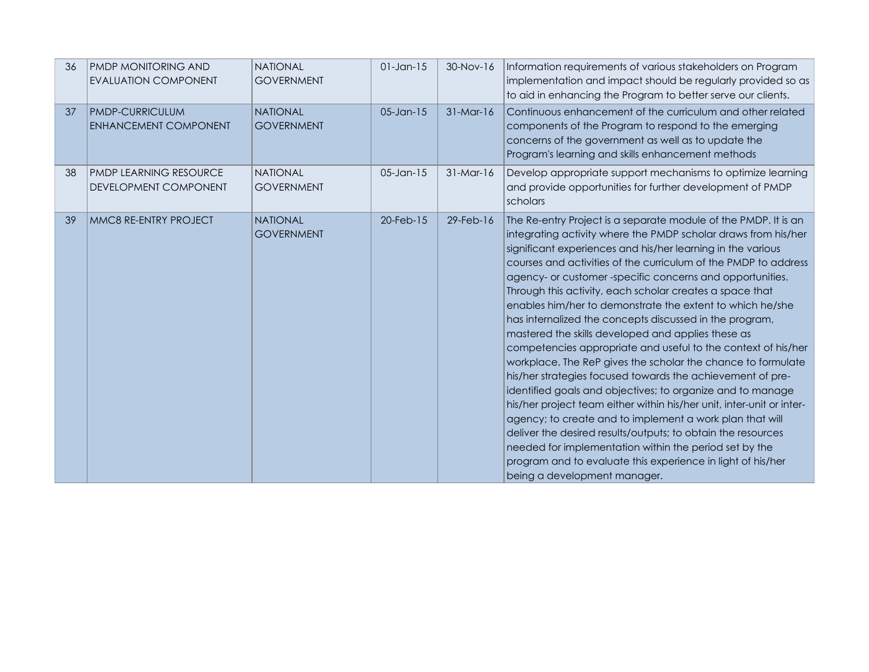| 36 | <b>PMDP MONITORING AND</b><br><b>EVALUATION COMPONENT</b> | <b>NATIONAL</b><br><b>GOVERNMENT</b> | $01$ -Jan-15 | $30-Nov-16$ | Information requirements of various stakeholders on Program<br>implementation and impact should be regularly provided so as<br>to aid in enhancing the Program to better serve our clients.                                                                                                                                                                                                                                                                                                                                                                                                                                                                                                                                                                                                                                                                                                                                                                                                                                                                                                                                                                                                          |
|----|-----------------------------------------------------------|--------------------------------------|--------------|-------------|------------------------------------------------------------------------------------------------------------------------------------------------------------------------------------------------------------------------------------------------------------------------------------------------------------------------------------------------------------------------------------------------------------------------------------------------------------------------------------------------------------------------------------------------------------------------------------------------------------------------------------------------------------------------------------------------------------------------------------------------------------------------------------------------------------------------------------------------------------------------------------------------------------------------------------------------------------------------------------------------------------------------------------------------------------------------------------------------------------------------------------------------------------------------------------------------------|
| 37 | <b>PMDP-CURRICULUM</b><br><b>ENHANCEMENT COMPONENT</b>    | <b>NATIONAL</b><br><b>GOVERNMENT</b> | $05$ -Jan-15 | $31-Mar-16$ | Continuous enhancement of the curriculum and other related<br>components of the Program to respond to the emerging<br>concerns of the government as well as to update the<br>Program's learning and skills enhancement methods                                                                                                                                                                                                                                                                                                                                                                                                                                                                                                                                                                                                                                                                                                                                                                                                                                                                                                                                                                       |
| 38 | <b>PMDP LEARNING RESOURCE</b><br>DEVELOPMENT COMPONENT    | <b>NATIONAL</b><br><b>GOVERNMENT</b> | $05$ -Jan-15 | $31-Mar-16$ | Develop appropriate support mechanisms to optimize learning<br>and provide opportunities for further development of PMDP<br>scholars                                                                                                                                                                                                                                                                                                                                                                                                                                                                                                                                                                                                                                                                                                                                                                                                                                                                                                                                                                                                                                                                 |
| 39 | MMC8 RE-ENTRY PROJECT                                     | <b>NATIONAL</b><br><b>GOVERNMENT</b> | 20-Feb-15    | 29-Feb-16   | The Re-entry Project is a separate module of the PMDP. It is an<br>integrating activity where the PMDP scholar draws from his/her<br>significant experiences and his/her learning in the various<br>courses and activities of the curriculum of the PMDP to address<br>agency- or customer-specific concerns and opportunities.<br>Through this activity, each scholar creates a space that<br>enables him/her to demonstrate the extent to which he/she<br>has internalized the concepts discussed in the program,<br>mastered the skills developed and applies these as<br>competencies appropriate and useful to the context of his/her<br>workplace. The ReP gives the scholar the chance to formulate<br>his/her strategies focused towards the achievement of pre-<br>identified goals and objectives; to organize and to manage<br>his/her project team either within his/her unit, inter-unit or inter-<br>agency; to create and to implement a work plan that will<br>deliver the desired results/outputs; to obtain the resources<br>needed for implementation within the period set by the<br>program and to evaluate this experience in light of his/her<br>being a development manager. |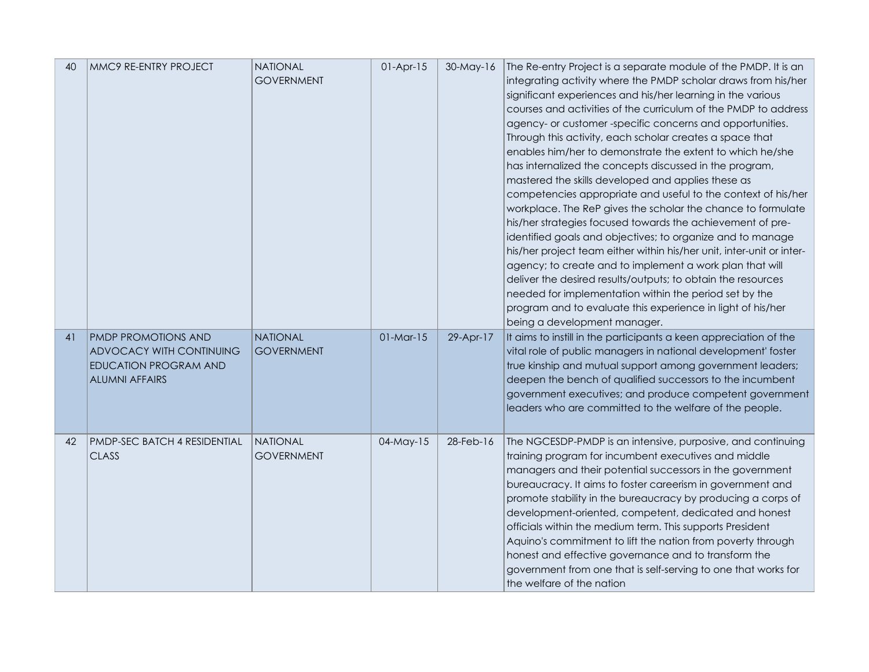| 40 | MMC9 RE-ENTRY PROJECT                                                                                           | <b>NATIONAL</b><br><b>GOVERNMENT</b> | $01-Apr-15$ | 30-May-16    | The Re-entry Project is a separate module of the PMDP. It is an<br>integrating activity where the PMDP scholar draws from his/her<br>significant experiences and his/her learning in the various<br>courses and activities of the curriculum of the PMDP to address<br>agency- or customer-specific concerns and opportunities.<br>Through this activity, each scholar creates a space that<br>enables him/her to demonstrate the extent to which he/she<br>has internalized the concepts discussed in the program,<br>mastered the skills developed and applies these as<br>competencies appropriate and useful to the context of his/her<br>workplace. The ReP gives the scholar the chance to formulate<br>his/her strategies focused towards the achievement of pre-<br>identified goals and objectives; to organize and to manage<br>his/her project team either within his/her unit, inter-unit or inter-<br>agency; to create and to implement a work plan that will<br>deliver the desired results/outputs; to obtain the resources<br>needed for implementation within the period set by the<br>program and to evaluate this experience in light of his/her<br>being a development manager. |
|----|-----------------------------------------------------------------------------------------------------------------|--------------------------------------|-------------|--------------|------------------------------------------------------------------------------------------------------------------------------------------------------------------------------------------------------------------------------------------------------------------------------------------------------------------------------------------------------------------------------------------------------------------------------------------------------------------------------------------------------------------------------------------------------------------------------------------------------------------------------------------------------------------------------------------------------------------------------------------------------------------------------------------------------------------------------------------------------------------------------------------------------------------------------------------------------------------------------------------------------------------------------------------------------------------------------------------------------------------------------------------------------------------------------------------------------|
| 41 | <b>PMDP PROMOTIONS AND</b><br>ADVOCACY WITH CONTINUING<br><b>EDUCATION PROGRAM AND</b><br><b>ALUMNI AFFAIRS</b> | NATIONAL<br><b>GOVERNMENT</b>        | $01-Mar-15$ | 29-Apr-17    | It aims to instill in the participants a keen appreciation of the<br>vital role of public managers in national development' foster<br>true kinship and mutual support among government leaders;<br>deepen the bench of qualified successors to the incumbent<br>government executives; and produce competent government<br>leaders who are committed to the welfare of the people.                                                                                                                                                                                                                                                                                                                                                                                                                                                                                                                                                                                                                                                                                                                                                                                                                   |
| 42 | <b>PMDP-SEC BATCH 4 RESIDENTIAL</b><br><b>CLASS</b>                                                             | <b>NATIONAL</b><br><b>GOVERNMENT</b> | 04-May-15   | $28$ -Feb-16 | The NGCESDP-PMDP is an intensive, purposive, and continuing<br>training program for incumbent executives and middle<br>managers and their potential successors in the government<br>bureaucracy. It aims to foster careerism in government and<br>promote stability in the bureaucracy by producing a corps of<br>development-oriented, competent, dedicated and honest<br>officials within the medium term. This supports President<br>Aquino's commitment to lift the nation from poverty through<br>honest and effective governance and to transform the<br>government from one that is self-serving to one that works for<br>the welfare of the nation                                                                                                                                                                                                                                                                                                                                                                                                                                                                                                                                           |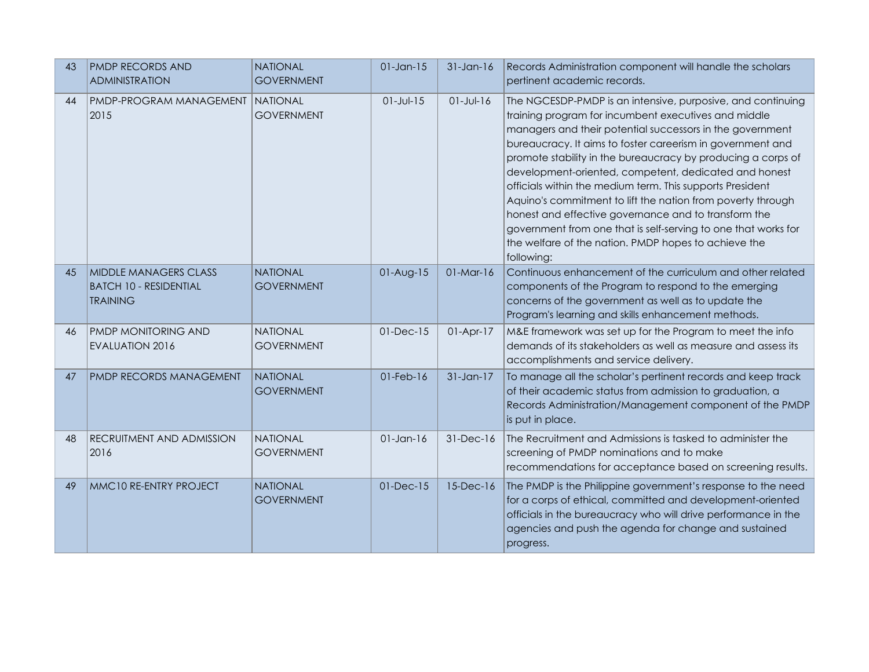| 43 | <b>PMDP RECORDS AND</b>                                                   | <b>NATIONAL</b>                      | $01$ -Jan-15    | $31-Jan-16$     | Records Administration component will handle the scholars                                                                                                                                                                                                                                                                                                                                                                                                                                                                                                                                                                                                                                           |
|----|---------------------------------------------------------------------------|--------------------------------------|-----------------|-----------------|-----------------------------------------------------------------------------------------------------------------------------------------------------------------------------------------------------------------------------------------------------------------------------------------------------------------------------------------------------------------------------------------------------------------------------------------------------------------------------------------------------------------------------------------------------------------------------------------------------------------------------------------------------------------------------------------------------|
|    | <b>ADMINISTRATION</b>                                                     | <b>GOVERNMENT</b>                    |                 |                 | pertinent academic records.                                                                                                                                                                                                                                                                                                                                                                                                                                                                                                                                                                                                                                                                         |
| 44 | PMDP-PROGRAM MANAGEMENT<br>2015                                           | <b>NATIONAL</b><br><b>GOVERNMENT</b> | $01 - Jul - 15$ | $01 - Jul - 16$ | The NGCESDP-PMDP is an intensive, purposive, and continuing<br>training program for incumbent executives and middle<br>managers and their potential successors in the government<br>bureaucracy. It aims to foster careerism in government and<br>promote stability in the bureaucracy by producing a corps of<br>development-oriented, competent, dedicated and honest<br>officials within the medium term. This supports President<br>Aquino's commitment to lift the nation from poverty through<br>honest and effective governance and to transform the<br>government from one that is self-serving to one that works for<br>the welfare of the nation. PMDP hopes to achieve the<br>following: |
| 45 | MIDDLE MANAGERS CLASS<br><b>BATCH 10 - RESIDENTIAL</b><br><b>TRAINING</b> | <b>NATIONAL</b><br><b>GOVERNMENT</b> | $01-Aug-15$     | $01-Mar-16$     | Continuous enhancement of the curriculum and other related<br>components of the Program to respond to the emerging<br>concerns of the government as well as to update the<br>Program's learning and skills enhancement methods.                                                                                                                                                                                                                                                                                                                                                                                                                                                                     |
| 46 | PMDP MONITORING AND<br><b>EVALUATION 2016</b>                             | <b>NATIONAL</b><br><b>GOVERNMENT</b> | $01$ -Dec- $15$ | $01-Apr-17$     | M&E framework was set up for the Program to meet the info<br>demands of its stakeholders as well as measure and assess its<br>accomplishments and service delivery.                                                                                                                                                                                                                                                                                                                                                                                                                                                                                                                                 |
| 47 | PMDP RECORDS MANAGEMENT                                                   | <b>NATIONAL</b><br><b>GOVERNMENT</b> | $01$ -Feb- $16$ | $31$ -Jan-17    | To manage all the scholar's pertinent records and keep track<br>of their academic status from admission to graduation, a<br>Records Administration/Management component of the PMDP<br>is put in place.                                                                                                                                                                                                                                                                                                                                                                                                                                                                                             |
| 48 | RECRUITMENT AND ADMISSION<br>2016                                         | <b>NATIONAL</b><br><b>GOVERNMENT</b> | $01$ -Jan-16    | 31-Dec-16       | The Recruitment and Admissions is tasked to administer the<br>screening of PMDP nominations and to make<br>recommendations for acceptance based on screening results.                                                                                                                                                                                                                                                                                                                                                                                                                                                                                                                               |
| 49 | MMC10 RE-ENTRY PROJECT                                                    | <b>NATIONAL</b><br><b>GOVERNMENT</b> | 01-Dec-15       | $15$ -Dec- $16$ | The PMDP is the Philippine government's response to the need<br>for a corps of ethical, committed and development-oriented<br>officials in the bureaucracy who will drive performance in the<br>agencies and push the agenda for change and sustained<br>progress.                                                                                                                                                                                                                                                                                                                                                                                                                                  |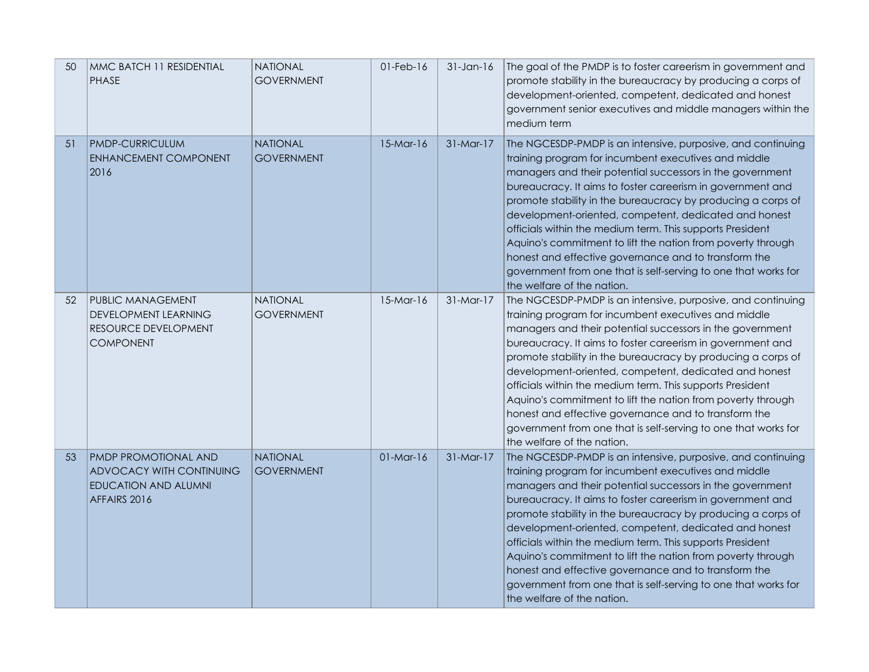| 50 | MMC BATCH 11 RESIDENTIAL<br><b>PHASE</b>                                                               | <b>NATIONAL</b><br><b>GOVERNMENT</b> | $01$ -Feb- $16$ | $31$ -Jan-16 | The goal of the PMDP is to foster careerism in government and<br>promote stability in the bureaucracy by producing a corps of<br>development-oriented, competent, dedicated and honest<br>government senior executives and middle managers within the<br>medium term                                                                                                                                                                                                                                                                                                                                                                                        |
|----|--------------------------------------------------------------------------------------------------------|--------------------------------------|-----------------|--------------|-------------------------------------------------------------------------------------------------------------------------------------------------------------------------------------------------------------------------------------------------------------------------------------------------------------------------------------------------------------------------------------------------------------------------------------------------------------------------------------------------------------------------------------------------------------------------------------------------------------------------------------------------------------|
| 51 | <b>PMDP-CURRICULUM</b><br>ENHANCEMENT COMPONENT<br>2016                                                | <b>NATIONAL</b><br><b>GOVERNMENT</b> | $15-Mar-16$     | $31-Mar-17$  | The NGCESDP-PMDP is an intensive, purposive, and continuing<br>training program for incumbent executives and middle<br>managers and their potential successors in the government<br>bureaucracy. It aims to foster careerism in government and<br>promote stability in the bureaucracy by producing a corps of<br>development-oriented, competent, dedicated and honest<br>officials within the medium term. This supports President<br>Aquino's commitment to lift the nation from poverty through<br>honest and effective governance and to transform the<br>government from one that is self-serving to one that works for<br>the welfare of the nation. |
| 52 | PUBLIC MANAGEMENT<br><b>DEVELOPMENT LEARNING</b><br>RESOURCE DEVELOPMENT<br><b>COMPONENT</b>           | NATIONAL<br><b>GOVERNMENT</b>        | $15-Mar-16$     | $31-Mar-17$  | The NGCESDP-PMDP is an intensive, purposive, and continuing<br>training program for incumbent executives and middle<br>managers and their potential successors in the government<br>bureaucracy. It aims to foster careerism in government and<br>promote stability in the bureaucracy by producing a corps of<br>development-oriented, competent, dedicated and honest<br>officials within the medium term. This supports President<br>Aquino's commitment to lift the nation from poverty through<br>honest and effective governance and to transform the<br>government from one that is self-serving to one that works for<br>the welfare of the nation. |
| 53 | <b>PMDP PROMOTIONAL AND</b><br>ADVOCACY WITH CONTINUING<br><b>EDUCATION AND ALUMNI</b><br>AFFAIRS 2016 | <b>NATIONAL</b><br><b>GOVERNMENT</b> | $01-Mar-16$     | $31-Mar-17$  | The NGCESDP-PMDP is an intensive, purposive, and continuing<br>training program for incumbent executives and middle<br>managers and their potential successors in the government<br>bureaucracy. It aims to foster careerism in government and<br>promote stability in the bureaucracy by producing a corps of<br>development-oriented, competent, dedicated and honest<br>officials within the medium term. This supports President<br>Aquino's commitment to lift the nation from poverty through<br>honest and effective governance and to transform the<br>government from one that is self-serving to one that works for<br>the welfare of the nation. |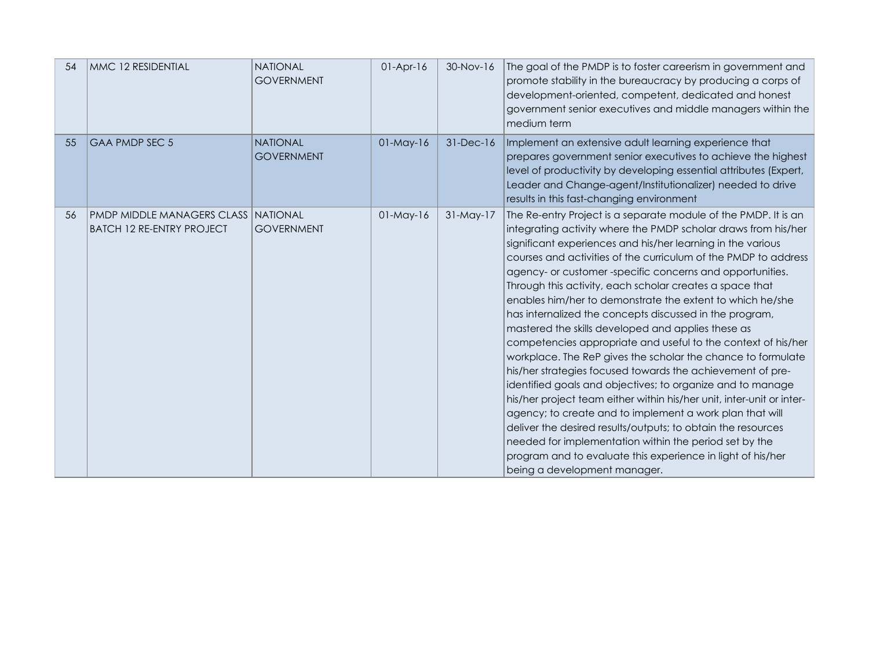| 54 | MMC 12 RESIDENTIAL                                                               | <b>NATIONAL</b><br><b>GOVERNMENT</b> | $01-Apr-16$     | 30-Nov-16   | The goal of the PMDP is to foster careerism in government and<br>promote stability in the bureaucracy by producing a corps of<br>development-oriented, competent, dedicated and honest<br>government senior executives and middle managers within the<br>medium term                                                                                                                                                                                                                                                                                                                                                                                                                                                                                                                                                                                                                                                                                                                                                                                                                                                                                                                                 |
|----|----------------------------------------------------------------------------------|--------------------------------------|-----------------|-------------|------------------------------------------------------------------------------------------------------------------------------------------------------------------------------------------------------------------------------------------------------------------------------------------------------------------------------------------------------------------------------------------------------------------------------------------------------------------------------------------------------------------------------------------------------------------------------------------------------------------------------------------------------------------------------------------------------------------------------------------------------------------------------------------------------------------------------------------------------------------------------------------------------------------------------------------------------------------------------------------------------------------------------------------------------------------------------------------------------------------------------------------------------------------------------------------------------|
| 55 | <b>GAA PMDP SEC 5</b>                                                            | <b>NATIONAL</b><br><b>GOVERNMENT</b> | $01-May-16$     | 31-Dec-16   | Implement an extensive adult learning experience that<br>prepares government senior executives to achieve the highest<br>level of productivity by developing essential attributes (Expert,<br>Leader and Change-agent/Institutionalizer) needed to drive<br>results in this fast-changing environment                                                                                                                                                                                                                                                                                                                                                                                                                                                                                                                                                                                                                                                                                                                                                                                                                                                                                                |
| 56 | <u>IPMDP MIDDLE MANAGERS CLASS INATIONAL</u><br><b>BATCH 12 RE-ENTRY PROJECT</b> | <b>GOVERNMENT</b>                    | $01$ -May- $16$ | $31-May-17$ | The Re-entry Project is a separate module of the PMDP. It is an<br>integrating activity where the PMDP scholar draws from his/her<br>significant experiences and his/her learning in the various<br>courses and activities of the curriculum of the PMDP to address<br>agency- or customer-specific concerns and opportunities.<br>Through this activity, each scholar creates a space that<br>enables him/her to demonstrate the extent to which he/she<br>has internalized the concepts discussed in the program,<br>mastered the skills developed and applies these as<br>competencies appropriate and useful to the context of his/her<br>workplace. The ReP gives the scholar the chance to formulate<br>his/her strategies focused towards the achievement of pre-<br>identified goals and objectives; to organize and to manage<br>his/her project team either within his/her unit, inter-unit or inter-<br>agency; to create and to implement a work plan that will<br>deliver the desired results/outputs; to obtain the resources<br>needed for implementation within the period set by the<br>program and to evaluate this experience in light of his/her<br>being a development manager. |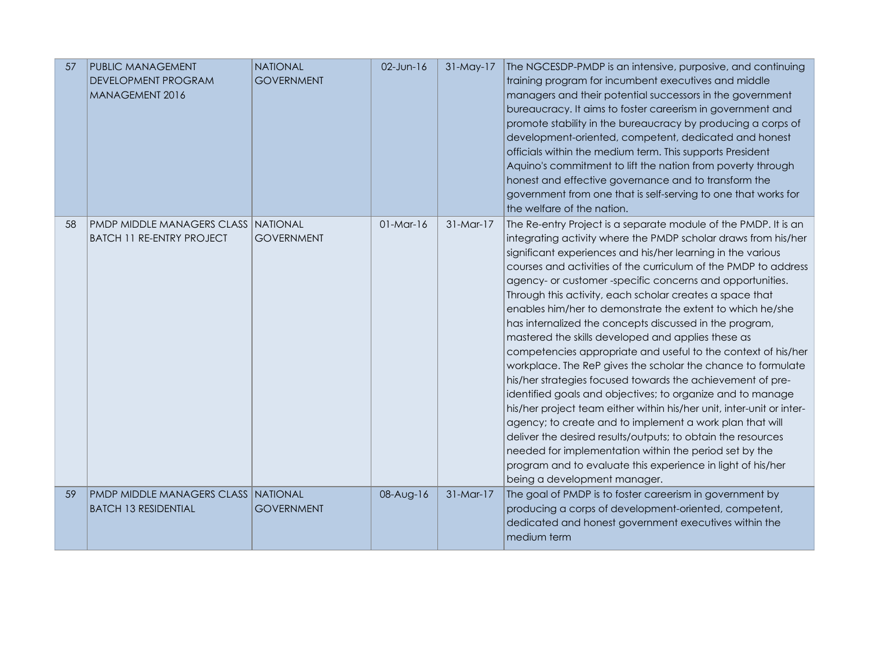| 57  | <b>PUBLIC MANAGEMENT</b><br><b>DEVELOPMENT PROGRAM</b><br>MANAGEMENT 2016       | <b>NATIONAL</b><br><b>GOVERNMENT</b> | 02-Jun-16   | 31-May-17   | The NGCESDP-PMDP is an intensive, purposive, and continuing<br>training program for incumbent executives and middle<br>managers and their potential successors in the government<br>bureaucracy. It aims to foster careerism in government and<br>promote stability in the bureaucracy by producing a corps of<br>development-oriented, competent, dedicated and honest<br>officials within the medium term. This supports President<br>Aquino's commitment to lift the nation from poverty through<br>honest and effective governance and to transform the<br>government from one that is self-serving to one that works for<br>the welfare of the nation.                                                                                                                                                                                                                                                                                                                                                                                                                                                                                                                                          |
|-----|---------------------------------------------------------------------------------|--------------------------------------|-------------|-------------|------------------------------------------------------------------------------------------------------------------------------------------------------------------------------------------------------------------------------------------------------------------------------------------------------------------------------------------------------------------------------------------------------------------------------------------------------------------------------------------------------------------------------------------------------------------------------------------------------------------------------------------------------------------------------------------------------------------------------------------------------------------------------------------------------------------------------------------------------------------------------------------------------------------------------------------------------------------------------------------------------------------------------------------------------------------------------------------------------------------------------------------------------------------------------------------------------|
| -58 | <b>PMDP MIDDLE MANAGERS CLASS INATIONAL</b><br><b>BATCH 11 RE-ENTRY PROJECT</b> | <b>GOVERNMENT</b>                    | $01-Mar-16$ | $31-Mar-17$ | The Re-entry Project is a separate module of the PMDP. It is an<br>integrating activity where the PMDP scholar draws from his/her<br>significant experiences and his/her learning in the various<br>courses and activities of the curriculum of the PMDP to address<br>agency- or customer-specific concerns and opportunities.<br>Through this activity, each scholar creates a space that<br>enables him/her to demonstrate the extent to which he/she<br>has internalized the concepts discussed in the program,<br>mastered the skills developed and applies these as<br>competencies appropriate and useful to the context of his/her<br>workplace. The ReP gives the scholar the chance to formulate<br>his/her strategies focused towards the achievement of pre-<br>identified goals and objectives; to organize and to manage<br>his/her project team either within his/her unit, inter-unit or inter-<br>agency; to create and to implement a work plan that will<br>deliver the desired results/outputs; to obtain the resources<br>needed for implementation within the period set by the<br>program and to evaluate this experience in light of his/her<br>being a development manager. |
| 59  | <b>PMDP MIDDLE MANAGERS CLASS NATIONAL</b><br><b>BATCH 13 RESIDENTIAL</b>       | <b>GOVERNMENT</b>                    | 08-Aug-16   | $31-Mar-17$ | The goal of PMDP is to foster careerism in government by<br>producing a corps of development-oriented, competent,<br>dedicated and honest government executives within the<br>medium term                                                                                                                                                                                                                                                                                                                                                                                                                                                                                                                                                                                                                                                                                                                                                                                                                                                                                                                                                                                                            |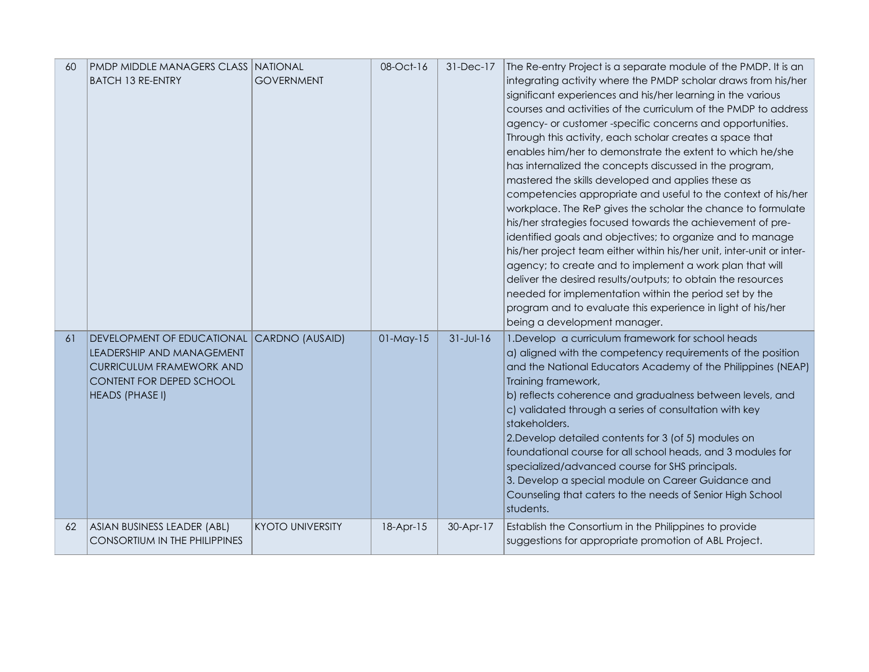| 60 | <b>PMDP MIDDLE MANAGERS CLASS NATIONAL</b><br><b>BATCH 13 RE-ENTRY</b>                                                                                           | <b>GOVERNMENT</b>       | 08-Oct-16       | 31-Dec-17       | The Re-entry Project is a separate module of the PMDP. It is an<br>integrating activity where the PMDP scholar draws from his/her<br>significant experiences and his/her learning in the various<br>courses and activities of the curriculum of the PMDP to address<br>agency- or customer-specific concerns and opportunities.<br>Through this activity, each scholar creates a space that<br>enables him/her to demonstrate the extent to which he/she<br>has internalized the concepts discussed in the program,<br>mastered the skills developed and applies these as<br>competencies appropriate and useful to the context of his/her<br>workplace. The ReP gives the scholar the chance to formulate<br>his/her strategies focused towards the achievement of pre-<br>identified goals and objectives; to organize and to manage<br>his/her project team either within his/her unit, inter-unit or inter-<br>agency; to create and to implement a work plan that will<br>deliver the desired results/outputs; to obtain the resources<br>needed for implementation within the period set by the<br>program and to evaluate this experience in light of his/her<br>being a development manager. |
|----|------------------------------------------------------------------------------------------------------------------------------------------------------------------|-------------------------|-----------------|-----------------|------------------------------------------------------------------------------------------------------------------------------------------------------------------------------------------------------------------------------------------------------------------------------------------------------------------------------------------------------------------------------------------------------------------------------------------------------------------------------------------------------------------------------------------------------------------------------------------------------------------------------------------------------------------------------------------------------------------------------------------------------------------------------------------------------------------------------------------------------------------------------------------------------------------------------------------------------------------------------------------------------------------------------------------------------------------------------------------------------------------------------------------------------------------------------------------------------|
| 61 | DEVELOPMENT OF EDUCATIONAL CARDNO (AUSAID)<br>LEADERSHIP AND MANAGEMENT<br><b>CURRICULUM FRAMEWORK AND</b><br>CONTENT FOR DEPED SCHOOL<br><b>HEADS (PHASE I)</b> |                         | $01$ -May- $15$ | $31 - Jul - 16$ | 1. Develop a curriculum framework for school heads<br>a) aligned with the competency requirements of the position<br>and the National Educators Academy of the Philippines (NEAP)<br>Training framework,<br>b) reflects coherence and gradualness between levels, and<br>c) validated through a series of consultation with key<br>stakeholders.<br>2. Develop detailed contents for 3 (of 5) modules on<br>foundational course for all school heads, and 3 modules for<br>specialized/advanced course for SHS principals.<br>3. Develop a special module on Career Guidance and<br>Counseling that caters to the needs of Senior High School<br>students.                                                                                                                                                                                                                                                                                                                                                                                                                                                                                                                                           |
| 62 | ASIAN BUSINESS LEADER (ABL)<br><b>CONSORTIUM IN THE PHILIPPINES</b>                                                                                              | <b>KYOTO UNIVERSITY</b> | 18-Apr-15       | 30-Apr-17       | Establish the Consortium in the Philippines to provide<br>suggestions for appropriate promotion of ABL Project.                                                                                                                                                                                                                                                                                                                                                                                                                                                                                                                                                                                                                                                                                                                                                                                                                                                                                                                                                                                                                                                                                      |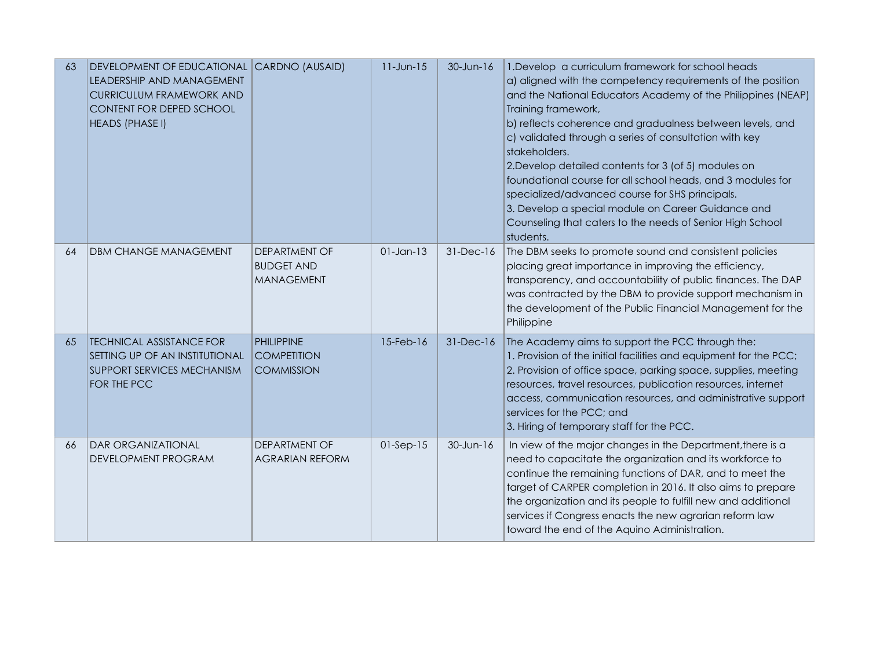| 63 | DEVELOPMENT OF EDUCATIONAL CARDNO (AUSAID)<br>LEADERSHIP AND MANAGEMENT<br><b>CURRICULUM FRAMEWORK AND</b><br><b>CONTENT FOR DEPED SCHOOL</b><br><b>HEADS (PHASE I)</b> |                                                                | $11$ -Jun- $15$ | $30$ -Jun-16    | 1. Develop a curriculum framework for school heads<br>a) aligned with the competency requirements of the position<br>and the National Educators Academy of the Philippines (NEAP)<br>Training framework,<br>b) reflects coherence and gradualness between levels, and<br>c) validated through a series of consultation with key<br>stakeholders.<br>2. Develop detailed contents for 3 (of 5) modules on<br>foundational course for all school heads, and 3 modules for<br>specialized/advanced course for SHS principals.<br>3. Develop a special module on Career Guidance and<br>Counseling that caters to the needs of Senior High School<br>students. |
|----|-------------------------------------------------------------------------------------------------------------------------------------------------------------------------|----------------------------------------------------------------|-----------------|-----------------|------------------------------------------------------------------------------------------------------------------------------------------------------------------------------------------------------------------------------------------------------------------------------------------------------------------------------------------------------------------------------------------------------------------------------------------------------------------------------------------------------------------------------------------------------------------------------------------------------------------------------------------------------------|
| 64 | <b>DBM CHANGE MANAGEMENT</b>                                                                                                                                            | <b>DEPARTMENT OF</b><br><b>BUDGET AND</b><br><b>MANAGEMENT</b> | $01$ -Jan-13    | 31-Dec-16       | The DBM seeks to promote sound and consistent policies<br>placing great importance in improving the efficiency,<br>transparency, and accountability of public finances. The DAP<br>was contracted by the DBM to provide support mechanism in<br>the development of the Public Financial Management for the<br>Philippine                                                                                                                                                                                                                                                                                                                                   |
| 65 | <b>TECHNICAL ASSISTANCE FOR</b><br>SETTING UP OF AN INSTITUTIONAL<br><b>SUPPORT SERVICES MECHANISM</b><br>FOR THE PCC                                                   | <b>PHILIPPINE</b><br><b>COMPETITION</b><br><b>COMMISSION</b>   | 15-Feb-16       | $31$ -Dec- $16$ | The Academy aims to support the PCC through the:<br>1. Provision of the initial facilities and equipment for the PCC;<br>2. Provision of office space, parking space, supplies, meeting<br>resources, travel resources, publication resources, internet<br>access, communication resources, and administrative support<br>services for the PCC; and<br>3. Hiring of temporary staff for the PCC.                                                                                                                                                                                                                                                           |
| 66 | <b>DAR ORGANIZATIONAL</b><br>DEVELOPMENT PROGRAM                                                                                                                        | DEPARTMENT OF<br><b>AGRARIAN REFORM</b>                        | $01-Sep-15$     | 30-Jun-16       | In view of the major changes in the Department, there is a<br>need to capacitate the organization and its workforce to<br>continue the remaining functions of DAR, and to meet the<br>target of CARPER completion in 2016. It also aims to prepare<br>the organization and its people to fulfill new and additional<br>services if Congress enacts the new agrarian reform law<br>toward the end of the Aquino Administration.                                                                                                                                                                                                                             |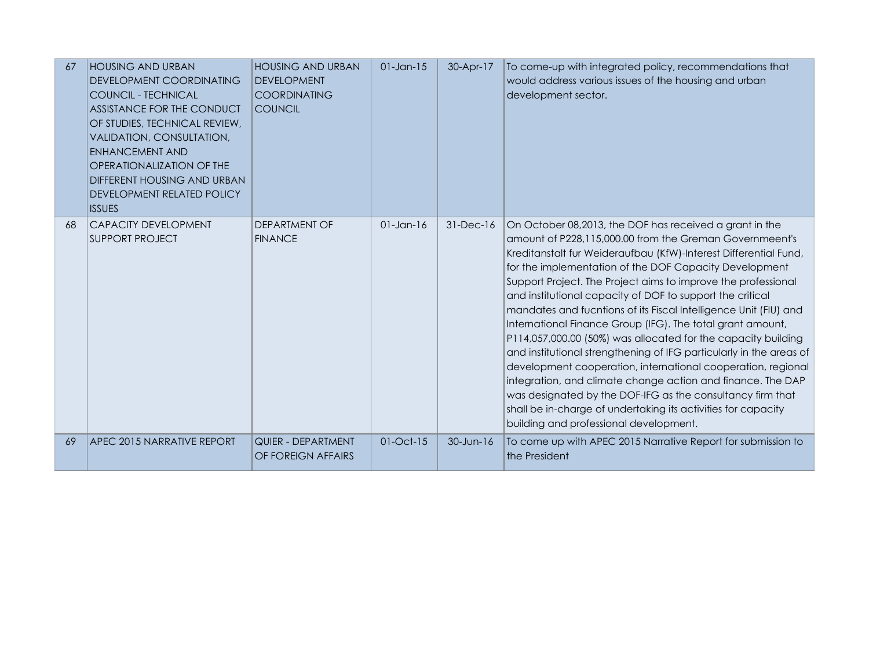| 67 | <b>HOUSING AND URBAN</b><br>DEVELOPMENT COORDINATING<br><b>COUNCIL - TECHNICAL</b><br>ASSISTANCE FOR THE CONDUCT<br>OF STUDIES, TECHNICAL REVIEW,<br>VALIDATION, CONSULTATION,<br><b>ENHANCEMENT AND</b><br>OPERATIONALIZATION OF THE<br>DIFFERENT HOUSING AND URBAN<br>DEVELOPMENT RELATED POLICY<br><b>ISSUES</b> | <b>HOUSING AND URBAN</b><br><b>DEVELOPMENT</b><br><b>COORDINATING</b><br><b>COUNCIL</b> | $01$ -Jan-15    | 30-Apr-17     | To come-up with integrated policy, recommendations that<br>would address various issues of the housing and urban<br>development sector.                                                                                                                                                                                                                                                                                                                                                                                                                                                                                                                                                                                                                                                                                                                                                                                                                           |
|----|---------------------------------------------------------------------------------------------------------------------------------------------------------------------------------------------------------------------------------------------------------------------------------------------------------------------|-----------------------------------------------------------------------------------------|-----------------|---------------|-------------------------------------------------------------------------------------------------------------------------------------------------------------------------------------------------------------------------------------------------------------------------------------------------------------------------------------------------------------------------------------------------------------------------------------------------------------------------------------------------------------------------------------------------------------------------------------------------------------------------------------------------------------------------------------------------------------------------------------------------------------------------------------------------------------------------------------------------------------------------------------------------------------------------------------------------------------------|
| 68 | <b>CAPACITY DEVELOPMENT</b><br><b>SUPPORT PROJECT</b>                                                                                                                                                                                                                                                               | <b>DEPARTMENT OF</b><br><b>FINANCE</b>                                                  | $01$ -Jan-16    | $31-Dec-16$   | On October 08,2013, the DOF has received a grant in the<br>amount of P228, 115,000.00 from the Greman Governmeent's<br>Kreditanstalt fur Weideraufbau (KfW)-Interest Differential Fund,<br>for the implementation of the DOF Capacity Development<br>Support Project. The Project aims to improve the professional<br>and institutional capacity of DOF to support the critical<br>mandates and fucntions of its Fiscal Intelligence Unit (FIU) and<br>International Finance Group (IFG). The total grant amount,<br>P114,057,000.00 (50%) was allocated for the capacity building<br>and institutional strengthening of IFG particularly in the areas of<br>development cooperation, international cooperation, regional<br>integration, and climate change action and finance. The DAP<br>was designated by the DOF-IFG as the consultancy firm that<br>shall be in-charge of undertaking its activities for capacity<br>building and professional development. |
| 69 | APEC 2015 NARRATIVE REPORT                                                                                                                                                                                                                                                                                          | QUIER - DEPARTMENT<br>OF FOREIGN AFFAIRS                                                | $01$ -Oct- $15$ | $30 - Jun-16$ | To come up with APEC 2015 Narrative Report for submission to<br>the President                                                                                                                                                                                                                                                                                                                                                                                                                                                                                                                                                                                                                                                                                                                                                                                                                                                                                     |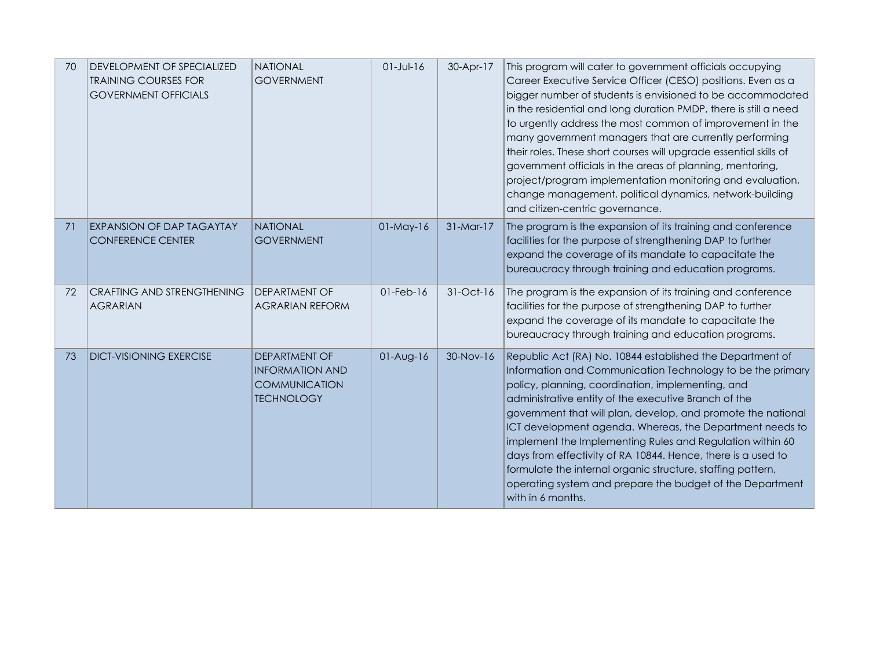| 70 | DEVELOPMENT OF SPECIALIZED<br><b>TRAINING COURSES FOR</b><br><b>GOVERNMENT OFFICIALS</b> | <b>NATIONAL</b><br><b>GOVERNMENT</b>                                                        | $01 - Jul - 16$ | 30-Apr-17   | This program will cater to government officials occupying<br>Career Executive Service Officer (CESO) positions. Even as a<br>bigger number of students is envisioned to be accommodated<br>in the residential and long duration PMDP, there is still a need<br>to urgently address the most common of improvement in the<br>many government managers that are currently performing<br>their roles. These short courses will upgrade essential skills of<br>government officials in the areas of planning, mentoring,<br>project/program implementation monitoring and evaluation,<br>change management, political dynamics, network-building<br>and citizen-centric governance. |
|----|------------------------------------------------------------------------------------------|---------------------------------------------------------------------------------------------|-----------------|-------------|---------------------------------------------------------------------------------------------------------------------------------------------------------------------------------------------------------------------------------------------------------------------------------------------------------------------------------------------------------------------------------------------------------------------------------------------------------------------------------------------------------------------------------------------------------------------------------------------------------------------------------------------------------------------------------|
| 71 | <b>EXPANSION OF DAP TAGAYTAY</b><br><b>CONFERENCE CENTER</b>                             | <b>NATIONAL</b><br><b>GOVERNMENT</b>                                                        | $01$ -May- $16$ | $31-Mar-17$ | The program is the expansion of its training and conference<br>facilities for the purpose of strengthening DAP to further<br>expand the coverage of its mandate to capacitate the<br>bureaucracy through training and education programs.                                                                                                                                                                                                                                                                                                                                                                                                                                       |
| 72 | <b>CRAFTING AND STRENGTHENING</b><br><b>AGRARIAN</b>                                     | <b>DEPARTMENT OF</b><br><b>AGRARIAN REFORM</b>                                              | $01$ -Feb- $16$ | $31-Oct-16$ | The program is the expansion of its training and conference<br>facilities for the purpose of strengthening DAP to further<br>expand the coverage of its mandate to capacitate the<br>bureaucracy through training and education programs.                                                                                                                                                                                                                                                                                                                                                                                                                                       |
| 73 | <b>DICT-VISIONING EXERCISE</b>                                                           | <b>DEPARTMENT OF</b><br><b>INFORMATION AND</b><br><b>COMMUNICATION</b><br><b>TECHNOLOGY</b> | $01-Aug-16$     | 30-Nov-16   | Republic Act (RA) No. 10844 established the Department of<br>Information and Communication Technology to be the primary<br>policy, planning, coordination, implementing, and<br>administrative entity of the executive Branch of the<br>government that will plan, develop, and promote the national<br>ICT development agenda. Whereas, the Department needs to<br>implement the Implementing Rules and Regulation within 60<br>days from effectivity of RA 10844. Hence, there is a used to<br>formulate the internal organic structure, staffing pattern,<br>operating system and prepare the budget of the Department<br>with in 6 months.                                  |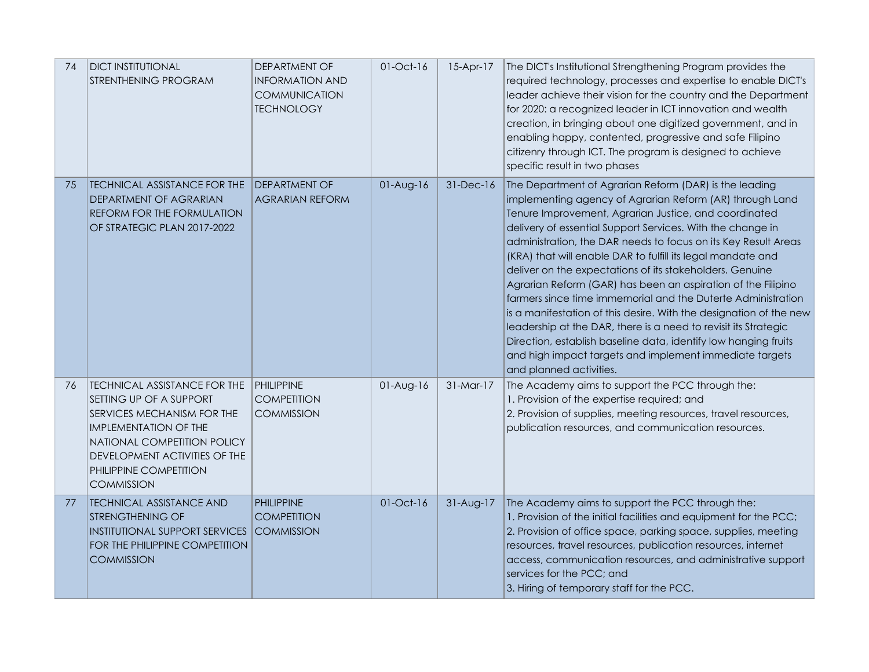| 74 | <b>DICT INSTITUTIONAL</b><br>STRENTHENING PROGRAM                                                                                                                                                                                    | DEPARTMENT OF<br><b>INFORMATION AND</b><br><b>COMMUNICATION</b><br><b>TECHNOLOGY</b> | $01$ -Oct- $16$ | $15-Apr-17$ | The DICT's Institutional Strengthening Program provides the<br>required technology, processes and expertise to enable DICT's<br>leader achieve their vision for the country and the Department<br>for 2020: a recognized leader in ICT innovation and wealth<br>creation, in bringing about one digitized government, and in<br>enabling happy, contented, progressive and safe Filipino<br>citizenry through ICT. The program is designed to achieve<br>specific result in two phases                                                                                                                                                                                                                                                                                                                                                                                   |
|----|--------------------------------------------------------------------------------------------------------------------------------------------------------------------------------------------------------------------------------------|--------------------------------------------------------------------------------------|-----------------|-------------|--------------------------------------------------------------------------------------------------------------------------------------------------------------------------------------------------------------------------------------------------------------------------------------------------------------------------------------------------------------------------------------------------------------------------------------------------------------------------------------------------------------------------------------------------------------------------------------------------------------------------------------------------------------------------------------------------------------------------------------------------------------------------------------------------------------------------------------------------------------------------|
| 75 | TECHNICAL ASSISTANCE FOR THE<br>DEPARTMENT OF AGRARIAN<br>REFORM FOR THE FORMULATION<br>OF STRATEGIC PLAN 2017-2022                                                                                                                  | <b>DEPARTMENT OF</b><br><b>AGRARIAN REFORM</b>                                       | $01-Aug-16$     | 31-Dec-16   | The Department of Agrarian Reform (DAR) is the leading<br>implementing agency of Agrarian Reform (AR) through Land<br>Tenure Improvement, Agrarian Justice, and coordinated<br>delivery of essential Support Services. With the change in<br>administration, the DAR needs to focus on its Key Result Areas<br>(KRA) that will enable DAR to fulfill its legal mandate and<br>deliver on the expectations of its stakeholders. Genuine<br>Agrarian Reform (GAR) has been an aspiration of the Filipino<br>farmers since time immemorial and the Duterte Administration<br>is a manifestation of this desire. With the designation of the new<br>leadership at the DAR, there is a need to revisit its Strategic<br>Direction, establish baseline data, identify low hanging fruits<br>and high impact targets and implement immediate targets<br>and planned activities. |
| 76 | TECHNICAL ASSISTANCE FOR THE<br>SETTING UP OF A SUPPORT<br>SERVICES MECHANISM FOR THE<br><b>IMPLEMENTATION OF THE</b><br>NATIONAL COMPETITION POLICY<br>DEVELOPMENT ACTIVITIES OF THE<br>PHILIPPINE COMPETITION<br><b>COMMISSION</b> | PHILIPPINE<br><b>COMPETITION</b><br><b>COMMISSION</b>                                | $01-Aug-16$     | $31-Mar-17$ | The Academy aims to support the PCC through the:<br>1. Provision of the expertise required; and<br>2. Provision of supplies, meeting resources, travel resources,<br>publication resources, and communication resources.                                                                                                                                                                                                                                                                                                                                                                                                                                                                                                                                                                                                                                                 |
| 77 | <b>TECHNICAL ASSISTANCE AND</b><br><b>STRENGTHENING OF</b><br><b>INSTITUTIONAL SUPPORT SERVICES</b><br>FOR THE PHILIPPINE COMPETITION<br><b>COMMISSION</b>                                                                           | <b>PHILIPPINE</b><br><b>COMPETITION</b><br><b>COMMISSION</b>                         | 01-Oct-16       | 31-Aug-17   | The Academy aims to support the PCC through the:<br>1. Provision of the initial facilities and equipment for the PCC;<br>2. Provision of office space, parking space, supplies, meeting<br>resources, travel resources, publication resources, internet<br>access, communication resources, and administrative support<br>services for the PCC; and<br>3. Hiring of temporary staff for the PCC.                                                                                                                                                                                                                                                                                                                                                                                                                                                                         |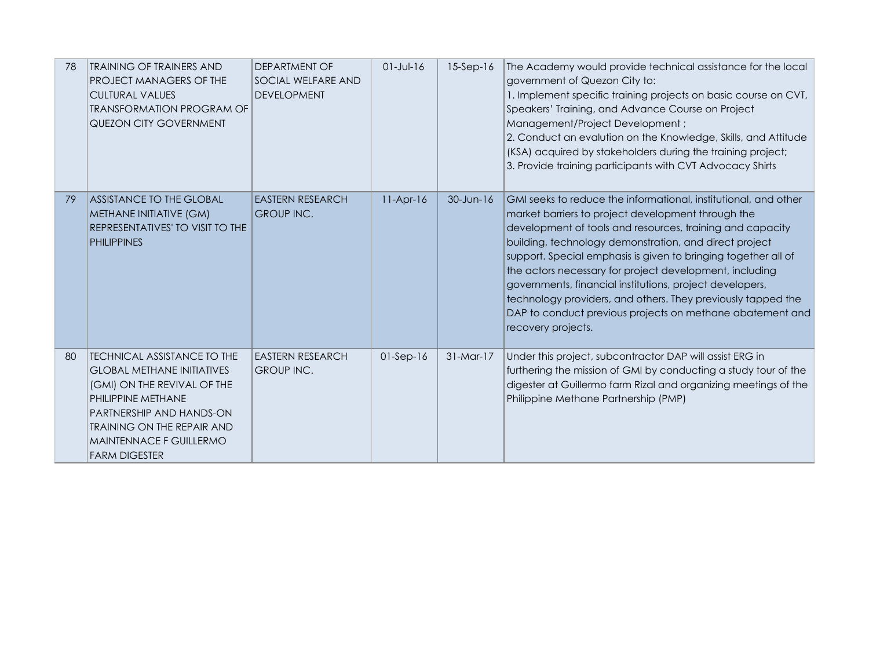| 78 | TRAINING OF TRAINERS AND<br>PROJECT MANAGERS OF THE<br><b>CULTURAL VALUES</b><br><b>TRANSFORMATION PROGRAM OF</b><br>QUEZON CITY GOVERNMENT                                                                                               | DEPARTMENT OF<br>SOCIAL WELFARE AND<br><b>DEVELOPMENT</b> | $01$ -Jul-16 | $15-Sep-16$   | The Academy would provide technical assistance for the local<br>government of Quezon City to:<br>1. Implement specific training projects on basic course on CVT,<br>Speakers' Training, and Advance Course on Project<br>Management/Project Development;<br>2. Conduct an evalution on the Knowledge, Skills, and Attitude<br>(KSA) acquired by stakeholders during the training project;<br>3. Provide training participants with CVT Advocacy Shirts                                                                                                                                   |
|----|-------------------------------------------------------------------------------------------------------------------------------------------------------------------------------------------------------------------------------------------|-----------------------------------------------------------|--------------|---------------|------------------------------------------------------------------------------------------------------------------------------------------------------------------------------------------------------------------------------------------------------------------------------------------------------------------------------------------------------------------------------------------------------------------------------------------------------------------------------------------------------------------------------------------------------------------------------------------|
| 79 | <b>ASSISTANCE TO THE GLOBAL</b><br><b>METHANE INITIATIVE (GM)</b><br>REPRESENTATIVES' TO VISIT TO THE<br><b>PHILIPPINES</b>                                                                                                               | <b>EASTERN RESEARCH</b><br><b>GROUP INC.</b>              | $11-Apr-16$  | $30 - Jun-16$ | GMI seeks to reduce the informational, institutional, and other<br>market barriers to project development through the<br>development of tools and resources, training and capacity<br>building, technology demonstration, and direct project<br>support. Special emphasis is given to bringing together all of<br>the actors necessary for project development, including<br>governments, financial institutions, project developers,<br>technology providers, and others. They previously tapped the<br>DAP to conduct previous projects on methane abatement and<br>recovery projects. |
| 80 | TECHNICAL ASSISTANCE TO THE<br><b>GLOBAL METHANE INITIATIVES</b><br>(GMI) ON THE REVIVAL OF THE<br>PHILIPPINE METHANE<br>PARTNERSHIP AND HANDS-ON<br><b>TRAINING ON THE REPAIR AND</b><br>MAINTENNACE F GUILLERMO<br><b>FARM DIGESTER</b> | <b>EASTERN RESEARCH</b><br>GROUP INC.                     | $01-Sep-16$  | $31-Mar-17$   | Under this project, subcontractor DAP will assist ERG in<br>furthering the mission of GMI by conducting a study tour of the<br>digester at Guillermo farm Rizal and organizing meetings of the<br>Philippine Methane Partnership (PMP)                                                                                                                                                                                                                                                                                                                                                   |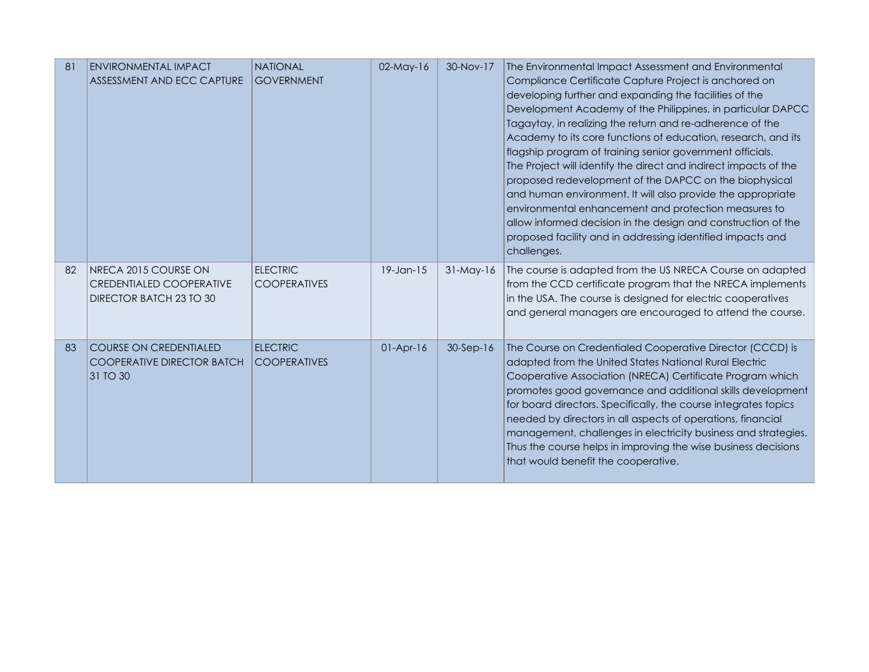| 81 | ENVIRONMENTAL IMPACT<br>ASSESSMENT AND ECC CAPTURE                                 | <b>NATIONAL</b><br><b>GOVERNMENT</b>   | $02$ -May-16    | 30-Nov-17   | The Environmental Impact Assessment and Environmental<br>Compliance Certificate Capture Project is anchored on<br>developing further and expanding the facilities of the<br>Development Academy of the Philippines, in particular DAPCC<br>Tagaytay, in realizing the return and re-adherence of the<br>Academy to its core functions of education, research, and its<br>flagship program of training senior government officials.<br>The Project will identify the direct and indirect impacts of the<br>proposed redevelopment of the DAPCC on the biophysical<br>and human environment. It will also provide the appropriate<br>environmental enhancement and protection measures to<br>allow informed decision in the design and construction of the<br>proposed facility and in addressing identified impacts and<br>challenges. |
|----|------------------------------------------------------------------------------------|----------------------------------------|-----------------|-------------|---------------------------------------------------------------------------------------------------------------------------------------------------------------------------------------------------------------------------------------------------------------------------------------------------------------------------------------------------------------------------------------------------------------------------------------------------------------------------------------------------------------------------------------------------------------------------------------------------------------------------------------------------------------------------------------------------------------------------------------------------------------------------------------------------------------------------------------|
| 82 | NRECA 2015 COURSE ON<br><b>CREDENTIALED COOPERATIVE</b><br>DIRECTOR BATCH 23 TO 30 | <b>ELECTRIC</b><br><b>COOPERATIVES</b> | $19$ -Jan- $15$ | $31-May-16$ | The course is adapted from the US NRECA Course on adapted<br>from the CCD certificate program that the NRECA implements<br>in the USA. The course is designed for electric cooperatives<br>and general managers are encouraged to attend the course.                                                                                                                                                                                                                                                                                                                                                                                                                                                                                                                                                                                  |
| 83 | <b>COURSE ON CREDENTIALED</b><br><b>COOPERATIVE DIRECTOR BATCH</b><br>31 TO 30     | <b>ELECTRIC</b><br><b>COOPERATIVES</b> | $01-Apr-16$     | $30-Sep-16$ | The Course on Credentialed Cooperative Director (CCCD) is<br>adapted from the United States National Rural Electric<br>Cooperative Association (NRECA) Certificate Program which<br>promotes good governance and additional skills development<br>for board directors. Specifically, the course integrates topics<br>needed by directors in all aspects of operations, financial<br>management, challenges in electricity business and strategies.<br>Thus the course helps in improving the wise business decisions<br>that would benefit the cooperative.                                                                                                                                                                                                                                                                           |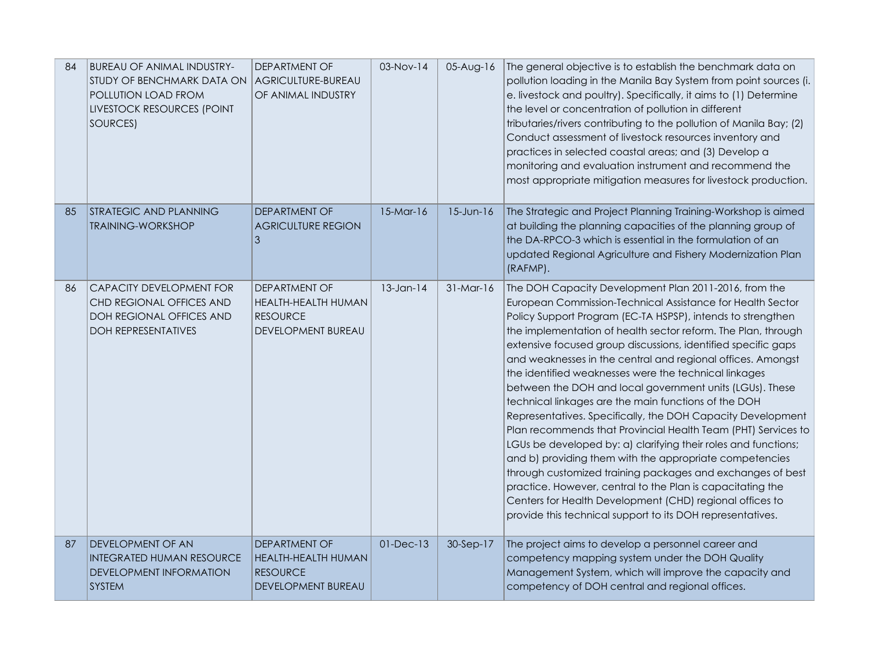| 84 | <b>BUREAU OF ANIMAL INDUSTRY-</b><br>STUDY OF BENCHMARK DATA ON<br>POLLUTION LOAD FROM<br>LIVESTOCK RESOURCES (POINT<br>SOURCES) | DEPARTMENT OF<br>AGRICULTURE-BUREAU<br>OF ANIMAL INDUSTRY                            | 03-Nov-14       | 05-Aug-16       | The general objective is to establish the benchmark data on<br>pollution loading in the Manila Bay System from point sources (i.<br>e. livestock and poultry). Specifically, it aims to (1) Determine<br>the level or concentration of pollution in different<br>tributaries/rivers contributing to the pollution of Manila Bay; (2)<br>Conduct assessment of livestock resources inventory and<br>practices in selected coastal areas; and (3) Develop a<br>monitoring and evaluation instrument and recommend the<br>most appropriate mitigation measures for livestock production.                                                                                                                                                                                                                                                                                                                                                                                                                                                                                               |
|----|----------------------------------------------------------------------------------------------------------------------------------|--------------------------------------------------------------------------------------|-----------------|-----------------|-------------------------------------------------------------------------------------------------------------------------------------------------------------------------------------------------------------------------------------------------------------------------------------------------------------------------------------------------------------------------------------------------------------------------------------------------------------------------------------------------------------------------------------------------------------------------------------------------------------------------------------------------------------------------------------------------------------------------------------------------------------------------------------------------------------------------------------------------------------------------------------------------------------------------------------------------------------------------------------------------------------------------------------------------------------------------------------|
| 85 | <b>STRATEGIC AND PLANNING</b><br><b>TRAINING-WORKSHOP</b>                                                                        | <b>DEPARTMENT OF</b><br><b>AGRICULTURE REGION</b><br>3                               | $15-Mar-16$     | $15$ -Jun- $16$ | The Strategic and Project Planning Training-Workshop is aimed<br>at building the planning capacities of the planning group of<br>the DA-RPCO-3 which is essential in the formulation of an<br>updated Regional Agriculture and Fishery Modernization Plan<br>(RAFMP).                                                                                                                                                                                                                                                                                                                                                                                                                                                                                                                                                                                                                                                                                                                                                                                                               |
| 86 | CAPACITY DEVELOPMENT FOR<br>CHD REGIONAL OFFICES AND<br>DOH REGIONAL OFFICES AND<br><b>DOH REPRESENTATIVES</b>                   | <b>DEPARTMENT OF</b><br>HEALTH-HEALTH HUMAN<br><b>RESOURCE</b><br>DEVELOPMENT BUREAU | $13$ -Jan-14    | $31-Mar-16$     | The DOH Capacity Development Plan 2011-2016, from the<br>European Commission-Technical Assistance for Health Sector<br>Policy Support Program (EC-TA HSPSP), intends to strengthen<br>the implementation of health sector reform. The Plan, through<br>extensive focused group discussions, identified specific gaps<br>and weaknesses in the central and regional offices. Amongst<br>the identified weaknesses were the technical linkages<br>between the DOH and local government units (LGUs). These<br>technical linkages are the main functions of the DOH<br>Representatives. Specifically, the DOH Capacity Development<br>Plan recommends that Provincial Health Team (PHT) Services to<br>LGUs be developed by: a) clarifying their roles and functions;<br>and b) providing them with the appropriate competencies<br>through customized training packages and exchanges of best<br>practice. However, central to the Plan is capacitating the<br>Centers for Health Development (CHD) regional offices to<br>provide this technical support to its DOH representatives. |
| 87 | <b>DEVELOPMENT OF AN</b><br><b>INTEGRATED HUMAN RESOURCE</b><br><b>DEVELOPMENT INFORMATION</b><br><b>SYSTEM</b>                  | DEPARTMENT OF<br>HEALTH-HEALTH HUMAN<br><b>RESOURCE</b><br><b>DEVELOPMENT BUREAU</b> | $01$ -Dec- $13$ | 30-Sep-17       | The project aims to develop a personnel career and<br>competency mapping system under the DOH Quality<br>Management System, which will improve the capacity and<br>competency of DOH central and regional offices.                                                                                                                                                                                                                                                                                                                                                                                                                                                                                                                                                                                                                                                                                                                                                                                                                                                                  |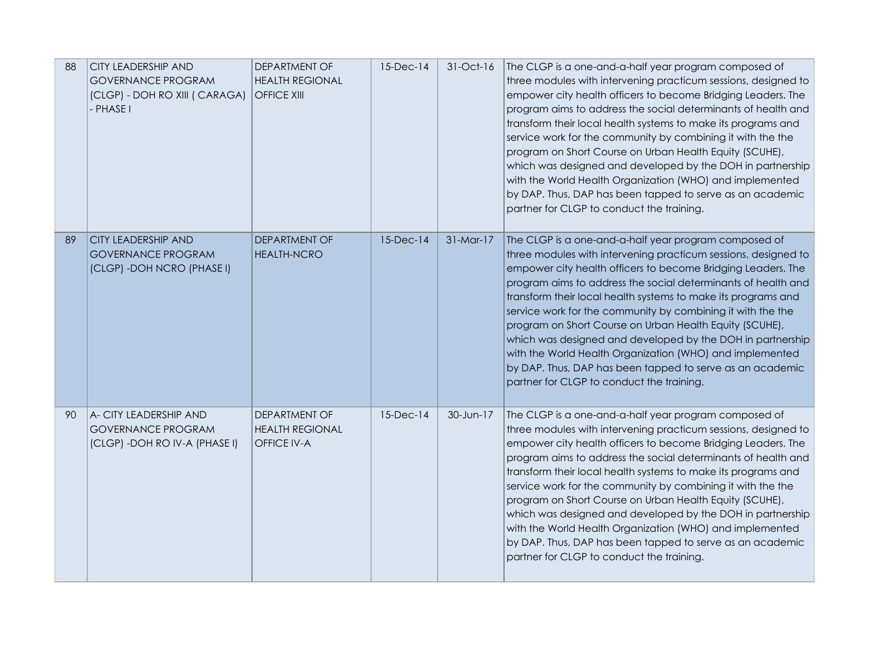| 88 | <b>CITY LEADERSHIP AND</b><br><b>GOVERNANCE PROGRAM</b><br>(CLGP) - DOH RO XIII ( CARAGA)<br>- PHASE I | <b>DEPARTMENT OF</b><br><b>HEALTH REGIONAL</b><br><b>OFFICE XIII</b> | $15$ -Dec-14 | 31-Oct-16   | The CLGP is a one-and-a-half year program composed of<br>three modules with intervening practicum sessions, designed to<br>empower city health officers to become Bridging Leaders. The<br>program aims to address the social determinants of health and<br>transform their local health systems to make its programs and<br>service work for the community by combining it with the the<br>program on Short Course on Urban Health Equity (SCUHE),<br>which was designed and developed by the DOH in partnership<br>with the World Health Organization (WHO) and implemented<br>by DAP. Thus, DAP has been tapped to serve as an academic<br>partner for CLGP to conduct the training. |
|----|--------------------------------------------------------------------------------------------------------|----------------------------------------------------------------------|--------------|-------------|-----------------------------------------------------------------------------------------------------------------------------------------------------------------------------------------------------------------------------------------------------------------------------------------------------------------------------------------------------------------------------------------------------------------------------------------------------------------------------------------------------------------------------------------------------------------------------------------------------------------------------------------------------------------------------------------|
| 89 | <b>CITY LEADERSHIP AND</b><br><b>GOVERNANCE PROGRAM</b><br>(CLGP) - DOH NCRO (PHASE I)                 | <b>DEPARTMENT OF</b><br><b>HEALTH-NCRO</b>                           | $15$ -Dec-14 | $31-Mar-17$ | The CLGP is a one-and-a-half year program composed of<br>three modules with intervening practicum sessions, designed to<br>empower city health officers to become Bridging Leaders. The<br>program aims to address the social determinants of health and<br>transform their local health systems to make its programs and<br>service work for the community by combining it with the the<br>program on Short Course on Urban Health Equity (SCUHE),<br>which was designed and developed by the DOH in partnership<br>with the World Health Organization (WHO) and implemented<br>by DAP. Thus, DAP has been tapped to serve as an academic<br>partner for CLGP to conduct the training. |
| 90 | A- CITY LEADERSHIP AND<br><b>GOVERNANCE PROGRAM</b><br>(CLGP) - DOH RO IV-A (PHASE I)                  | <b>DEPARTMENT OF</b><br><b>HEALTH REGIONAL</b><br><b>OFFICE IV-A</b> | $15$ -Dec-14 | 30-Jun-17   | The CLGP is a one-and-a-half year program composed of<br>three modules with intervening practicum sessions, designed to<br>empower city health officers to become Bridging Leaders. The<br>program aims to address the social determinants of health and<br>transform their local health systems to make its programs and<br>service work for the community by combining it with the the<br>program on Short Course on Urban Health Equity (SCUHE),<br>which was designed and developed by the DOH in partnership<br>with the World Health Organization (WHO) and implemented<br>by DAP. Thus, DAP has been tapped to serve as an academic<br>partner for CLGP to conduct the training. |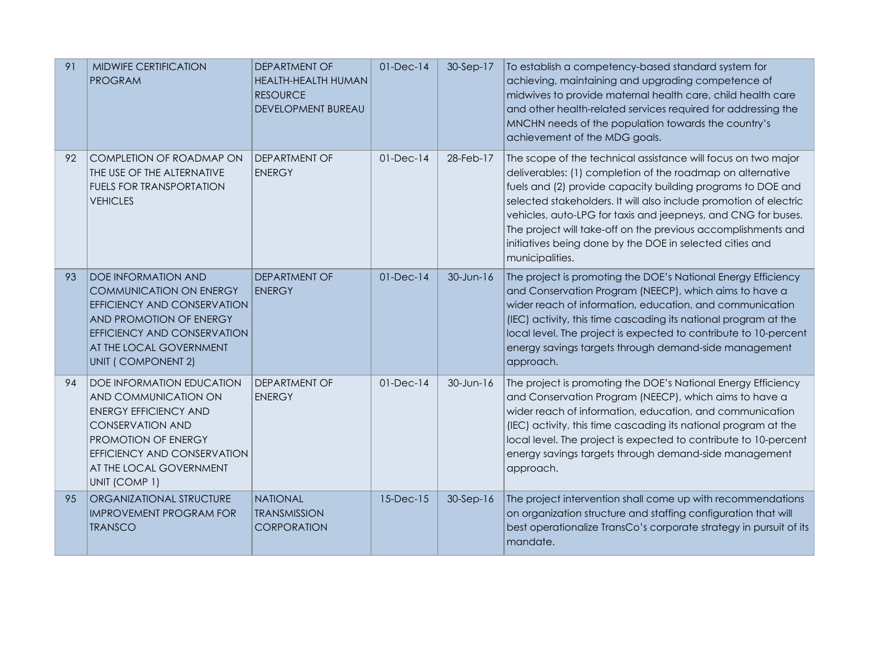| 91 | <b>MIDWIFE CERTIFICATION</b><br><b>PROGRAM</b>                                                                                                                                                                        | <b>DEPARTMENT OF</b><br><b>HEALTH-HEALTH HUMAN</b><br><b>RESOURCE</b><br><b>DEVELOPMENT BUREAU</b> | $01$ -Dec- $14$ | 30-Sep-17 | To establish a competency-based standard system for<br>achieving, maintaining and upgrading competence of<br>midwives to provide maternal health care, child health care<br>and other health-related services required for addressing the<br>MNCHN needs of the population towards the country's<br>achievement of the MDG goals.                                                                                                                                                |
|----|-----------------------------------------------------------------------------------------------------------------------------------------------------------------------------------------------------------------------|----------------------------------------------------------------------------------------------------|-----------------|-----------|----------------------------------------------------------------------------------------------------------------------------------------------------------------------------------------------------------------------------------------------------------------------------------------------------------------------------------------------------------------------------------------------------------------------------------------------------------------------------------|
| 92 | <b>COMPLETION OF ROADMAP ON</b><br>THE USE OF THE ALTERNATIVE<br><b>FUELS FOR TRANSPORTATION</b><br><b>VEHICLES</b>                                                                                                   | DEPARTMENT OF<br><b>ENERGY</b>                                                                     | $01$ -Dec- $14$ | 28-Feb-17 | The scope of the technical assistance will focus on two major<br>deliverables: (1) completion of the roadmap on alternative<br>fuels and (2) provide capacity building programs to DOE and<br>selected stakeholders. It will also include promotion of electric<br>vehicles, auto-LPG for taxis and jeepneys, and CNG for buses.<br>The project will take-off on the previous accomplishments and<br>initiatives being done by the DOE in selected cities and<br>municipalities. |
| 93 | <b>DOE INFORMATION AND</b><br><b>COMMUNICATION ON ENERGY</b><br>EFFICIENCY AND CONSERVATION<br>AND PROMOTION OF ENERGY<br>EFFICIENCY AND CONSERVATION<br>AT THE LOCAL GOVERNMENT<br>UNIT (COMPONENT 2)                | <b>DEPARTMENT OF</b><br><b>ENERGY</b>                                                              | $01-Dec-14$     | 30-Jun-16 | The project is promoting the DOE's National Energy Efficiency<br>and Conservation Program (NEECP), which aims to have a<br>wider reach of information, education, and communication<br>(IEC) activity, this time cascading its national program at the<br>local level. The project is expected to contribute to 10-percent<br>energy savings targets through demand-side management<br>approach.                                                                                 |
| 94 | <b>DOE INFORMATION EDUCATION</b><br>AND COMMUNICATION ON<br><b>ENERGY EFFICIENCY AND</b><br><b>CONSERVATION AND</b><br>PROMOTION OF ENERGY<br>EFFICIENCY AND CONSERVATION<br>AT THE LOCAL GOVERNMENT<br>UNIT (COMP 1) | <b>DEPARTMENT OF</b><br><b>ENERGY</b>                                                              | $01$ -Dec- $14$ | 30-Jun-16 | The project is promoting the DOE's National Energy Efficiency<br>and Conservation Program (NEECP), which aims to have a<br>wider reach of information, education, and communication<br>(IEC) activity, this time cascading its national program at the<br>local level. The project is expected to contribute to 10-percent<br>energy savings targets through demand-side management<br>approach.                                                                                 |
| 95 | ORGANIZATIONAL STRUCTURE<br><b>IMPROVEMENT PROGRAM FOR</b><br><b>TRANSCO</b>                                                                                                                                          | <b>NATIONAL</b><br><b>TRANSMISSION</b><br><b>CORPORATION</b>                                       | $15$ -Dec- $15$ | 30-Sep-16 | The project intervention shall come up with recommendations<br>on organization structure and staffing configuration that will<br>best operationalize TransCo's corporate strategy in pursuit of its<br>mandate.                                                                                                                                                                                                                                                                  |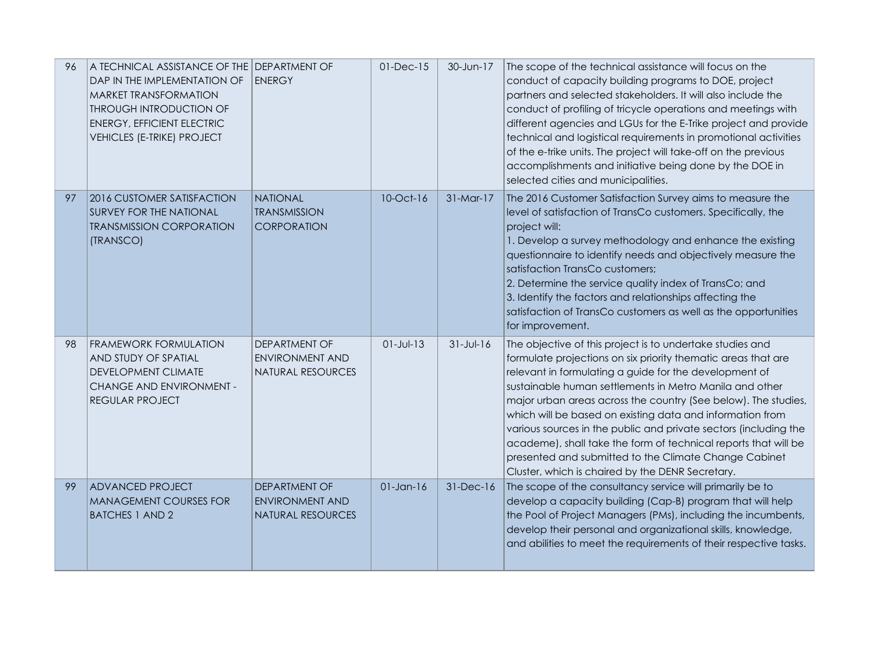| 96 | A TECHNICAL ASSISTANCE OF THE DEPARTMENT OF<br>DAP IN THE IMPLEMENTATION OF<br><b>MARKET TRANSFORMATION</b><br><b>THROUGH INTRODUCTION OF</b><br><b>ENERGY, EFFICIENT ELECTRIC</b><br><b>VEHICLES (E-TRIKE) PROJECT</b> | <b>ENERGY</b>                                                              | $01$ -Dec- $15$ | 30-Jun-17       | The scope of the technical assistance will focus on the<br>conduct of capacity building programs to DOE, project<br>partners and selected stakeholders. It will also include the<br>conduct of profiling of tricycle operations and meetings with<br>different agencies and LGUs for the E-Trike project and provide<br>technical and logistical requirements in promotional activities<br>of the e-trike units. The project will take-off on the previous<br>accomplishments and initiative being done by the DOE in<br>selected cities and municipalities.                                                                       |
|----|-------------------------------------------------------------------------------------------------------------------------------------------------------------------------------------------------------------------------|----------------------------------------------------------------------------|-----------------|-----------------|------------------------------------------------------------------------------------------------------------------------------------------------------------------------------------------------------------------------------------------------------------------------------------------------------------------------------------------------------------------------------------------------------------------------------------------------------------------------------------------------------------------------------------------------------------------------------------------------------------------------------------|
| 97 | 2016 CUSTOMER SATISFACTION<br><b>SURVEY FOR THE NATIONAL</b><br><b>TRANSMISSION CORPORATION</b><br>(TRANSCO)                                                                                                            | <b>NATIONAL</b><br><b>TRANSMISSION</b><br>CORPORATION                      | 10-Oct-16       | 31-Mar-17       | The 2016 Customer Satisfaction Survey aims to measure the<br>level of satisfaction of TransCo customers. Specifically, the<br>project will:<br>1. Develop a survey methodology and enhance the existing<br>questionnaire to identify needs and objectively measure the<br>satisfaction TransCo customers;<br>2. Determine the service quality index of TransCo; and<br>3. Identify the factors and relationships affecting the<br>satisfaction of TransCo customers as well as the opportunities<br>for improvement.                                                                                                               |
| 98 | <b>FRAMEWORK FORMULATION</b><br>AND STUDY OF SPATIAL<br>DEVELOPMENT CLIMATE<br>CHANGE AND ENVIRONMENT -<br>REGULAR PROJECT                                                                                              | <b>DEPARTMENT OF</b><br><b>ENVIRONMENT AND</b><br><b>NATURAL RESOURCES</b> | $01 - Jul - 13$ | $31 - Jul - 16$ | The objective of this project is to undertake studies and<br>formulate projections on six priority thematic areas that are<br>relevant in formulating a guide for the development of<br>sustainable human settlements in Metro Manila and other<br>major urban areas across the country (See below). The studies,<br>which will be based on existing data and information from<br>various sources in the public and private sectors (including the<br>academe), shall take the form of technical reports that will be<br>presented and submitted to the Climate Change Cabinet<br>Cluster, which is chaired by the DENR Secretary. |
| 99 | <b>ADVANCED PROJECT</b><br><b>MANAGEMENT COURSES FOR</b><br><b>BATCHES 1 AND 2</b>                                                                                                                                      | <b>DEPARTMENT OF</b><br><b>ENVIRONMENT AND</b><br><b>NATURAL RESOURCES</b> | $01$ -Jan-16    | 31-Dec-16       | The scope of the consultancy service will primarily be to<br>develop a capacity building (Cap-B) program that will help<br>the Pool of Project Managers (PMs), including the incumbents,<br>develop their personal and organizational skills, knowledge,<br>and abilities to meet the requirements of their respective tasks.                                                                                                                                                                                                                                                                                                      |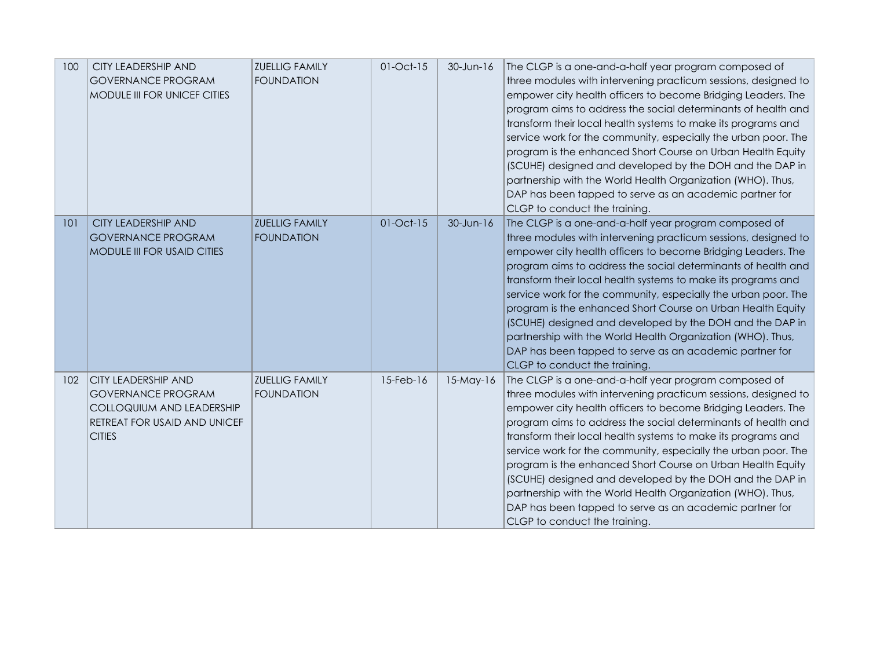| 100 | CITY LEADERSHIP AND<br><b>GOVERNANCE PROGRAM</b><br>MODULE III FOR UNICEF CITIES                                                      | <b>ZUELLIG FAMILY</b><br><b>FOUNDATION</b> | 01-Oct-15       | $30$ -Jun-16 | The CLGP is a one-and-a-half year program composed of<br>three modules with intervening practicum sessions, designed to<br>empower city health officers to become Bridging Leaders. The<br>program aims to address the social determinants of health and<br>transform their local health systems to make its programs and<br>service work for the community, especially the urban poor. The<br>program is the enhanced Short Course on Urban Health Equity<br>(SCUHE) designed and developed by the DOH and the DAP in                                                                                                                                                            |
|-----|---------------------------------------------------------------------------------------------------------------------------------------|--------------------------------------------|-----------------|--------------|-----------------------------------------------------------------------------------------------------------------------------------------------------------------------------------------------------------------------------------------------------------------------------------------------------------------------------------------------------------------------------------------------------------------------------------------------------------------------------------------------------------------------------------------------------------------------------------------------------------------------------------------------------------------------------------|
|     |                                                                                                                                       |                                            |                 |              | partnership with the World Health Organization (WHO). Thus,<br>DAP has been tapped to serve as an academic partner for<br>CLGP to conduct the training.                                                                                                                                                                                                                                                                                                                                                                                                                                                                                                                           |
| 101 | <b>CITY LEADERSHIP AND</b><br><b>GOVERNANCE PROGRAM</b><br>MODULE III FOR USAID CITIES                                                | <b>ZUELLIG FAMILY</b><br><b>FOUNDATION</b> | $01-Oct-15$     | 30-Jun-16    | The CLGP is a one-and-a-half year program composed of<br>three modules with intervening practicum sessions, designed to<br>empower city health officers to become Bridging Leaders. The<br>program aims to address the social determinants of health and<br>transform their local health systems to make its programs and<br>service work for the community, especially the urban poor. The<br>program is the enhanced Short Course on Urban Health Equity<br>(SCUHE) designed and developed by the DOH and the DAP in<br>partnership with the World Health Organization (WHO). Thus,<br>DAP has been tapped to serve as an academic partner for<br>CLGP to conduct the training. |
| 102 | <b>CITY LEADERSHIP AND</b><br><b>GOVERNANCE PROGRAM</b><br>COLLOQUIUM AND LEADERSHIP<br>RETREAT FOR USAID AND UNICEF<br><b>CITIES</b> | <b>ZUELLIG FAMILY</b><br><b>FOUNDATION</b> | $15$ -Feb- $16$ | $15$ -May-16 | The CLGP is a one-and-a-half year program composed of<br>three modules with intervening practicum sessions, designed to<br>empower city health officers to become Bridging Leaders. The<br>program aims to address the social determinants of health and<br>transform their local health systems to make its programs and<br>service work for the community, especially the urban poor. The<br>program is the enhanced Short Course on Urban Health Equity<br>(SCUHE) designed and developed by the DOH and the DAP in<br>partnership with the World Health Organization (WHO). Thus,<br>DAP has been tapped to serve as an academic partner for<br>CLGP to conduct the training. |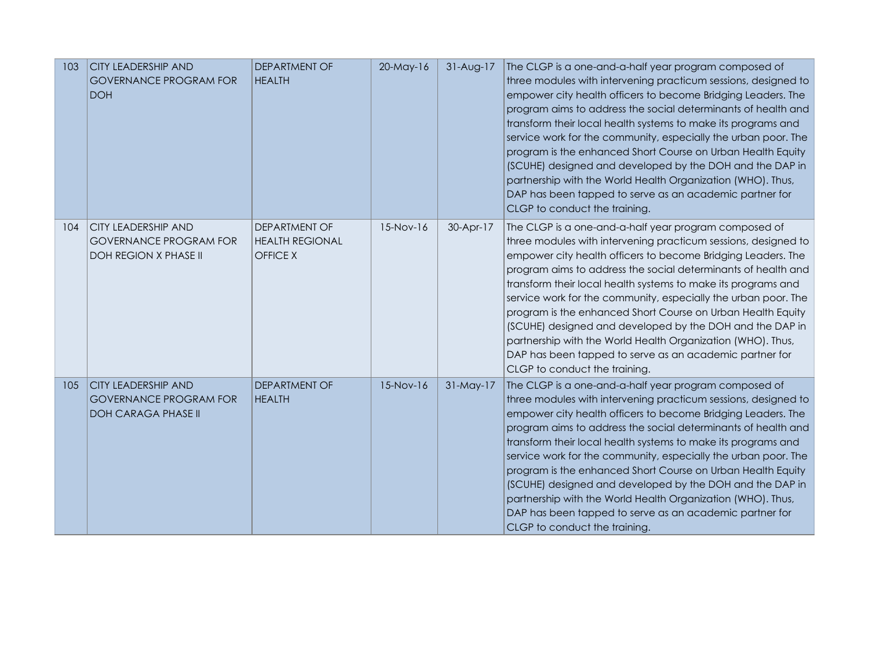| 103 | <b>CITY LEADERSHIP AND</b><br><b>GOVERNANCE PROGRAM FOR</b><br><b>DOH</b>                   | <b>DEPARTMENT OF</b><br><b>HEALTH</b>                             | 20-May-16 | 31-Aug-17 | The CLGP is a one-and-a-half year program composed of<br>three modules with intervening practicum sessions, designed to<br>empower city health officers to become Bridging Leaders. The<br>program aims to address the social determinants of health and<br>transform their local health systems to make its programs and<br>service work for the community, especially the urban poor. The<br>program is the enhanced Short Course on Urban Health Equity<br>(SCUHE) designed and developed by the DOH and the DAP in<br>partnership with the World Health Organization (WHO). Thus,<br>DAP has been tapped to serve as an academic partner for<br>CLGP to conduct the training. |
|-----|---------------------------------------------------------------------------------------------|-------------------------------------------------------------------|-----------|-----------|-----------------------------------------------------------------------------------------------------------------------------------------------------------------------------------------------------------------------------------------------------------------------------------------------------------------------------------------------------------------------------------------------------------------------------------------------------------------------------------------------------------------------------------------------------------------------------------------------------------------------------------------------------------------------------------|
| 104 | <b>CITY LEADERSHIP AND</b><br><b>GOVERNANCE PROGRAM FOR</b><br><b>DOH REGION X PHASE II</b> | <b>DEPARTMENT OF</b><br><b>HEALTH REGIONAL</b><br><b>OFFICE X</b> | 15-Nov-16 | 30-Apr-17 | The CLGP is a one-and-a-half year program composed of<br>three modules with intervening practicum sessions, designed to<br>empower city health officers to become Bridging Leaders. The<br>program aims to address the social determinants of health and<br>transform their local health systems to make its programs and<br>service work for the community, especially the urban poor. The<br>program is the enhanced Short Course on Urban Health Equity<br>(SCUHE) designed and developed by the DOH and the DAP in<br>partnership with the World Health Organization (WHO). Thus,<br>DAP has been tapped to serve as an academic partner for<br>CLGP to conduct the training. |
| 105 | <b>CITY LEADERSHIP AND</b><br><b>GOVERNANCE PROGRAM FOR</b><br><b>DOH CARAGA PHASE II</b>   | <b>DEPARTMENT OF</b><br><b>HEALTH</b>                             | 15-Nov-16 | 31-May-17 | The CLGP is a one-and-a-half year program composed of<br>three modules with intervening practicum sessions, designed to<br>empower city health officers to become Bridging Leaders. The<br>program aims to address the social determinants of health and<br>transform their local health systems to make its programs and<br>service work for the community, especially the urban poor. The<br>program is the enhanced Short Course on Urban Health Equity<br>(SCUHE) designed and developed by the DOH and the DAP in<br>partnership with the World Health Organization (WHO). Thus,<br>DAP has been tapped to serve as an academic partner for<br>CLGP to conduct the training. |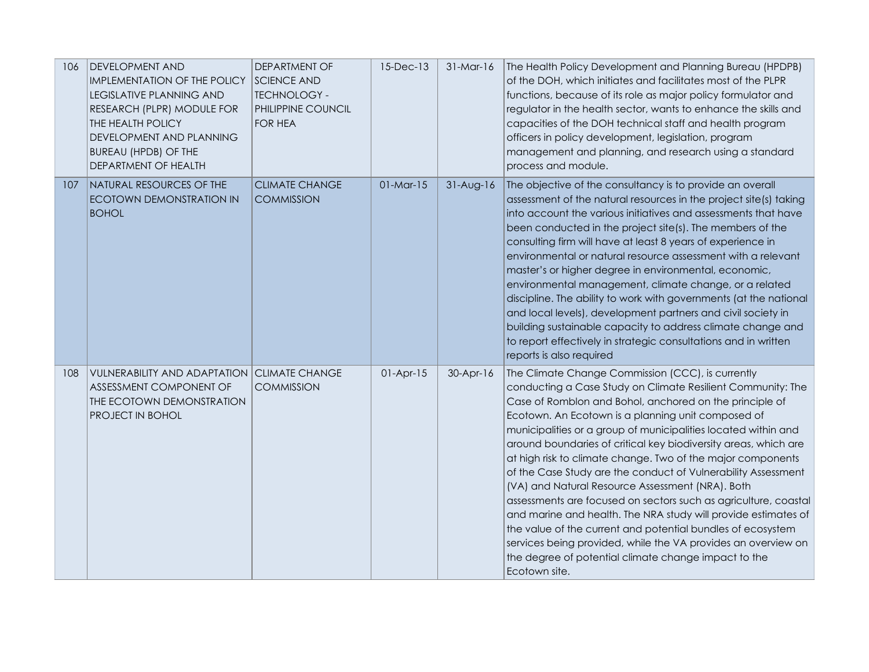| 106 | DEVELOPMENT AND<br><b>IMPLEMENTATION OF THE POLICY</b><br><b>LEGISLATIVE PLANNING AND</b><br>RESEARCH (PLPR) MODULE FOR<br>THE HEALTH POLICY<br>DEVELOPMENT AND PLANNING<br><b>BUREAU (HPDB) OF THE</b><br>DEPARTMENT OF HEALTH | DEPARTMENT OF<br><b>SCIENCE AND</b><br><b>TECHNOLOGY -</b><br>PHILIPPINE COUNCIL<br><b>FOR HEA</b> | 15-Dec-13   | $31-Mar-16$ | The Health Policy Development and Planning Bureau (HPDPB)<br>of the DOH, which initiates and facilitates most of the PLPR<br>functions, because of its role as major policy formulator and<br>regulator in the health sector, wants to enhance the skills and<br>capacities of the DOH technical staff and health program<br>officers in policy development, legislation, program<br>management and planning, and research using a standard<br>process and module.                                                                                                                                                                                                                                                                                                                                                                                                                                       |
|-----|---------------------------------------------------------------------------------------------------------------------------------------------------------------------------------------------------------------------------------|----------------------------------------------------------------------------------------------------|-------------|-------------|----------------------------------------------------------------------------------------------------------------------------------------------------------------------------------------------------------------------------------------------------------------------------------------------------------------------------------------------------------------------------------------------------------------------------------------------------------------------------------------------------------------------------------------------------------------------------------------------------------------------------------------------------------------------------------------------------------------------------------------------------------------------------------------------------------------------------------------------------------------------------------------------------------|
| 107 | NATURAL RESOURCES OF THE<br><b>ECOTOWN DEMONSTRATION IN</b><br><b>BOHOL</b>                                                                                                                                                     | <b>CLIMATE CHANGE</b><br><b>COMMISSION</b>                                                         | $01-Mar-15$ | $31-Aug-16$ | The objective of the consultancy is to provide an overall<br>assessment of the natural resources in the project site(s) taking<br>into account the various initiatives and assessments that have<br>been conducted in the project site(s). The members of the<br>consulting firm will have at least 8 years of experience in<br>environmental or natural resource assessment with a relevant<br>master's or higher degree in environmental, economic,<br>environmental management, climate change, or a related<br>discipline. The ability to work with governments (at the national<br>and local levels), development partners and civil society in<br>building sustainable capacity to address climate change and<br>to report effectively in strategic consultations and in written<br>reports is also required                                                                                       |
| 108 | <b>VULNERABILITY AND ADAPTATION CLIMATE CHANGE</b><br>ASSESSMENT COMPONENT OF<br>THE ECOTOWN DEMONSTRATION<br>PROJECT IN BOHOL                                                                                                  | <b>COMMISSION</b>                                                                                  | $01-Apr-15$ | 30-Apr-16   | The Climate Change Commission (CCC), is currently<br>conducting a Case Study on Climate Resilient Community: The<br>Case of Romblon and Bohol, anchored on the principle of<br>Ecotown. An Ecotown is a planning unit composed of<br>municipalities or a group of municipalities located within and<br>around boundaries of critical key biodiversity areas, which are<br>at high risk to climate change. Two of the major components<br>of the Case Study are the conduct of Vulnerability Assessment<br>(VA) and Natural Resource Assessment (NRA). Both<br>assessments are focused on sectors such as agriculture, coastal<br>and marine and health. The NRA study will provide estimates of<br>the value of the current and potential bundles of ecosystem<br>services being provided, while the VA provides an overview on<br>the degree of potential climate change impact to the<br>Ecotown site. |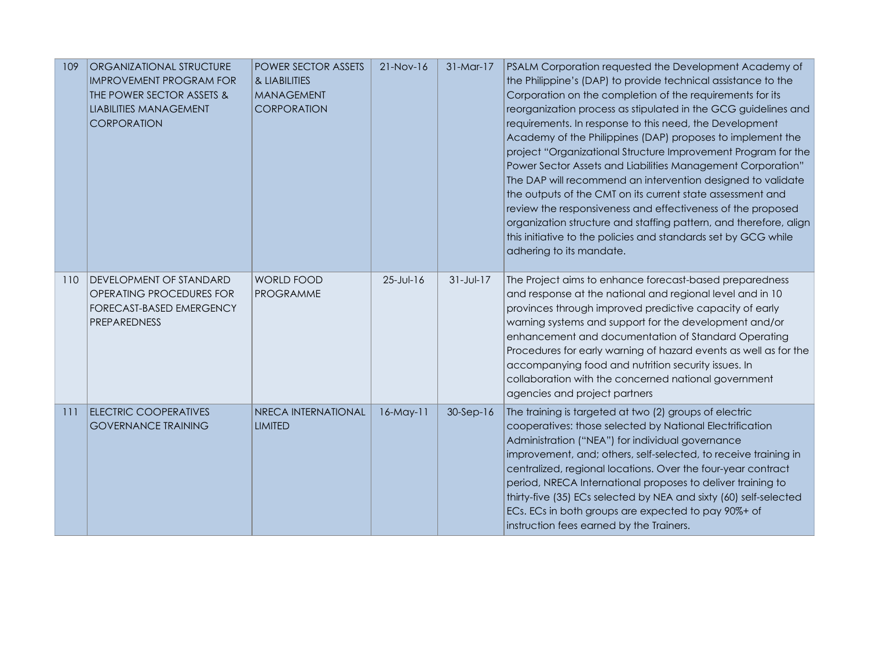| 109 | ORGANIZATIONAL STRUCTURE<br><b>IMPROVEMENT PROGRAM FOR</b><br>THE POWER SECTOR ASSETS &<br><b>LIABILITIES MANAGEMENT</b><br><b>CORPORATION</b> | <b>POWER SECTOR ASSETS</b><br>& LIABILITIES<br><b>MANAGEMENT</b><br><b>CORPORATION</b> | $21-Nov-16$     | 31-Mar-17       | PSALM Corporation requested the Development Academy of<br>the Philippine's (DAP) to provide technical assistance to the<br>Corporation on the completion of the requirements for its<br>reorganization process as stipulated in the GCG guidelines and<br>requirements. In response to this need, the Development<br>Academy of the Philippines (DAP) proposes to implement the<br>project "Organizational Structure Improvement Program for the<br>Power Sector Assets and Liabilities Management Corporation"<br>The DAP will recommend an intervention designed to validate<br>the outputs of the CMT on its current state assessment and<br>review the responsiveness and effectiveness of the proposed<br>organization structure and staffing pattern, and therefore, align<br>this initiative to the policies and standards set by GCG while<br>adhering to its mandate. |
|-----|------------------------------------------------------------------------------------------------------------------------------------------------|----------------------------------------------------------------------------------------|-----------------|-----------------|--------------------------------------------------------------------------------------------------------------------------------------------------------------------------------------------------------------------------------------------------------------------------------------------------------------------------------------------------------------------------------------------------------------------------------------------------------------------------------------------------------------------------------------------------------------------------------------------------------------------------------------------------------------------------------------------------------------------------------------------------------------------------------------------------------------------------------------------------------------------------------|
| 110 | DEVELOPMENT OF STANDARD<br>OPERATING PROCEDURES FOR<br>FORECAST-BASED EMERGENCY<br>PREPAREDNESS                                                | <b>WORLD FOOD</b><br><b>PROGRAMME</b>                                                  | $25 - Jul - 16$ | $31 - Jul - 17$ | The Project aims to enhance forecast-based preparedness<br>and response at the national and regional level and in 10<br>provinces through improved predictive capacity of early<br>warning systems and support for the development and/or<br>enhancement and documentation of Standard Operating<br>Procedures for early warning of hazard events as well as for the<br>accompanying food and nutrition security issues. In<br>collaboration with the concerned national government<br>agencies and project partners                                                                                                                                                                                                                                                                                                                                                           |
| 111 | <b>ELECTRIC COOPERATIVES</b><br><b>GOVERNANCE TRAINING</b>                                                                                     | NRECA INTERNATIONAL<br><b>LIMITED</b>                                                  | 16-May-11       | $30-Sep-16$     | The training is targeted at two (2) groups of electric<br>cooperatives: those selected by National Electrification<br>Administration ("NEA") for individual governance<br>improvement, and; others, self-selected, to receive training in<br>centralized, regional locations. Over the four-year contract<br>period, NRECA International proposes to deliver training to<br>thirty-five (35) ECs selected by NEA and sixty (60) self-selected<br>ECs. ECs in both groups are expected to pay 90%+ of<br>instruction fees earned by the Trainers.                                                                                                                                                                                                                                                                                                                               |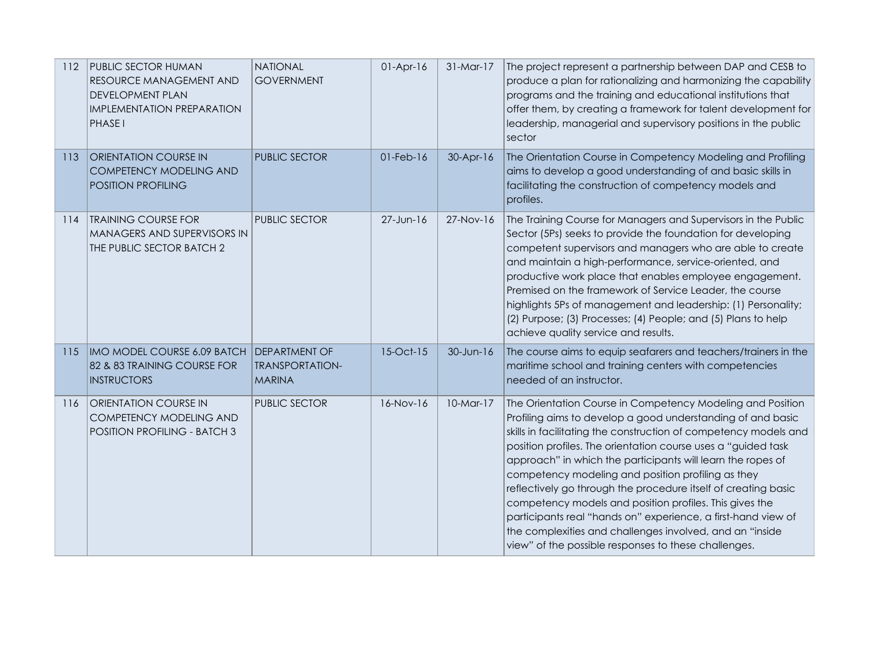| 112 | PUBLIC SECTOR HUMAN<br>RESOURCE MANAGEMENT AND<br><b>DEVELOPMENT PLAN</b><br>IMPLEMENTATION PREPARATION<br>PHASE I | <b>NATIONAL</b><br><b>GOVERNMENT</b>                            | $01-Apr-16$     | $31-Mar-17$ | The project represent a partnership between DAP and CESB to<br>produce a plan for rationalizing and harmonizing the capability<br>programs and the training and educational institutions that<br>offer them, by creating a framework for talent development for<br>leadership, managerial and supervisory positions in the public<br>sector                                                                                                                                                                                                                                                                                                                                                           |
|-----|--------------------------------------------------------------------------------------------------------------------|-----------------------------------------------------------------|-----------------|-------------|-------------------------------------------------------------------------------------------------------------------------------------------------------------------------------------------------------------------------------------------------------------------------------------------------------------------------------------------------------------------------------------------------------------------------------------------------------------------------------------------------------------------------------------------------------------------------------------------------------------------------------------------------------------------------------------------------------|
| 113 | ORIENTATION COURSE IN<br>COMPETENCY MODELING AND<br>POSITION PROFILING                                             | <b>PUBLIC SECTOR</b>                                            | $01$ -Feb- $16$ | $30-Apr-16$ | The Orientation Course in Competency Modeling and Profiling<br>aims to develop a good understanding of and basic skills in<br>facilitating the construction of competency models and<br>profiles.                                                                                                                                                                                                                                                                                                                                                                                                                                                                                                     |
| 114 | <b>TRAINING COURSE FOR</b><br>MANAGERS AND SUPERVISORS IN<br>THE PUBLIC SECTOR BATCH 2                             | <b>PUBLIC SECTOR</b>                                            | 27-Jun-16       | $27-Nov-16$ | The Training Course for Managers and Supervisors in the Public<br>Sector (5Ps) seeks to provide the foundation for developing<br>competent supervisors and managers who are able to create<br>and maintain a high-performance, service-oriented, and<br>productive work place that enables employee engagement.<br>Premised on the framework of Service Leader, the course<br>highlights 5Ps of management and leadership: (1) Personality;<br>(2) Purpose; (3) Processes; (4) People; and (5) Plans to help<br>achieve quality service and results.                                                                                                                                                  |
| 115 | IMO MODEL COURSE 6.09 BATCH<br>82 & 83 TRAINING COURSE FOR<br><b>INSTRUCTORS</b>                                   | <b>DEPARTMENT OF</b><br><b>TRANSPORTATION-</b><br><b>MARINA</b> | 15-Oct-15       | 30-Jun-16   | The course aims to equip seafarers and teachers/trainers in the<br>maritime school and training centers with competencies<br>needed of an instructor.                                                                                                                                                                                                                                                                                                                                                                                                                                                                                                                                                 |
| 116 | ORIENTATION COURSE IN<br>COMPETENCY MODELING AND<br>POSITION PROFILING - BATCH 3                                   | <b>PUBLIC SECTOR</b>                                            | 16-Nov-16       | $10-Mar-17$ | The Orientation Course in Competency Modeling and Position<br>Profiling aims to develop a good understanding of and basic<br>skills in facilitating the construction of competency models and<br>position profiles. The orientation course uses a "guided task<br>approach" in which the participants will learn the ropes of<br>competency modeling and position profiling as they<br>reflectively go through the procedure itself of creating basic<br>competency models and position profiles. This gives the<br>participants real "hands on" experience, a first-hand view of<br>the complexities and challenges involved, and an "inside<br>view" of the possible responses to these challenges. |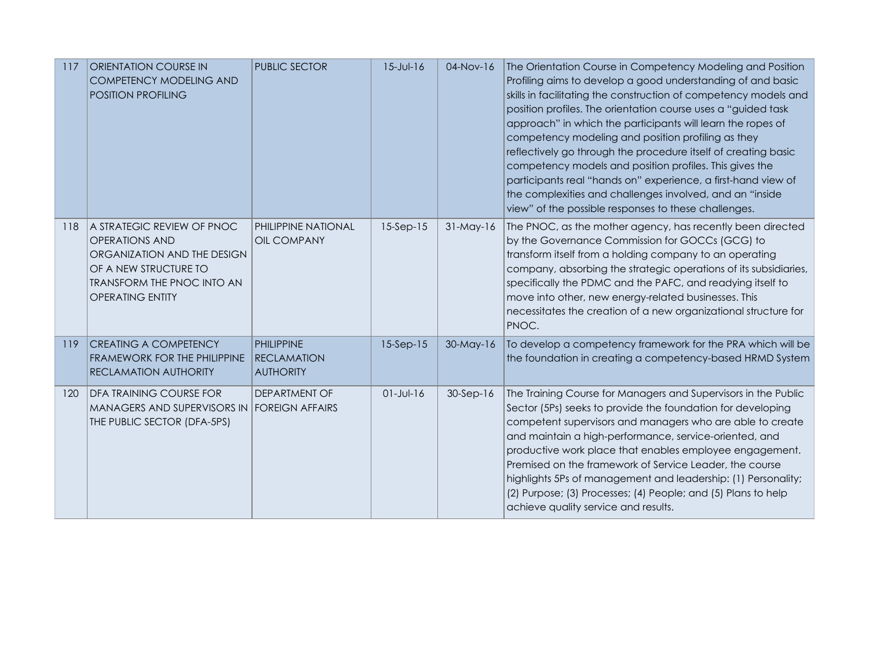| 117 | <b>ORIENTATION COURSE IN</b><br><b>COMPETENCY MODELING AND</b><br><b>POSITION PROFILING</b>                                                                                 | <b>PUBLIC SECTOR</b>                                        | $15 - Jul - 16$ | 04-Nov-16   | The Orientation Course in Competency Modeling and Position<br>Profiling aims to develop a good understanding of and basic<br>skills in facilitating the construction of competency models and<br>position profiles. The orientation course uses a "guided task<br>approach" in which the participants will learn the ropes of<br>competency modeling and position profiling as they<br>reflectively go through the procedure itself of creating basic<br>competency models and position profiles. This gives the<br>participants real "hands on" experience, a first-hand view of<br>the complexities and challenges involved, and an "inside<br>view" of the possible responses to these challenges. |
|-----|-----------------------------------------------------------------------------------------------------------------------------------------------------------------------------|-------------------------------------------------------------|-----------------|-------------|-------------------------------------------------------------------------------------------------------------------------------------------------------------------------------------------------------------------------------------------------------------------------------------------------------------------------------------------------------------------------------------------------------------------------------------------------------------------------------------------------------------------------------------------------------------------------------------------------------------------------------------------------------------------------------------------------------|
| 118 | A STRATEGIC REVIEW OF PNOC<br><b>OPERATIONS AND</b><br>ORGANIZATION AND THE DESIGN<br>OF A NEW STRUCTURE TO<br><b>TRANSFORM THE PNOC INTO AN</b><br><b>OPERATING ENTITY</b> | <b>PHILIPPINE NATIONAL</b><br><b>OIL COMPANY</b>            | $15-Sep-15$     | $31-May-16$ | The PNOC, as the mother agency, has recently been directed<br>by the Governance Commission for GOCCs (GCG) to<br>transform itself from a holding company to an operating<br>company, absorbing the strategic operations of its subsidiaries,<br>specifically the PDMC and the PAFC, and readying itself to<br>move into other, new energy-related businesses. This<br>necessitates the creation of a new organizational structure for<br>PNOC.                                                                                                                                                                                                                                                        |
| 119 | <b>CREATING A COMPETENCY</b><br>FRAMEWORK FOR THE PHILIPPINE<br><b>RECLAMATION AUTHORITY</b>                                                                                | <b>PHILIPPINE</b><br><b>RECLAMATION</b><br><b>AUTHORITY</b> | $15-Sep-15$     | 30-May-16   | To develop a competency framework for the PRA which will be<br>the foundation in creating a competency-based HRMD System                                                                                                                                                                                                                                                                                                                                                                                                                                                                                                                                                                              |
| 120 | DFA TRAINING COURSE FOR<br>MANAGERS AND SUPERVISORS IN<br>THE PUBLIC SECTOR (DFA-5PS)                                                                                       | <b>DEPARTMENT OF</b><br><b>FOREIGN AFFAIRS</b>              | $01 - Jul - 16$ | $30-Sep-16$ | The Training Course for Managers and Supervisors in the Public<br>Sector (5Ps) seeks to provide the foundation for developing<br>competent supervisors and managers who are able to create<br>and maintain a high-performance, service-oriented, and<br>productive work place that enables employee engagement.<br>Premised on the framework of Service Leader, the course<br>highlights 5Ps of management and leadership: (1) Personality;<br>(2) Purpose; (3) Processes; (4) People; and (5) Plans to help<br>achieve quality service and results.                                                                                                                                                  |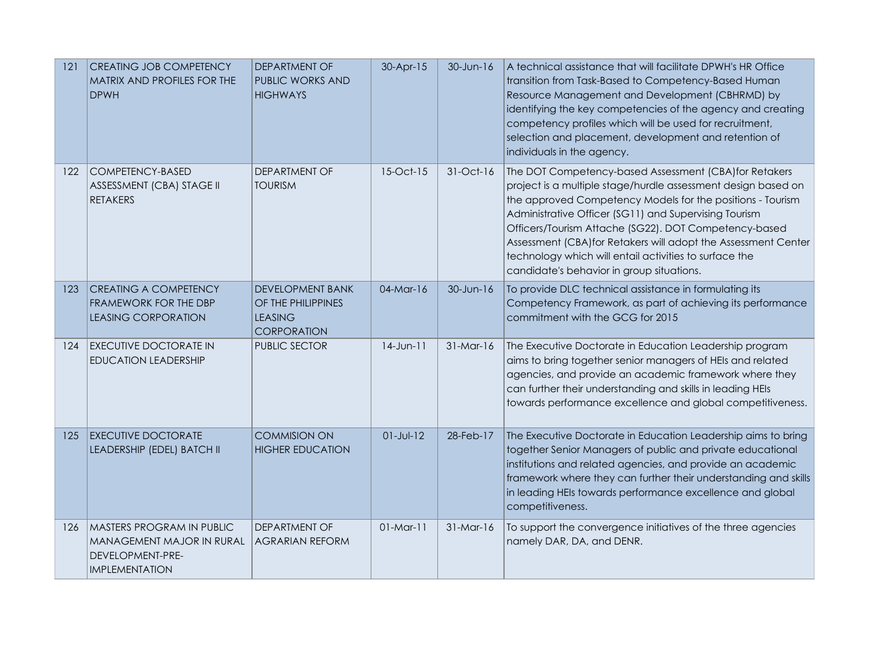| 121 | <b>CREATING JOB COMPETENCY</b><br>MATRIX AND PROFILES FOR THE<br><b>DPWH</b>                               | <b>DEPARTMENT OF</b><br>PUBLIC WORKS AND<br><b>HIGHWAYS</b>                           | 30-Apr-15       | $30$ -Jun-16 | A technical assistance that will facilitate DPWH's HR Office<br>transition from Task-Based to Competency-Based Human<br>Resource Management and Development (CBHRMD) by<br>identifying the key competencies of the agency and creating<br>competency profiles which will be used for recruitment,<br>selection and placement, development and retention of<br>individuals in the agency.                                                                                         |
|-----|------------------------------------------------------------------------------------------------------------|---------------------------------------------------------------------------------------|-----------------|--------------|----------------------------------------------------------------------------------------------------------------------------------------------------------------------------------------------------------------------------------------------------------------------------------------------------------------------------------------------------------------------------------------------------------------------------------------------------------------------------------|
| 122 | COMPETENCY-BASED<br>ASSESSMENT (CBA) STAGE II<br><b>RETAKERS</b>                                           | <b>DEPARTMENT OF</b><br><b>TOURISM</b>                                                | 15-Oct-15       | 31-Oct-16    | The DOT Competency-based Assessment (CBA) for Retakers<br>project is a multiple stage/hurdle assessment design based on<br>the approved Competency Models for the positions - Tourism<br>Administrative Officer (SG11) and Supervising Tourism<br>Officers/Tourism Attache (SG22). DOT Competency-based<br>Assessment (CBA) for Retakers will adopt the Assessment Center<br>technology which will entail activities to surface the<br>candidate's behavior in group situations. |
| 123 | <b>CREATING A COMPETENCY</b><br>FRAMEWORK FOR THE DBP<br><b>LEASING CORPORATION</b>                        | <b>DEVELOPMENT BANK</b><br>OF THE PHILIPPINES<br><b>LEASING</b><br><b>CORPORATION</b> | 04-Mar-16       | $30$ -Jun-16 | To provide DLC technical assistance in formulating its<br>Competency Framework, as part of achieving its performance<br>commitment with the GCG for 2015                                                                                                                                                                                                                                                                                                                         |
| 124 | <b>EXECUTIVE DOCTORATE IN</b><br><b>EDUCATION LEADERSHIP</b>                                               | PUBLIC SECTOR                                                                         | $14$ -Jun- $11$ | $31-Mar-16$  | The Executive Doctorate in Education Leadership program<br>aims to bring together senior managers of HEIs and related<br>agencies, and provide an academic framework where they<br>can further their understanding and skills in leading HEIs<br>towards performance excellence and global competitiveness.                                                                                                                                                                      |
| 125 | <b>EXECUTIVE DOCTORATE</b><br>LEADERSHIP (EDEL) BATCH II                                                   | <b>COMMISION ON</b><br><b>HIGHER EDUCATION</b>                                        | $01 - Jul - 12$ | 28-Feb-17    | The Executive Doctorate in Education Leadership aims to bring<br>together Senior Managers of public and private educational<br>institutions and related agencies, and provide an academic<br>framework where they can further their understanding and skills<br>in leading HEIs towards performance excellence and global<br>competitiveness.                                                                                                                                    |
| 126 | <b>MASTERS PROGRAM IN PUBLIC</b><br>MANAGEMENT MAJOR IN RURAL<br>DEVELOPMENT-PRE-<br><b>IMPLEMENTATION</b> | <b>DEPARTMENT OF</b><br><b>AGRARIAN REFORM</b>                                        | $01$ -Mar-11    | $31-Mar-16$  | To support the convergence initiatives of the three agencies<br>namely DAR, DA, and DENR.                                                                                                                                                                                                                                                                                                                                                                                        |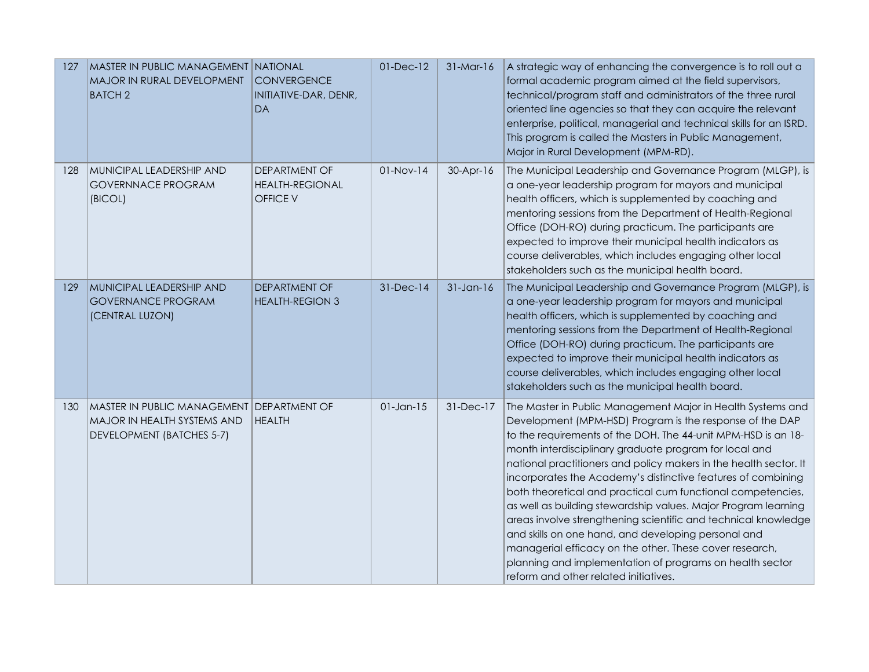| 127 | MASTER IN PUBLIC MANAGEMENT NATIONAL<br>MAJOR IN RURAL DEVELOPMENT<br><b>BATCH2</b>                   | <b>CONVERGENCE</b><br>INITIATIVE-DAR, DENR,<br><b>DA</b> | $01$ -Dec- $12$ | $31-Mar-16$     | A strategic way of enhancing the convergence is to roll out a<br>formal academic program aimed at the field supervisors,<br>technical/program staff and administrators of the three rural<br>oriented line agencies so that they can acquire the relevant<br>enterprise, political, managerial and technical skills for an ISRD.<br>This program is called the Masters in Public Management,<br>Major in Rural Development (MPM-RD).                                                                                                                                                                                                                                                                                                                                                                              |
|-----|-------------------------------------------------------------------------------------------------------|----------------------------------------------------------|-----------------|-----------------|-------------------------------------------------------------------------------------------------------------------------------------------------------------------------------------------------------------------------------------------------------------------------------------------------------------------------------------------------------------------------------------------------------------------------------------------------------------------------------------------------------------------------------------------------------------------------------------------------------------------------------------------------------------------------------------------------------------------------------------------------------------------------------------------------------------------|
| 128 | MUNICIPAL LEADERSHIP AND<br><b>GOVERNNACE PROGRAM</b><br>(BICOL)                                      | DEPARTMENT OF<br><b>HEALTH-REGIONAL</b><br>OFFICE V      | $01-Nov-14$     | $30-Apr-16$     | The Municipal Leadership and Governance Program (MLGP), is<br>a one-year leadership program for mayors and municipal<br>health officers, which is supplemented by coaching and<br>mentoring sessions from the Department of Health-Regional<br>Office (DOH-RO) during practicum. The participants are<br>expected to improve their municipal health indicators as<br>course deliverables, which includes engaging other local<br>stakeholders such as the municipal health board.                                                                                                                                                                                                                                                                                                                                 |
| 129 | MUNICIPAL LEADERSHIP AND<br><b>GOVERNANCE PROGRAM</b><br>(CENTRAL LUZON)                              | DEPARTMENT OF<br><b>HEALTH-REGION 3</b>                  | 31-Dec-14       | $31$ -Jan- $16$ | The Municipal Leadership and Governance Program (MLGP), is<br>a one-year leadership program for mayors and municipal<br>health officers, which is supplemented by coaching and<br>mentoring sessions from the Department of Health-Regional<br>Office (DOH-RO) during practicum. The participants are<br>expected to improve their municipal health indicators as<br>course deliverables, which includes engaging other local<br>stakeholders such as the municipal health board.                                                                                                                                                                                                                                                                                                                                 |
| 130 | MASTER IN PUBLIC MANAGEMENT DEPARTMENT OF<br>MAJOR IN HEALTH SYSTEMS AND<br>DEVELOPMENT (BATCHES 5-7) | <b>HEALTH</b>                                            | $01$ -Jan-15    | 31-Dec-17       | The Master in Public Management Major in Health Systems and<br>Development (MPM-HSD) Program is the response of the DAP<br>to the requirements of the DOH. The 44-unit MPM-HSD is an 18-<br>month interdisciplinary graduate program for local and<br>national practitioners and policy makers in the health sector. It<br>incorporates the Academy's distinctive features of combining<br>both theoretical and practical cum functional competencies,<br>as well as building stewardship values. Major Program learning<br>areas involve strengthening scientific and technical knowledge<br>and skills on one hand, and developing personal and<br>managerial efficacy on the other. These cover research,<br>planning and implementation of programs on health sector<br>reform and other related initiatives. |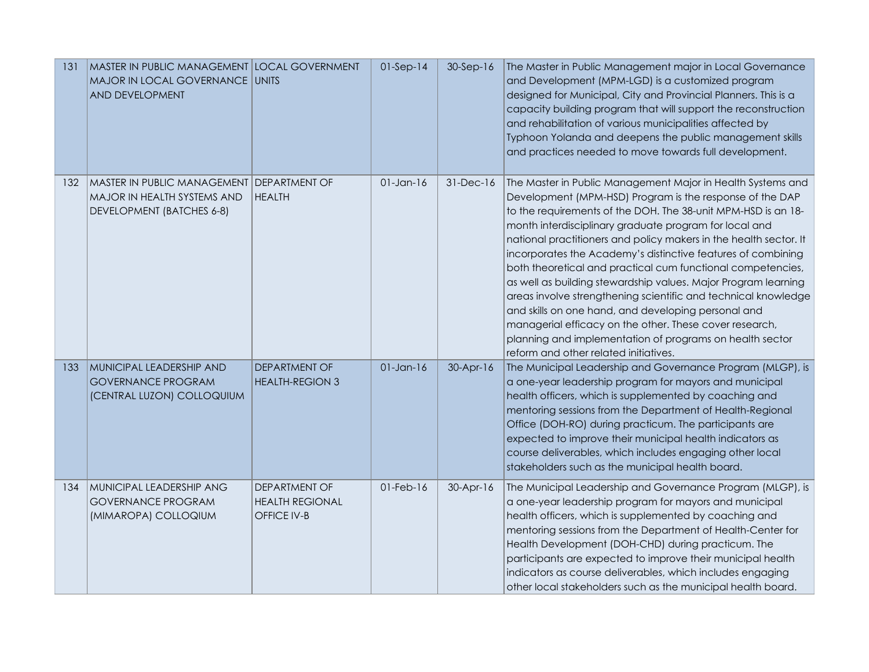| 131 | MASTER IN PUBLIC MANAGEMENT LOCAL GOVERNMENT<br>MAJOR IN LOCAL GOVERNANCE UNITS<br>AND DEVELOPMENT    |                                                        | $01-Sep-14$     | 30-Sep-16       | The Master in Public Management major in Local Governance<br>and Development (MPM-LGD) is a customized program<br>designed for Municipal, City and Provincial Planners. This is a<br>capacity building program that will support the reconstruction<br>and rehabilitation of various municipalities affected by<br>Typhoon Yolanda and deepens the public management skills<br>and practices needed to move towards full development.                                                                                                                                                                                                                                                                                                                                                                             |
|-----|-------------------------------------------------------------------------------------------------------|--------------------------------------------------------|-----------------|-----------------|-------------------------------------------------------------------------------------------------------------------------------------------------------------------------------------------------------------------------------------------------------------------------------------------------------------------------------------------------------------------------------------------------------------------------------------------------------------------------------------------------------------------------------------------------------------------------------------------------------------------------------------------------------------------------------------------------------------------------------------------------------------------------------------------------------------------|
| 132 | MASTER IN PUBLIC MANAGEMENT DEPARTMENT OF<br>MAJOR IN HEALTH SYSTEMS AND<br>DEVELOPMENT (BATCHES 6-8) | <b>HEALTH</b>                                          | $01$ -Jan- $16$ | $31$ -Dec- $16$ | The Master in Public Management Major in Health Systems and<br>Development (MPM-HSD) Program is the response of the DAP<br>to the requirements of the DOH. The 38-unit MPM-HSD is an 18-<br>month interdisciplinary graduate program for local and<br>national practitioners and policy makers in the health sector. It<br>incorporates the Academy's distinctive features of combining<br>both theoretical and practical cum functional competencies,<br>as well as building stewardship values. Major Program learning<br>areas involve strengthening scientific and technical knowledge<br>and skills on one hand, and developing personal and<br>managerial efficacy on the other. These cover research,<br>planning and implementation of programs on health sector<br>reform and other related initiatives. |
| 133 | MUNICIPAL LEADERSHIP AND<br><b>GOVERNANCE PROGRAM</b><br>(CENTRAL LUZON) COLLOQUIUM                   | DEPARTMENT OF<br><b>HEALTH-REGION 3</b>                | $01$ -Jan-16    | 30-Apr-16       | The Municipal Leadership and Governance Program (MLGP), is<br>a one-year leadership program for mayors and municipal<br>health officers, which is supplemented by coaching and<br>mentoring sessions from the Department of Health-Regional<br>Office (DOH-RO) during practicum. The participants are<br>expected to improve their municipal health indicators as<br>course deliverables, which includes engaging other local<br>stakeholders such as the municipal health board.                                                                                                                                                                                                                                                                                                                                 |
| 134 | MUNICIPAL LEADERSHIP ANG<br><b>GOVERNANCE PROGRAM</b><br>(MIMAROPA) COLLOQIUM                         | DEPARTMENT OF<br><b>HEALTH REGIONAL</b><br>OFFICE IV-B | $01$ -Feb- $16$ | $30-Apr-16$     | The Municipal Leadership and Governance Program (MLGP), is<br>a one-year leadership program for mayors and municipal<br>health officers, which is supplemented by coaching and<br>mentoring sessions from the Department of Health-Center for<br>Health Development (DOH-CHD) during practicum. The<br>participants are expected to improve their municipal health<br>indicators as course deliverables, which includes engaging<br>other local stakeholders such as the municipal health board.                                                                                                                                                                                                                                                                                                                  |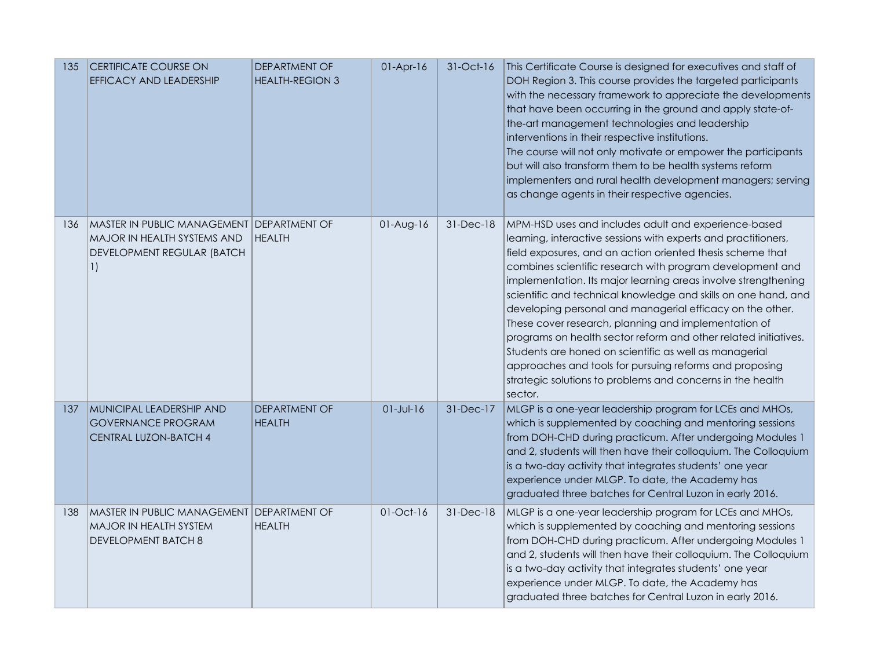| 135 | <b>CERTIFICATE COURSE ON</b><br>EFFICACY AND LEADERSHIP                                                                    | DEPARTMENT OF<br><b>HEALTH-REGION 3</b> | $01-Apr-16$     | 31-Oct-16 | This Certificate Course is designed for executives and staff of<br>DOH Region 3. This course provides the targeted participants<br>with the necessary framework to appreciate the developments<br>that have been occurring in the ground and apply state-of-<br>the-art management technologies and leadership<br>interventions in their respective institutions.<br>The course will not only motivate or empower the participants<br>but will also transform them to be health systems reform<br>implementers and rural health development managers; serving<br>as change agents in their respective agencies.                                                                                                                                                             |
|-----|----------------------------------------------------------------------------------------------------------------------------|-----------------------------------------|-----------------|-----------|-----------------------------------------------------------------------------------------------------------------------------------------------------------------------------------------------------------------------------------------------------------------------------------------------------------------------------------------------------------------------------------------------------------------------------------------------------------------------------------------------------------------------------------------------------------------------------------------------------------------------------------------------------------------------------------------------------------------------------------------------------------------------------|
| 136 | MASTER IN PUBLIC MANAGEMENT DEPARTMENT OF<br>MAJOR IN HEALTH SYSTEMS AND<br>DEVELOPMENT REGULAR (BATCH<br>$\left  \right $ | <b>HEALTH</b>                           | $01-Aug-16$     | 31-Dec-18 | MPM-HSD uses and includes adult and experience-based<br>learning, interactive sessions with experts and practitioners,<br>field exposures, and an action oriented thesis scheme that<br>combines scientific research with program development and<br>implementation. Its major learning areas involve strengthening<br>scientific and technical knowledge and skills on one hand, and<br>developing personal and managerial efficacy on the other.<br>These cover research, planning and implementation of<br>programs on health sector reform and other related initiatives.<br>Students are honed on scientific as well as managerial<br>approaches and tools for pursuing reforms and proposing<br>strategic solutions to problems and concerns in the health<br>sector. |
| 137 | MUNICIPAL LEADERSHIP AND<br><b>GOVERNANCE PROGRAM</b><br><b>CENTRAL LUZON-BATCH 4</b>                                      | <b>DEPARTMENT OF</b><br><b>HEALTH</b>   | $01 - Jul - 16$ | 31-Dec-17 | MLGP is a one-year leadership program for LCEs and MHOs,<br>which is supplemented by coaching and mentoring sessions<br>from DOH-CHD during practicum. After undergoing Modules 1<br>and 2, students will then have their colloquium. The Colloquium<br>is a two-day activity that integrates students' one year<br>experience under MLGP. To date, the Academy has<br>graduated three batches for Central Luzon in early 2016.                                                                                                                                                                                                                                                                                                                                             |
| 138 | MASTER IN PUBLIC MANAGEMENT DEPARTMENT OF<br>MAJOR IN HEALTH SYSTEM<br><b>DEVELOPMENT BATCH 8</b>                          | <b>HEALTH</b>                           | 01-Oct-16       | 31-Dec-18 | MLGP is a one-year leadership program for LCEs and MHOs,<br>which is supplemented by coaching and mentoring sessions<br>from DOH-CHD during practicum. After undergoing Modules 1<br>and 2, students will then have their colloquium. The Colloquium<br>is a two-day activity that integrates students' one year<br>experience under MLGP. To date, the Academy has<br>graduated three batches for Central Luzon in early 2016.                                                                                                                                                                                                                                                                                                                                             |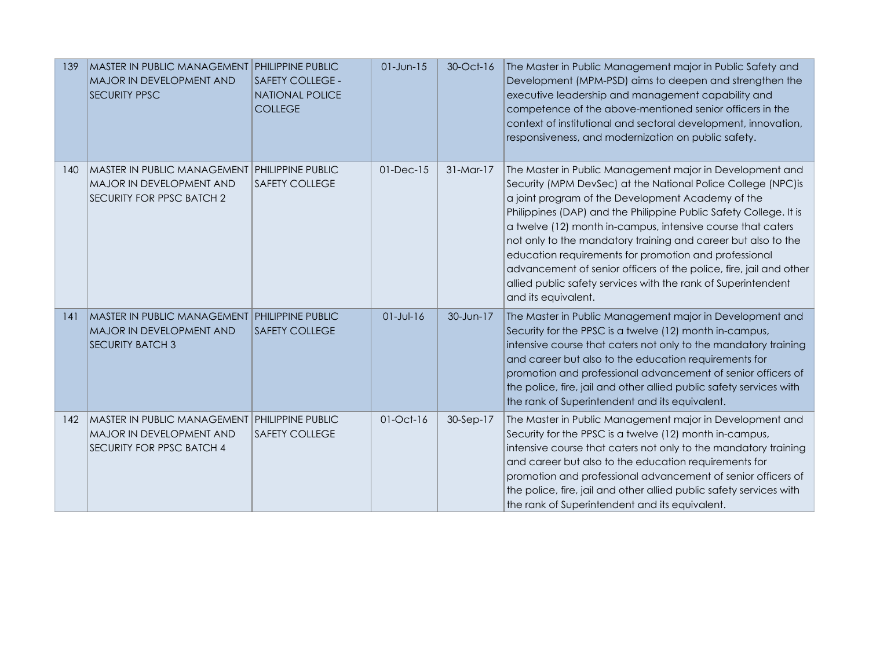| 139 | <b>MASTER IN PUBLIC MANAGEMENT</b><br>MAJOR IN DEVELOPMENT AND<br><b>SECURITY PPSC</b>                        | PHILIPPINE PUBLIC<br><b>SAFETY COLLEGE -</b><br><b>NATIONAL POLICE</b><br><b>COLLEGE</b> | $01$ -Jun- $15$ | 30-Oct-16   | The Master in Public Management major in Public Safety and<br>Development (MPM-PSD) aims to deepen and strengthen the<br>executive leadership and management capability and<br>competence of the above-mentioned senior officers in the<br>context of institutional and sectoral development, innovation,<br>responsiveness, and modernization on public safety.                                                                                                                                                                                                                                           |
|-----|---------------------------------------------------------------------------------------------------------------|------------------------------------------------------------------------------------------|-----------------|-------------|------------------------------------------------------------------------------------------------------------------------------------------------------------------------------------------------------------------------------------------------------------------------------------------------------------------------------------------------------------------------------------------------------------------------------------------------------------------------------------------------------------------------------------------------------------------------------------------------------------|
| 140 | <b>MASTER IN PUBLIC MANAGEMENT</b><br>MAJOR IN DEVELOPMENT AND<br>SECURITY FOR PPSC BATCH 2                   | <b>PHILIPPINE PUBLIC</b><br><b>SAFETY COLLEGE</b>                                        | $01$ -Dec- $15$ | $31-Mar-17$ | The Master in Public Management major in Development and<br>Security (MPM DevSec) at the National Police College (NPC) is<br>a joint program of the Development Academy of the<br>Philippines (DAP) and the Philippine Public Safety College. It is<br>a twelve (12) month in-campus, intensive course that caters<br>not only to the mandatory training and career but also to the<br>education requirements for promotion and professional<br>advancement of senior officers of the police, fire, jail and other<br>allied public safety services with the rank of Superintendent<br>and its equivalent. |
| 141 | <b>MASTER IN PUBLIC MANAGEMENT</b><br>MAJOR IN DEVELOPMENT AND<br><b>SECURITY BATCH 3</b>                     | <b>PHILIPPINE PUBLIC</b><br><b>SAFETY COLLEGE</b>                                        | $01 - Jul - 16$ | 30-Jun-17   | The Master in Public Management major in Development and<br>Security for the PPSC is a twelve (12) month in-campus,<br>intensive course that caters not only to the mandatory training<br>and career but also to the education requirements for<br>promotion and professional advancement of senior officers of<br>the police, fire, jail and other allied public safety services with<br>the rank of Superintendent and its equivalent.                                                                                                                                                                   |
| 142 | MASTER IN PUBLIC MANAGEMENT PHILIPPINE PUBLIC<br>MAJOR IN DEVELOPMENT AND<br><b>SECURITY FOR PPSC BATCH 4</b> | <b>SAFETY COLLEGE</b>                                                                    | $01-Oct-16$     | 30-Sep-17   | The Master in Public Management major in Development and<br>Security for the PPSC is a twelve (12) month in-campus,<br>intensive course that caters not only to the mandatory training<br>and career but also to the education requirements for<br>promotion and professional advancement of senior officers of<br>the police, fire, jail and other allied public safety services with<br>the rank of Superintendent and its equivalent.                                                                                                                                                                   |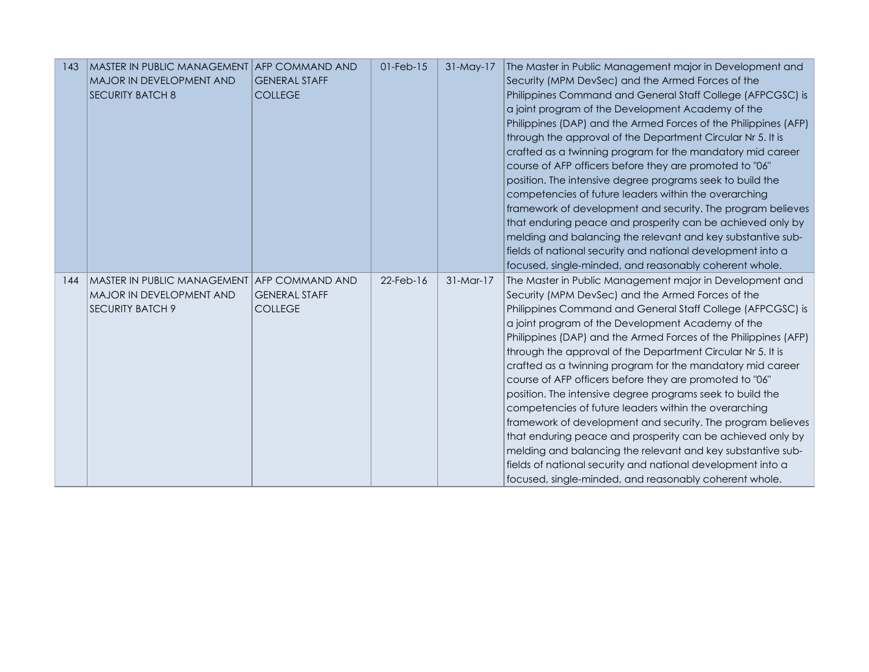| 143 | MASTER IN PUBLIC MANAGEMENT AFP COMMAND AND<br>MAJOR IN DEVELOPMENT AND<br><b>SECURITY BATCH 8</b> | <b>GENERAL STAFF</b><br><b>COLLEGE</b>                           | $01$ -Feb- $15$ | 31-May-17   | The Master in Public Management major in Development and<br>Security (MPM DevSec) and the Armed Forces of the<br>Philippines Command and General Staff College (AFPCGSC) is<br>a joint program of the Development Academy of the<br>Philippines (DAP) and the Armed Forces of the Philippines (AFP)<br>through the approval of the Department Circular Nr 5. It is<br>crafted as a twinning program for the mandatory mid career<br>course of AFP officers before they are promoted to "06"<br>position. The intensive degree programs seek to build the<br>competencies of future leaders within the overarching<br>framework of development and security. The program believes<br>that enduring peace and prosperity can be achieved only by<br>melding and balancing the relevant and key substantive sub-<br>fields of national security and national development into a<br>focused, single-minded, and reasonably coherent whole. |
|-----|----------------------------------------------------------------------------------------------------|------------------------------------------------------------------|-----------------|-------------|----------------------------------------------------------------------------------------------------------------------------------------------------------------------------------------------------------------------------------------------------------------------------------------------------------------------------------------------------------------------------------------------------------------------------------------------------------------------------------------------------------------------------------------------------------------------------------------------------------------------------------------------------------------------------------------------------------------------------------------------------------------------------------------------------------------------------------------------------------------------------------------------------------------------------------------|
| 144 | MASTER IN PUBLIC MANAGEMENT<br>MAJOR IN DEVELOPMENT AND<br><b>SECURITY BATCH 9</b>                 | <b>AFP COMMAND AND</b><br><b>GENERAL STAFF</b><br><b>COLLEGE</b> | $22$ -Feb-16    | $31-Mar-17$ | The Master in Public Management major in Development and<br>Security (MPM DevSec) and the Armed Forces of the<br>Philippines Command and General Staff College (AFPCGSC) is<br>a joint program of the Development Academy of the<br>Philippines (DAP) and the Armed Forces of the Philippines (AFP)<br>through the approval of the Department Circular Nr 5. It is<br>crafted as a twinning program for the mandatory mid career<br>course of AFP officers before they are promoted to "06"<br>position. The intensive degree programs seek to build the<br>competencies of future leaders within the overarching<br>framework of development and security. The program believes<br>that enduring peace and prosperity can be achieved only by<br>melding and balancing the relevant and key substantive sub-<br>fields of national security and national development into a<br>focused, single-minded, and reasonably coherent whole. |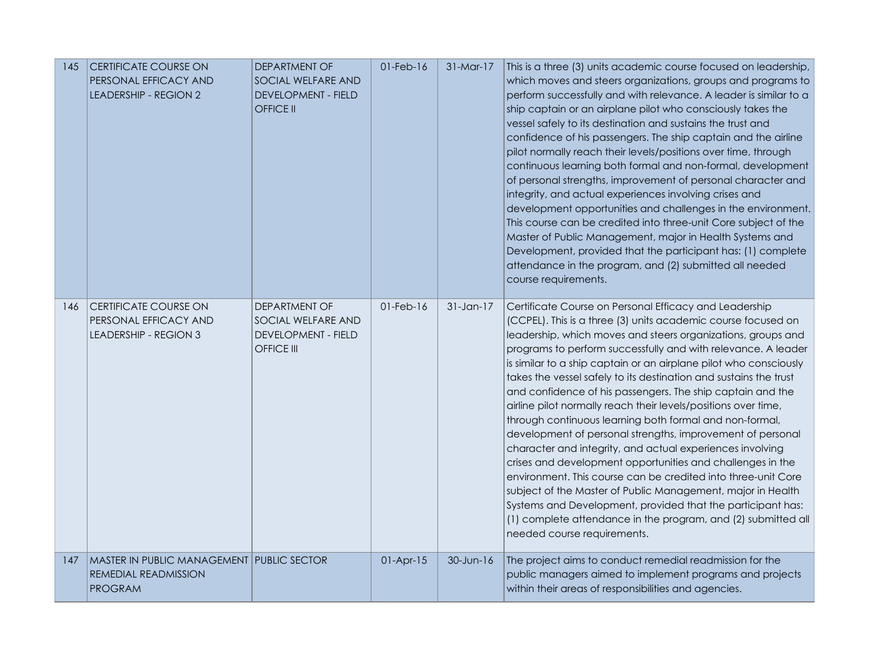| 145 | <b>CERTIFICATE COURSE ON</b><br>PERSONAL EFFICACY AND<br><b>LEADERSHIP - REGION 2</b>      | DEPARTMENT OF<br>SOCIAL WELFARE AND<br><b>DEVELOPMENT - FIELD</b><br><b>OFFICE II</b>  | $01$ -Feb- $16$ | 31-Mar-17    | This is a three (3) units academic course focused on leadership,<br>which moves and steers organizations, groups and programs to<br>perform successfully and with relevance. A leader is similar to a<br>ship captain or an airplane pilot who consciously takes the<br>vessel safely to its destination and sustains the trust and<br>confidence of his passengers. The ship captain and the airline<br>pilot normally reach their levels/positions over time, through<br>continuous learning both formal and non-formal, development<br>of personal strengths, improvement of personal character and<br>integrity, and actual experiences involving crises and<br>development opportunities and challenges in the environment.<br>This course can be credited into three-unit Core subject of the<br>Master of Public Management, major in Health Systems and<br>Development, provided that the participant has: (1) complete<br>attendance in the program, and (2) submitted all needed<br>course requirements.                                                                    |
|-----|--------------------------------------------------------------------------------------------|----------------------------------------------------------------------------------------|-----------------|--------------|---------------------------------------------------------------------------------------------------------------------------------------------------------------------------------------------------------------------------------------------------------------------------------------------------------------------------------------------------------------------------------------------------------------------------------------------------------------------------------------------------------------------------------------------------------------------------------------------------------------------------------------------------------------------------------------------------------------------------------------------------------------------------------------------------------------------------------------------------------------------------------------------------------------------------------------------------------------------------------------------------------------------------------------------------------------------------------------|
| 146 | <b>CERTIFICATE COURSE ON</b><br>PERSONAL EFFICACY AND<br>LEADERSHIP - REGION 3             | DEPARTMENT OF<br>SOCIAL WELFARE AND<br><b>DEVELOPMENT - FIELD</b><br><b>OFFICE III</b> | $01$ -Feb- $16$ | $31$ -Jan-17 | Certificate Course on Personal Efficacy and Leadership<br>(CCPEL). This is a three (3) units academic course focused on<br>leadership, which moves and steers organizations, groups and<br>programs to perform successfully and with relevance. A leader<br>is similar to a ship captain or an airplane pilot who consciously<br>takes the vessel safely to its destination and sustains the trust<br>and confidence of his passengers. The ship captain and the<br>airline pilot normally reach their levels/positions over time,<br>through continuous learning both formal and non-formal,<br>development of personal strengths, improvement of personal<br>character and integrity, and actual experiences involving<br>crises and development opportunities and challenges in the<br>environment. This course can be credited into three-unit Core<br>subject of the Master of Public Management, major in Health<br>Systems and Development, provided that the participant has:<br>(1) complete attendance in the program, and (2) submitted all<br>needed course requirements. |
| 147 | <b>MASTER IN PUBLIC MANAGEMENT PUBLIC SECTOR</b><br>REMEDIAL READMISSION<br><b>PROGRAM</b> |                                                                                        | $01-Apr-15$     | 30-Jun-16    | The project aims to conduct remedial readmission for the<br>public managers aimed to implement programs and projects<br>within their areas of responsibilities and agencies.                                                                                                                                                                                                                                                                                                                                                                                                                                                                                                                                                                                                                                                                                                                                                                                                                                                                                                          |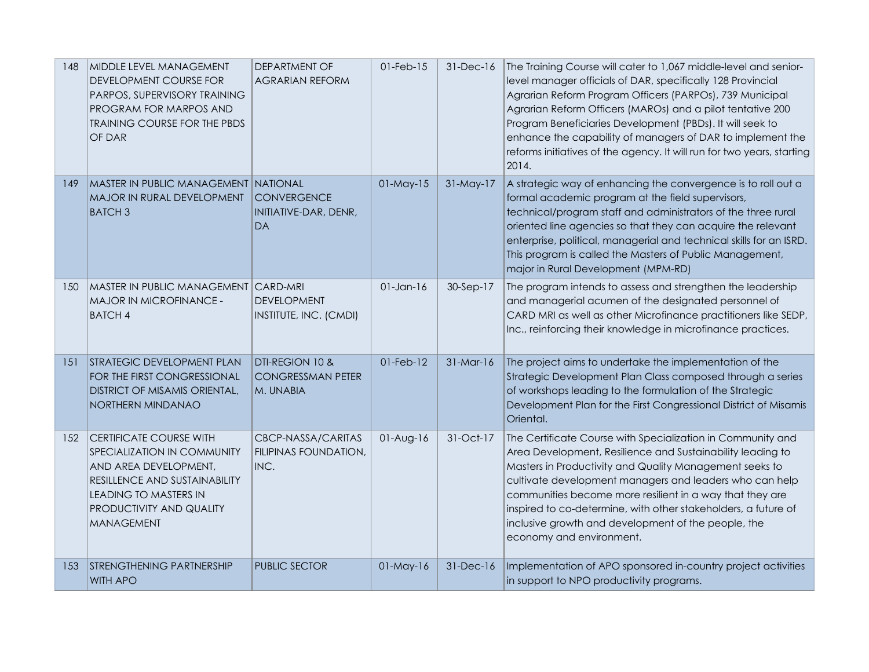| 148 | MIDDLE LEVEL MANAGEMENT<br>DEVELOPMENT COURSE FOR<br>PARPOS, SUPERVISORY TRAINING<br>PROGRAM FOR MARPOS AND<br><b>TRAINING COURSE FOR THE PBDS</b><br>OF DAR                                                    | DEPARTMENT OF<br><b>AGRARIAN REFORM</b>                  | $01$ -Feb- $15$ | $31-Dec-16$  | The Training Course will cater to 1,067 middle-level and senior-<br>level manager officials of DAR, specifically 128 Provincial<br>Agrarian Reform Program Officers (PARPOs), 739 Municipal<br>Agrarian Reform Officers (MAROs) and a pilot tentative 200<br>Program Beneficiaries Development (PBDs). It will seek to<br>enhance the capability of managers of DAR to implement the<br>reforms initiatives of the agency. It will run for two years, starting<br>2014. |
|-----|-----------------------------------------------------------------------------------------------------------------------------------------------------------------------------------------------------------------|----------------------------------------------------------|-----------------|--------------|-------------------------------------------------------------------------------------------------------------------------------------------------------------------------------------------------------------------------------------------------------------------------------------------------------------------------------------------------------------------------------------------------------------------------------------------------------------------------|
| 149 | <b>MASTER IN PUBLIC MANAGEMENT NATIONAL</b><br>MAJOR IN RURAL DEVELOPMENT<br><b>BATCH3</b>                                                                                                                      | <b>CONVERGENCE</b><br>INITIATIVE-DAR, DENR,<br><b>DA</b> | $01$ -May- $15$ | $31$ -May-17 | A strategic way of enhancing the convergence is to roll out a<br>formal academic program at the field supervisors,<br>technical/program staff and administrators of the three rural<br>oriented line agencies so that they can acquire the relevant<br>enterprise, political, managerial and technical skills for an ISRD.<br>This program is called the Masters of Public Management,<br>major in Rural Development (MPM-RD)                                           |
| 150 | MASTER IN PUBLIC MANAGEMENT<br>MAJOR IN MICROFINANCE -<br><b>BATCH 4</b>                                                                                                                                        | CARD-MRI<br><b>DEVELOPMENT</b><br>INSTITUTE, INC. (CMDI) | $01$ -Jan- $16$ | 30-Sep-17    | The program intends to assess and strengthen the leadership<br>and managerial acumen of the designated personnel of<br>CARD MRI as well as other Microfinance practitioners like SEDP,<br>Inc., reinforcing their knowledge in microfinance practices.                                                                                                                                                                                                                  |
| 151 | <b>STRATEGIC DEVELOPMENT PLAN</b><br>FOR THE FIRST CONGRESSIONAL<br><b>DISTRICT OF MISAMIS ORIENTAL,</b><br>NORTHERN MINDANAO                                                                                   | DTI-REGION 10 &<br><b>CONGRESSMAN PETER</b><br>M. UNABIA | $01$ -Feb- $12$ | $31-Mar-16$  | The project aims to undertake the implementation of the<br>Strategic Development Plan Class composed through a series<br>of workshops leading to the formulation of the Strategic<br>Development Plan for the First Congressional District of Misamis<br>Oriental.                                                                                                                                                                                                      |
| 152 | <b>CERTIFICATE COURSE WITH</b><br>SPECIALIZATION IN COMMUNITY<br>AND AREA DEVELOPMENT,<br><b>RESILLENCE AND SUSTAINABILITY</b><br><b>LEADING TO MASTERS IN</b><br>PRODUCTIVITY AND QUALITY<br><b>MANAGEMENT</b> | CBCP-NASSA/CARITAS<br>FILIPINAS FOUNDATION,<br>INC.      | $01-Aug-16$     | 31-Oct-17    | The Certificate Course with Specialization in Community and<br>Area Development, Resilience and Sustainability leading to<br>Masters in Productivity and Quality Management seeks to<br>cultivate development managers and leaders who can help<br>communities become more resilient in a way that they are<br>inspired to co-determine, with other stakeholders, a future of<br>inclusive growth and development of the people, the<br>economy and environment.        |
| 153 | STRENGTHENING PARTNERSHIP<br><b>WITH APO</b>                                                                                                                                                                    | <b>PUBLIC SECTOR</b>                                     | 01-May-16       | 31-Dec-16    | Implementation of APO sponsored in-country project activities<br>in support to NPO productivity programs.                                                                                                                                                                                                                                                                                                                                                               |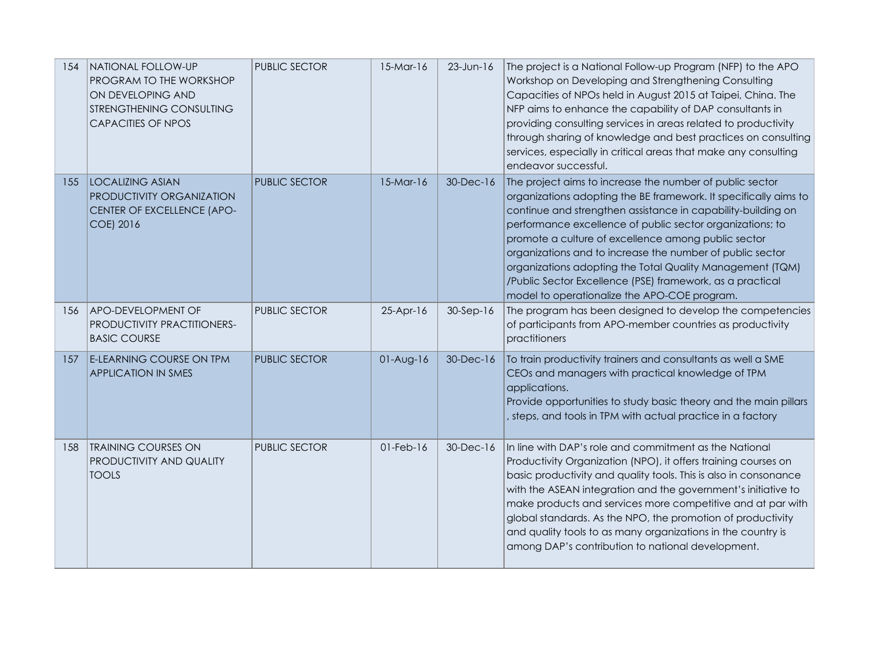| 154 | NATIONAL FOLLOW-UP<br>PROGRAM TO THE WORKSHOP<br>ON DEVELOPING AND<br>STRENGTHENING CONSULTING<br><b>CAPACITIES OF NPOS</b> | <b>PUBLIC SECTOR</b> | $15-Mar-16$     | $23 - Jun-16$ | The project is a National Follow-up Program (NFP) to the APO<br>Workshop on Developing and Strengthening Consulting<br>Capacities of NPOs held in August 2015 at Taipei, China. The<br>NFP aims to enhance the capability of DAP consultants in<br>providing consulting services in areas related to productivity<br>through sharing of knowledge and best practices on consulting<br>services, especially in critical areas that make any consulting<br>endeavor successful.                                                                           |
|-----|-----------------------------------------------------------------------------------------------------------------------------|----------------------|-----------------|---------------|---------------------------------------------------------------------------------------------------------------------------------------------------------------------------------------------------------------------------------------------------------------------------------------------------------------------------------------------------------------------------------------------------------------------------------------------------------------------------------------------------------------------------------------------------------|
| 155 | <b>LOCALIZING ASIAN</b><br>PRODUCTIVITY ORGANIZATION<br>CENTER OF EXCELLENCE (APO-<br>COE) 2016                             | <b>PUBLIC SECTOR</b> | $15-Mar-16$     | 30-Dec-16     | The project aims to increase the number of public sector<br>organizations adopting the BE framework. It specifically aims to<br>continue and strengthen assistance in capability-building on<br>performance excellence of public sector organizations; to<br>promote a culture of excellence among public sector<br>organizations and to increase the number of public sector<br>organizations adopting the Total Quality Management (TQM)<br>/Public Sector Excellence (PSE) framework, as a practical<br>model to operationalize the APO-COE program. |
| 156 | <b>APO-DEVELOPMENT OF</b><br>PRODUCTIVITY PRACTITIONERS-<br><b>BASIC COURSE</b>                                             | PUBLIC SECTOR        | 25-Apr-16       | $30-Sep-16$   | The program has been designed to develop the competencies<br>of participants from APO-member countries as productivity<br>practitioners                                                                                                                                                                                                                                                                                                                                                                                                                 |
| 157 | <b>E-LEARNING COURSE ON TPM</b><br><b>APPLICATION IN SMES</b>                                                               | <b>PUBLIC SECTOR</b> | $01-Aug-16$     | 30-Dec-16     | To train productivity trainers and consultants as well a SME<br>CEOs and managers with practical knowledge of TPM<br>applications.<br>Provide opportunities to study basic theory and the main pillars<br>, steps, and tools in TPM with actual practice in a factory                                                                                                                                                                                                                                                                                   |
| 158 | <b>TRAINING COURSES ON</b><br>PRODUCTIVITY AND QUALITY<br><b>TOOLS</b>                                                      | <b>PUBLIC SECTOR</b> | $01$ -Feb- $16$ | 30-Dec-16     | In line with DAP's role and commitment as the National<br>Productivity Organization (NPO), it offers training courses on<br>basic productivity and quality tools. This is also in consonance<br>with the ASEAN integration and the government's initiative to<br>make products and services more competitive and at par with<br>global standards. As the NPO, the promotion of productivity<br>and quality tools to as many organizations in the country is<br>among DAP's contribution to national development.                                        |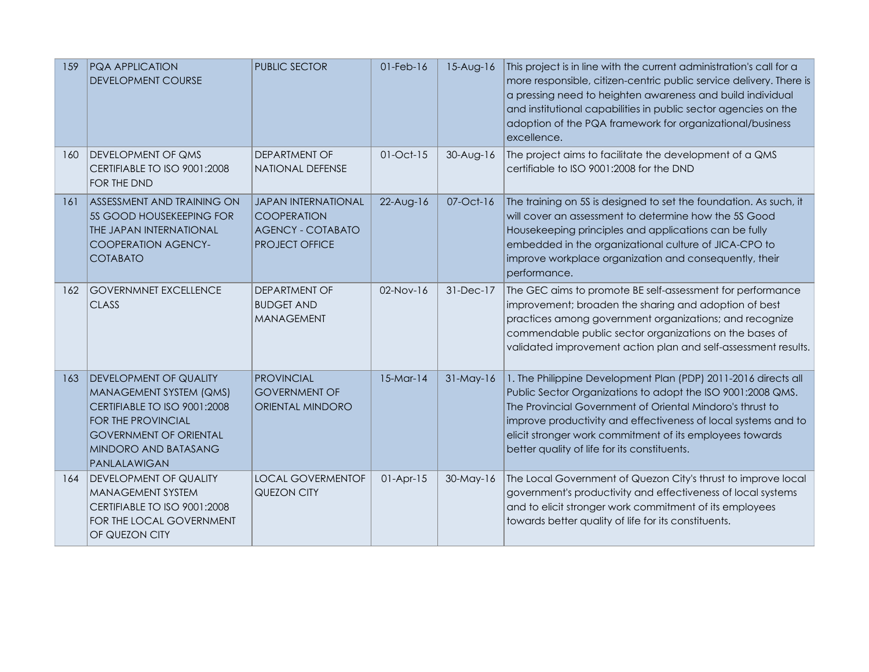| 159 | <b>PQA APPLICATION</b><br><b>DEVELOPMENT COURSE</b>                                                                                                                                     | <b>PUBLIC SECTOR</b>                                                                           | $01$ -Feb- $16$ | $15-Aug-16$ | This project is in line with the current administration's call for a<br>more responsible, citizen-centric public service delivery. There is<br>a pressing need to heighten awareness and build individual<br>and institutional capabilities in public sector agencies on the<br>adoption of the PQA framework for organizational/business<br>excellence.                 |
|-----|-----------------------------------------------------------------------------------------------------------------------------------------------------------------------------------------|------------------------------------------------------------------------------------------------|-----------------|-------------|--------------------------------------------------------------------------------------------------------------------------------------------------------------------------------------------------------------------------------------------------------------------------------------------------------------------------------------------------------------------------|
| 160 | <b>DEVELOPMENT OF QMS</b><br>CERTIFIABLE TO ISO 9001:2008<br>FOR THE DND                                                                                                                | DEPARTMENT OF<br>NATIONAL DEFENSE                                                              | $01$ -Oct- $15$ | $30-Aug-16$ | The project aims to facilitate the development of a QMS<br>certifiable to ISO 9001:2008 for the DND                                                                                                                                                                                                                                                                      |
| 161 | <b>ASSESSMENT AND TRAINING ON</b><br>5S GOOD HOUSEKEEPING FOR<br>THE JAPAN INTERNATIONAL<br><b>COOPERATION AGENCY-</b><br><b>COTABATO</b>                                               | <b>JAPAN INTERNATIONAL</b><br><b>COOPERATION</b><br><b>AGENCY - COTABATO</b><br>PROJECT OFFICE | $22-Aug-16$     | 07-Oct-16   | The training on 5S is designed to set the foundation. As such, it<br>will cover an assessment to determine how the 5S Good<br>Housekeeping principles and applications can be fully<br>embedded in the organizational culture of JICA-CPO to<br>improve workplace organization and consequently, their<br>performance.                                                   |
| 162 | <b>GOVERNMNET EXCELLENCE</b><br><b>CLASS</b>                                                                                                                                            | DEPARTMENT OF<br><b>BUDGET AND</b><br><b>MANAGEMENT</b>                                        | $02-Nov-16$     | $31-Dec-17$ | The GEC aims to promote BE self-assessment for performance<br>improvement; broaden the sharing and adoption of best<br>practices among government organizations; and recognize<br>commendable public sector organizations on the bases of<br>validated improvement action plan and self-assessment results.                                                              |
| 163 | <b>DEVELOPMENT OF QUALITY</b><br>MANAGEMENT SYSTEM (QMS)<br>CERTIFIABLE TO ISO 9001:2008<br>FOR THE PROVINCIAL<br><b>GOVERNMENT OF ORIENTAL</b><br>MINDORO AND BATASANG<br>PANLALAWIGAN | <b>PROVINCIAL</b><br><b>GOVERNMENT OF</b><br>ORIENTAL MINDORO                                  | $15-Mar-14$     | $31-May-16$ | 1. The Philippine Development Plan (PDP) 2011-2016 directs all<br>Public Sector Organizations to adopt the ISO 9001:2008 QMS.<br>The Provincial Government of Oriental Mindoro's thrust to<br>improve productivity and effectiveness of local systems and to<br>elicit stronger work commitment of its employees towards<br>better quality of life for its constituents. |
| 164 | <b>DEVELOPMENT OF QUALITY</b><br>MANAGEMENT SYSTEM<br>CERTIFIABLE TO ISO 9001:2008<br>FOR THE LOCAL GOVERNMENT<br>OF QUEZON CITY                                                        | <b>LOCAL GOVERMENTOF</b><br>QUEZON CITY                                                        | $01-Apr-15$     | 30-May-16   | The Local Government of Quezon City's thrust to improve local<br>government's productivity and effectiveness of local systems<br>and to elicit stronger work commitment of its employees<br>towards better quality of life for its constituents.                                                                                                                         |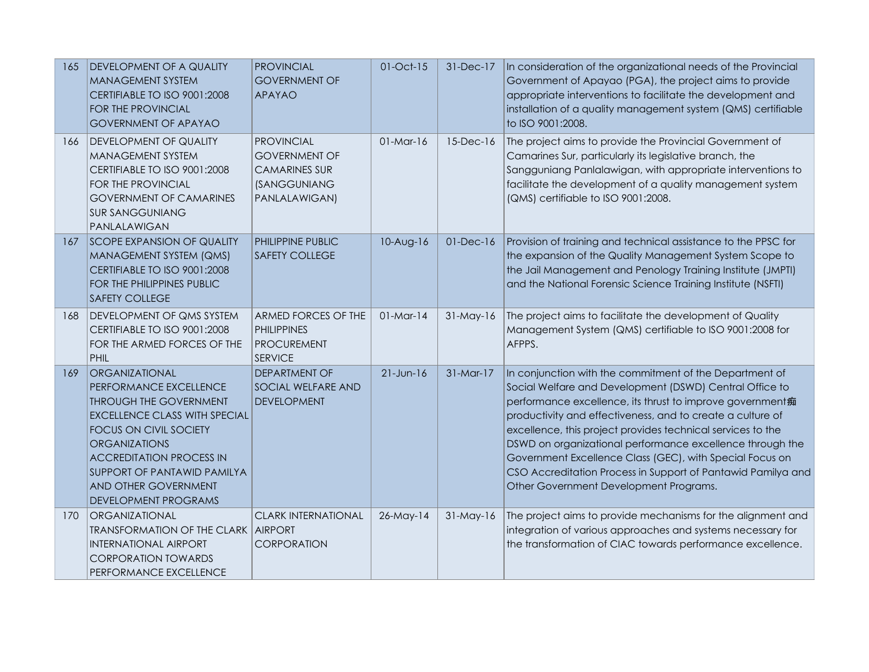| 165 | <b>DEVELOPMENT OF A QUALITY</b><br><b>MANAGEMENT SYSTEM</b><br>CERTIFIABLE TO ISO 9001:2008<br><b>FOR THE PROVINCIAL</b><br><b>GOVERNMENT OF APAYAO</b>                                                                                                                                                    | <b>PROVINCIAL</b><br><b>GOVERNMENT OF</b><br><b>APAYAO</b>                                                | 01-Oct-15    | 31-Dec-17       | In consideration of the organizational needs of the Provincial<br>Government of Apayao (PGA), the project aims to provide<br>appropriate interventions to facilitate the development and<br>installation of a quality management system (QMS) certifiable<br>to ISO 9001:2008.                                                                                                                                                                                                                                                                  |
|-----|------------------------------------------------------------------------------------------------------------------------------------------------------------------------------------------------------------------------------------------------------------------------------------------------------------|-----------------------------------------------------------------------------------------------------------|--------------|-----------------|-------------------------------------------------------------------------------------------------------------------------------------------------------------------------------------------------------------------------------------------------------------------------------------------------------------------------------------------------------------------------------------------------------------------------------------------------------------------------------------------------------------------------------------------------|
| 166 | <b>DEVELOPMENT OF QUALITY</b><br>MANAGEMENT SYSTEM<br>CERTIFIABLE TO ISO 9001:2008<br>FOR THE PROVINCIAL<br><b>GOVERNMENT OF CAMARINES</b><br><b>SUR SANGGUNIANG</b><br>PANLALAWIGAN                                                                                                                       | <b>PROVINCIAL</b><br><b>GOVERNMENT OF</b><br><b>CAMARINES SUR</b><br><b>(SANGGUNIANG</b><br>PANLALAWIGAN) | $01$ -Mar-16 | 15-Dec-16       | The project aims to provide the Provincial Government of<br>Camarines Sur, particularly its legislative branch, the<br>Sangguniang Panlalawigan, with appropriate interventions to<br>facilitate the development of a quality management system<br>(QMS) certifiable to ISO 9001:2008.                                                                                                                                                                                                                                                          |
| 167 | ISCOPE EXPANSION OF QUALITY<br>MANAGEMENT SYSTEM (QMS)<br>CERTIFIABLE TO ISO 9001:2008<br>FOR THE PHILIPPINES PUBLIC<br><b>SAFETY COLLEGE</b>                                                                                                                                                              | PHILIPPINE PUBLIC<br><b>SAFETY COLLEGE</b>                                                                | 10-Aug-16    | $01$ -Dec- $16$ | Provision of training and technical assistance to the PPSC for<br>the expansion of the Quality Management System Scope to<br>the Jail Management and Penology Training Institute (JMPTI)<br>and the National Forensic Science Training Institute (NSFTI)                                                                                                                                                                                                                                                                                        |
| 168 | <b>DEVELOPMENT OF QMS SYSTEM</b><br>CERTIFIABLE TO ISO 9001:2008<br>FOR THE ARMED FORCES OF THE<br><b>PHIL</b>                                                                                                                                                                                             | ARMED FORCES OF THE<br><b>PHILIPPINES</b><br><b>PROCUREMENT</b><br><b>SERVICE</b>                         | $01-Mar-14$  | $31-May-16$     | The project aims to facilitate the development of Quality<br>Management System (QMS) certifiable to ISO 9001:2008 for<br>AFPPS.                                                                                                                                                                                                                                                                                                                                                                                                                 |
| 169 | ORGANIZATIONAL<br>PERFORMANCE EXCELLENCE<br><b>THROUGH THE GOVERNMENT</b><br><b>EXCELLENCE CLASS WITH SPECIAL</b><br><b>FOCUS ON CIVIL SOCIETY</b><br><b>ORGANIZATIONS</b><br><b>ACCREDITATION PROCESS IN</b><br><b>SUPPORT OF PANTAWID PAMILYA</b><br>AND OTHER GOVERNMENT<br><b>DEVELOPMENT PROGRAMS</b> | <b>DEPARTMENT OF</b><br><b>SOCIAL WELFARE AND</b><br><b>DEVELOPMENT</b>                                   | $21$ -Jun-16 | 31-Mar-17       | In conjunction with the commitment of the Department of<br>Social Welfare and Development (DSWD) Central Office to<br>performance excellence, its thrust to improve government痴<br>productivity and effectiveness, and to create a culture of<br>excellence, this project provides technical services to the<br>DSWD on organizational performance excellence through the<br>Government Excellence Class (GEC), with Special Focus on<br>CSO Accreditation Process in Support of Pantawid Pamilya and<br>Other Government Development Programs. |
| 170 | ORGANIZATIONAL<br><b>TRANSFORMATION OF THE CLARK</b><br><b>INTERNATIONAL AIRPORT</b><br><b>CORPORATION TOWARDS</b><br>PERFORMANCE EXCELLENCE                                                                                                                                                               | <b>CLARK INTERNATIONAL</b><br>AIRPORT<br><b>CORPORATION</b>                                               | $26$ -May-14 | $31-May-16$     | The project aims to provide mechanisms for the alignment and<br>integration of various approaches and systems necessary for<br>the transformation of CIAC towards performance excellence.                                                                                                                                                                                                                                                                                                                                                       |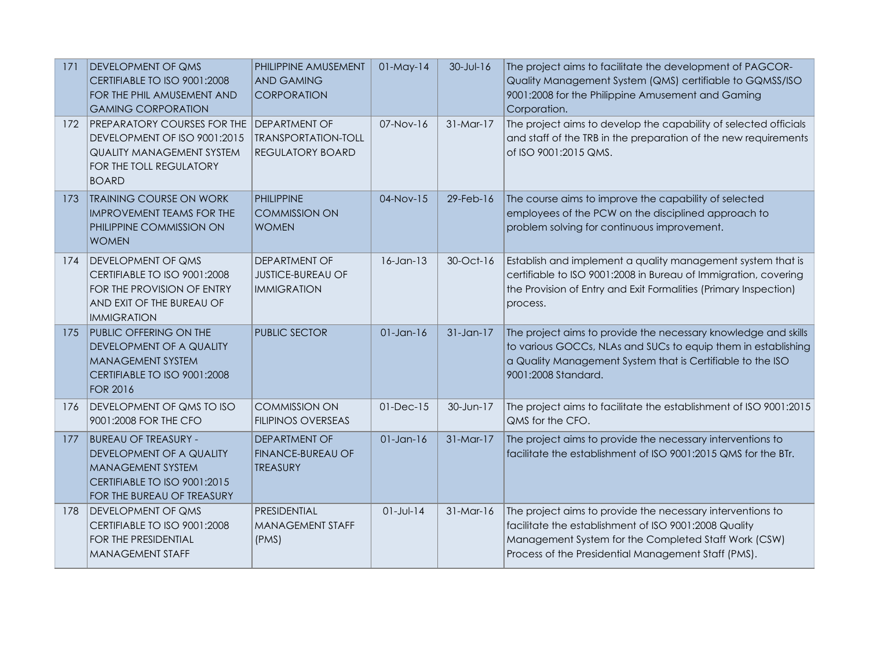| 171 | <b>DEVELOPMENT OF QMS</b><br>CERTIFIABLE TO ISO 9001:2008<br>FOR THE PHIL AMUSEMENT AND<br><b>GAMING CORPORATION</b>                              | PHILIPPINE AMUSEMENT<br><b>AND GAMING</b><br><b>CORPORATION</b>               | $01$ -May-14    | $30 - Jul - 16$ | The project aims to facilitate the development of PAGCOR-<br>Quality Management System (QMS) certifiable to GQMSS/ISO<br>9001:2008 for the Philippine Amusement and Gaming<br>Corporation.                                         |
|-----|---------------------------------------------------------------------------------------------------------------------------------------------------|-------------------------------------------------------------------------------|-----------------|-----------------|------------------------------------------------------------------------------------------------------------------------------------------------------------------------------------------------------------------------------------|
| 172 | <b>PREPARATORY COURSES FOR THE</b><br>DEVELOPMENT OF ISO 9001:2015<br><b>QUALITY MANAGEMENT SYSTEM</b><br>FOR THE TOLL REGULATORY<br><b>BOARD</b> | <b>DEPARTMENT OF</b><br><b>TRANSPORTATION-TOLL</b><br><b>REGULATORY BOARD</b> | $07-Nov-16$     | $31-Mar-17$     | The project aims to develop the capability of selected officials<br>and staff of the TRB in the preparation of the new requirements<br>of ISO 9001:2015 QMS.                                                                       |
| 173 | <b>TRAINING COURSE ON WORK</b><br><b>IMPROVEMENT TEAMS FOR THE</b><br>PHILIPPINE COMMISSION ON<br><b>WOMEN</b>                                    | <b>PHILIPPINE</b><br><b>COMMISSION ON</b><br><b>WOMEN</b>                     | 04-Nov-15       | 29-Feb-16       | The course aims to improve the capability of selected<br>employees of the PCW on the disciplined approach to<br>problem solving for continuous improvement.                                                                        |
| 174 | <b>DEVELOPMENT OF QMS</b><br>CERTIFIABLE TO ISO 9001:2008<br>FOR THE PROVISION OF ENTRY<br>AND EXIT OF THE BUREAU OF<br><b>IMMIGRATION</b>        | <b>DEPARTMENT OF</b><br><b>JUSTICE-BUREAU OF</b><br><b>IMMIGRATION</b>        | $16 - Jan - 13$ | 30-Oct-16       | Establish and implement a quality management system that is<br>certifiable to ISO 9001:2008 in Bureau of Immigration, covering<br>the Provision of Entry and Exit Formalities (Primary Inspection)<br>process.                     |
| 175 | PUBLIC OFFERING ON THE<br>DEVELOPMENT OF A QUALITY<br><b>MANAGEMENT SYSTEM</b><br>CERTIFIABLE TO ISO 9001:2008<br><b>FOR 2016</b>                 | <b>PUBLIC SECTOR</b>                                                          | $01$ -Jan-16    | $31$ -Jan-17    | The project aims to provide the necessary knowledge and skills<br>to various GOCCs, NLAs and SUCs to equip them in establishing<br>a Quality Management System that is Certifiable to the ISO<br>9001:2008 Standard.               |
| 176 | <b>DEVELOPMENT OF QMS TO ISO</b><br>9001:2008 FOR THE CFO                                                                                         | <b>COMMISSION ON</b><br><b>FILIPINOS OVERSEAS</b>                             | $01$ -Dec- $15$ | 30-Jun-17       | The project aims to facilitate the establishment of ISO 9001:2015<br>QMS for the CFO.                                                                                                                                              |
| 177 | <b>BUREAU OF TREASURY -</b><br>DEVELOPMENT OF A QUALITY<br><b>MANAGEMENT SYSTEM</b><br>CERTIFIABLE TO ISO 9001:2015<br>FOR THE BUREAU OF TREASURY | <b>DEPARTMENT OF</b><br><b>FINANCE-BUREAU OF</b><br><b>TREASURY</b>           | $01$ -Jan- $16$ | 31-Mar-17       | The project aims to provide the necessary interventions to<br>facilitate the establishment of ISO 9001:2015 QMS for the BTr.                                                                                                       |
| 178 | <b>DEVELOPMENT OF QMS</b><br>CERTIFIABLE TO ISO 9001:2008<br>FOR THE PRESIDENTIAL<br><b>MANAGEMENT STAFF</b>                                      | PRESIDENTIAL<br><b>MANAGEMENT STAFF</b><br>(PMS)                              | $01 - Jul - 14$ | $31-Mar-16$     | The project aims to provide the necessary interventions to<br>facilitate the establishment of ISO 9001:2008 Quality<br>Management System for the Completed Staff Work (CSW)<br>Process of the Presidential Management Staff (PMS). |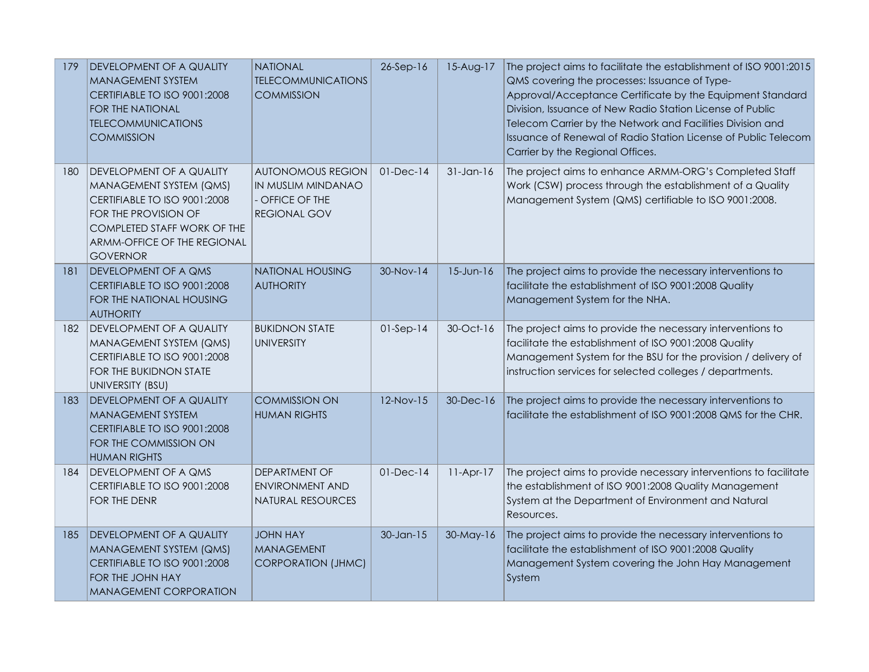| 179 | DEVELOPMENT OF A QUALITY<br><b>MANAGEMENT SYSTEM</b><br>CERTIFIABLE TO ISO 9001:2008<br>FOR THE NATIONAL<br><b>TELECOMMUNICATIONS</b><br><b>COMMISSION</b>                                            | <b>NATIONAL</b><br><b>TELECOMMUNICATIONS</b><br><b>COMMISSION</b>                        | $26-Sep-16$     | $15-Aug-17$     | The project aims to facilitate the establishment of ISO 9001:2015<br>QMS covering the processes: Issuance of Type-<br>Approval/Acceptance Certificate by the Equipment Standard<br>Division, Issuance of New Radio Station License of Public<br>Telecom Carrier by the Network and Facilities Division and<br>Issuance of Renewal of Radio Station License of Public Telecom<br>Carrier by the Regional Offices. |
|-----|-------------------------------------------------------------------------------------------------------------------------------------------------------------------------------------------------------|------------------------------------------------------------------------------------------|-----------------|-----------------|------------------------------------------------------------------------------------------------------------------------------------------------------------------------------------------------------------------------------------------------------------------------------------------------------------------------------------------------------------------------------------------------------------------|
| 180 | I DEVELOPMENT OF A QUALITY<br>MANAGEMENT SYSTEM (QMS)<br>CERTIFIABLE TO ISO 9001:2008<br>FOR THE PROVISION OF<br><b>COMPLETED STAFF WORK OF THE</b><br>ARMM-OFFICE OF THE REGIONAL<br><b>GOVERNOR</b> | <b>AUTONOMOUS REGION</b><br>IN MUSLIM MINDANAO<br>- OFFICE OF THE<br><b>REGIONAL GOV</b> | $01$ -Dec- $14$ | $31$ -Jan-16    | The project aims to enhance ARMM-ORG's Completed Staff<br>Work (CSW) process through the establishment of a Quality<br>Management System (QMS) certifiable to ISO 9001:2008.                                                                                                                                                                                                                                     |
| 181 | <b>DEVELOPMENT OF A QMS</b><br>CERTIFIABLE TO ISO 9001:2008<br>FOR THE NATIONAL HOUSING<br><b>AUTHORITY</b>                                                                                           | <b>NATIONAL HOUSING</b><br><b>AUTHORITY</b>                                              | 30-Nov-14       | $15$ -Jun- $16$ | The project aims to provide the necessary interventions to<br>facilitate the establishment of ISO 9001:2008 Quality<br>Management System for the NHA.                                                                                                                                                                                                                                                            |
| 182 | DEVELOPMENT OF A QUALITY<br>MANAGEMENT SYSTEM (QMS)<br>CERTIFIABLE TO ISO 9001:2008<br>FOR THE BUKIDNON STATE<br>UNIVERSITY (BSU)                                                                     | <b>BUKIDNON STATE</b><br><b>UNIVERSITY</b>                                               | $01-Sep-14$     | 30-Oct-16       | The project aims to provide the necessary interventions to<br>facilitate the establishment of ISO 9001:2008 Quality<br>Management System for the BSU for the provision / delivery of<br>instruction services for selected colleges / departments.                                                                                                                                                                |
| 183 | <b>DEVELOPMENT OF A QUALITY</b><br><b>MANAGEMENT SYSTEM</b><br>CERTIFIABLE TO ISO 9001:2008<br>FOR THE COMMISSION ON<br><b>HUMAN RIGHTS</b>                                                           | <b>COMMISSION ON</b><br><b>HUMAN RIGHTS</b>                                              | 12-Nov-15       | 30-Dec-16       | The project aims to provide the necessary interventions to<br>facilitate the establishment of ISO 9001:2008 QMS for the CHR.                                                                                                                                                                                                                                                                                     |
| 184 | <b>IDEVELOPMENT OF A QMS</b><br>CERTIFIABLE TO ISO 9001:2008<br>FOR THE DENR                                                                                                                          | DEPARTMENT OF<br><b>ENVIRONMENT AND</b><br><b>NATURAL RESOURCES</b>                      | $01-Dec-14$     | $11-Apr-17$     | The project aims to provide necessary interventions to facilitate<br>the establishment of ISO 9001:2008 Quality Management<br>System at the Department of Environment and Natural<br>Resources.                                                                                                                                                                                                                  |
| 185 | DEVELOPMENT OF A QUALITY<br>MANAGEMENT SYSTEM (QMS)<br>CERTIFIABLE TO ISO 9001:2008<br>FOR THE JOHN HAY<br><b>MANAGEMENT CORPORATION</b>                                                              | <b>JOHN HAY</b><br><b>MANAGEMENT</b><br><b>CORPORATION (JHMC)</b>                        | $30$ -Jan-15    | 30-May-16       | The project aims to provide the necessary interventions to<br>facilitate the establishment of ISO 9001:2008 Quality<br>Management System covering the John Hay Management<br>System                                                                                                                                                                                                                              |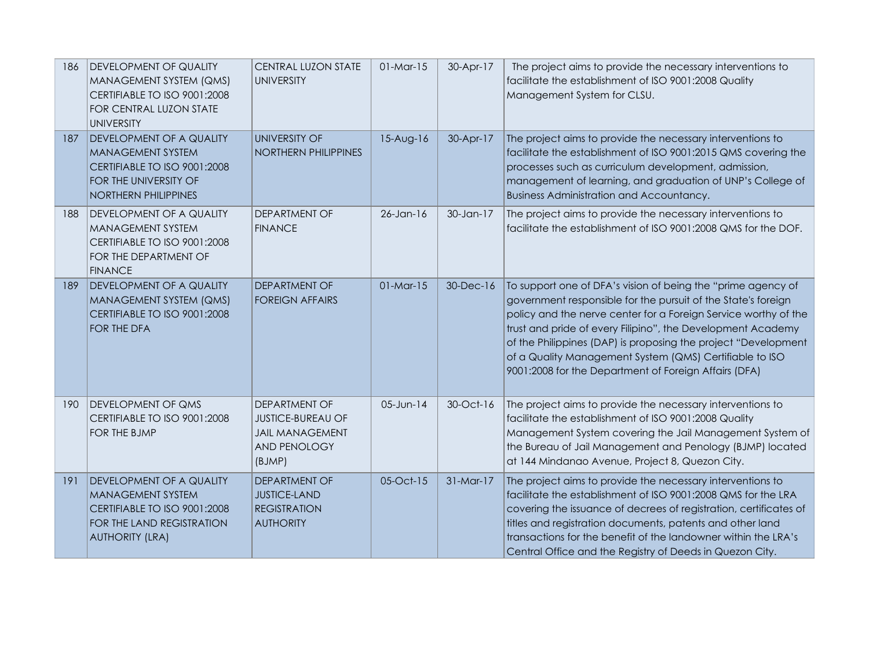| 186 | <b>DEVELOPMENT OF QUALITY</b><br>MANAGEMENT SYSTEM (QMS)<br>CERTIFIABLE TO ISO 9001:2008<br>FOR CENTRAL LUZON STATE<br><b>UNIVERSITY</b>           | <b>CENTRAL LUZON STATE</b><br><b>UNIVERSITY</b>                                                             | $01-Mar-15$  | 30-Apr-17   | The project aims to provide the necessary interventions to<br>facilitate the establishment of ISO 9001:2008 Quality<br>Management System for CLSU.                                                                                                                                                                                                                                                                                                    |
|-----|----------------------------------------------------------------------------------------------------------------------------------------------------|-------------------------------------------------------------------------------------------------------------|--------------|-------------|-------------------------------------------------------------------------------------------------------------------------------------------------------------------------------------------------------------------------------------------------------------------------------------------------------------------------------------------------------------------------------------------------------------------------------------------------------|
| 187 | <b>DEVELOPMENT OF A QUALITY</b><br><b>MANAGEMENT SYSTEM</b><br>CERTIFIABLE TO ISO 9001:2008<br>FOR THE UNIVERSITY OF<br>NORTHERN PHILIPPINES       | <b>UNIVERSITY OF</b><br><b>NORTHERN PHILIPPINES</b>                                                         | $15-Aug-16$  | 30-Apr-17   | The project aims to provide the necessary interventions to<br>facilitate the establishment of ISO 9001:2015 QMS covering the<br>processes such as curriculum development, admission,<br>management of learning, and graduation of UNP's College of<br>Business Administration and Accountancy.                                                                                                                                                        |
| 188 | <b>IDEVELOPMENT OF A QUALITY</b><br><b>MANAGEMENT SYSTEM</b><br>CERTIFIABLE TO ISO 9001:2008<br>FOR THE DEPARTMENT OF<br><b>FINANCE</b>            | <b>DEPARTMENT OF</b><br><b>FINANCE</b>                                                                      | $26$ -Jan-16 | 30-Jan-17   | The project aims to provide the necessary interventions to<br>facilitate the establishment of ISO 9001:2008 QMS for the DOF.                                                                                                                                                                                                                                                                                                                          |
| 189 | <b>DEVELOPMENT OF A QUALITY</b><br>MANAGEMENT SYSTEM (QMS)<br>CERTIFIABLE TO ISO 9001:2008<br>FOR THE DFA                                          | <b>DEPARTMENT OF</b><br><b>FOREIGN AFFAIRS</b>                                                              | $01-Mar-15$  | 30-Dec-16   | To support one of DFA's vision of being the "prime agency of<br>government responsible for the pursuit of the State's foreign<br>policy and the nerve center for a Foreign Service worthy of the<br>trust and pride of every Filipino", the Development Academy<br>of the Philippines (DAP) is proposing the project "Development<br>of a Quality Management System (QMS) Certifiable to ISO<br>9001:2008 for the Department of Foreign Affairs (DFA) |
| 190 | <b>DEVELOPMENT OF QMS</b><br>CERTIFIABLE TO ISO 9001:2008<br>FOR THE BJMP                                                                          | <b>DEPARTMENT OF</b><br><b>JUSTICE-BUREAU OF</b><br><b>JAIL MANAGEMENT</b><br><b>AND PENOLOGY</b><br>(BJMP) | 05-Jun-14    | 30-Oct-16   | The project aims to provide the necessary interventions to<br>facilitate the establishment of ISO 9001:2008 Quality<br>Management System covering the Jail Management System of<br>the Bureau of Jail Management and Penology (BJMP) located<br>at 144 Mindanao Avenue, Project 8, Quezon City.                                                                                                                                                       |
| 191 | <b>DEVELOPMENT OF A QUALITY</b><br><b>MANAGEMENT SYSTEM</b><br>CERTIFIABLE TO ISO 9001:2008<br>FOR THE LAND REGISTRATION<br><b>AUTHORITY (LRA)</b> | <b>DEPARTMENT OF</b><br><b>JUSTICE-LAND</b><br><b>REGISTRATION</b><br><b>AUTHORITY</b>                      | 05-Oct-15    | $31-Mar-17$ | The project aims to provide the necessary interventions to<br>facilitate the establishment of ISO 9001:2008 QMS for the LRA<br>covering the issuance of decrees of registration, certificates of<br>titles and registration documents, patents and other land<br>transactions for the benefit of the landowner within the LRA's<br>Central Office and the Registry of Deeds in Quezon City.                                                           |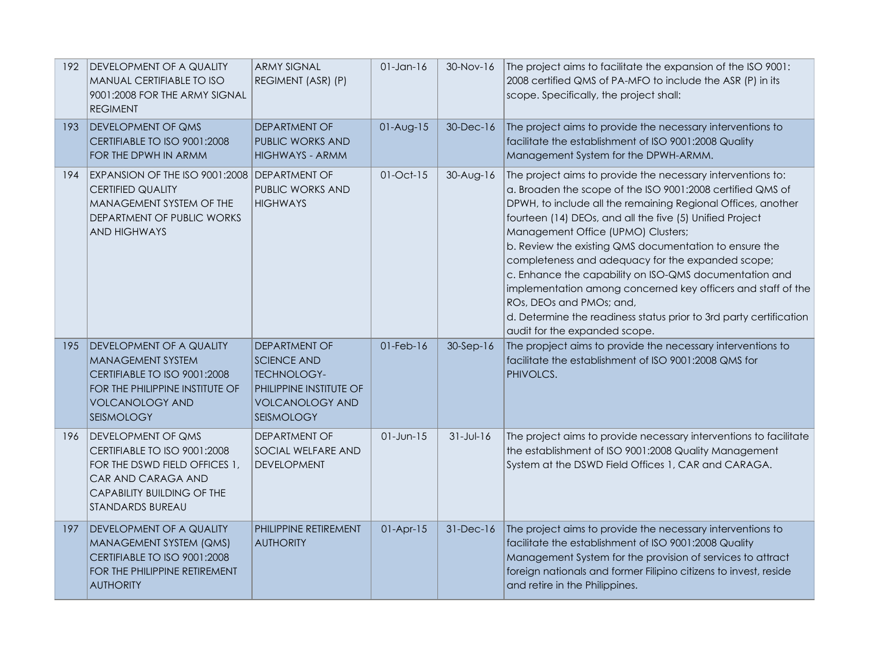| 192 | <b>DEVELOPMENT OF A QUALITY</b><br>MANUAL CERTIFIABLE TO ISO<br>9001:2008 FOR THE ARMY SIGNAL<br><b>REGIMENT</b>                                                          | <b>ARMY SIGNAL</b><br>REGIMENT (ASR) (P)                                                                                     | $01$ -Jan- $16$ | 30-Nov-16       | The project aims to facilitate the expansion of the ISO 9001:<br>2008 certified QMS of PA-MFO to include the ASR (P) in its<br>scope. Specifically, the project shall:                                                                                                                                                                                                                                                                                                                                                                                                                                                                                                  |
|-----|---------------------------------------------------------------------------------------------------------------------------------------------------------------------------|------------------------------------------------------------------------------------------------------------------------------|-----------------|-----------------|-------------------------------------------------------------------------------------------------------------------------------------------------------------------------------------------------------------------------------------------------------------------------------------------------------------------------------------------------------------------------------------------------------------------------------------------------------------------------------------------------------------------------------------------------------------------------------------------------------------------------------------------------------------------------|
| 193 | <b>DEVELOPMENT OF QMS</b><br>CERTIFIABLE TO ISO 9001:2008<br>FOR THE DPWH IN ARMM                                                                                         | <b>DEPARTMENT OF</b><br>PUBLIC WORKS AND<br><b>HIGHWAYS - ARMM</b>                                                           | $01-Aug-15$     | 30-Dec-16       | The project aims to provide the necessary interventions to<br>facilitate the establishment of ISO 9001:2008 Quality<br>Management System for the DPWH-ARMM.                                                                                                                                                                                                                                                                                                                                                                                                                                                                                                             |
| 194 | EXPANSION OF THE ISO 9001:2008   DEPARTMENT OF<br><b>CERTIFIED QUALITY</b><br>MANAGEMENT SYSTEM OF THE<br>DEPARTMENT OF PUBLIC WORKS<br><b>AND HIGHWAYS</b>               | PUBLIC WORKS AND<br><b>HIGHWAYS</b>                                                                                          | $01-Oct-15$     | $30-Aug-16$     | The project aims to provide the necessary interventions to:<br>a. Broaden the scope of the ISO 9001:2008 certified QMS of<br>DPWH, to include all the remaining Regional Offices, another<br>fourteen (14) DEOs, and all the five (5) Unified Project<br>Management Office (UPMO) Clusters;<br>b. Review the existing QMS documentation to ensure the<br>completeness and adequacy for the expanded scope;<br>c. Enhance the capability on ISO-QMS documentation and<br>implementation among concerned key officers and staff of the<br>ROs, DEOs and PMOs; and,<br>d. Determine the readiness status prior to 3rd party certification<br>audit for the expanded scope. |
| 195 | DEVELOPMENT OF A QUALITY<br><b>MANAGEMENT SYSTEM</b><br>CERTIFIABLE TO ISO 9001:2008<br>FOR THE PHILIPPINE INSTITUTE OF<br><b>VOLCANOLOGY AND</b><br><b>SEISMOLOGY</b>    | DEPARTMENT OF<br><b>SCIENCE AND</b><br><b>TECHNOLOGY-</b><br>PHILIPPINE INSTITUTE OF<br><b>VOLCANOLOGY AND</b><br>SEISMOLOGY | $01$ -Feb- $16$ | $30-Sep-16$     | The propject aims to provide the necessary interventions to<br>facilitate the establishment of ISO 9001:2008 QMS for<br>PHIVOLCS.                                                                                                                                                                                                                                                                                                                                                                                                                                                                                                                                       |
| 196 | <b>DEVELOPMENT OF QMS</b><br>CERTIFIABLE TO ISO 9001:2008<br>FOR THE DSWD FIELD OFFICES 1,<br>CAR AND CARAGA AND<br>CAPABILITY BUILDING OF THE<br><b>STANDARDS BUREAU</b> | DEPARTMENT OF<br>SOCIAL WELFARE AND<br><b>DEVELOPMENT</b>                                                                    | $01$ -Jun- $15$ | $31 - Jul - 16$ | The project aims to provide necessary interventions to facilitate<br>the establishment of ISO 9001:2008 Quality Management<br>System at the DSWD Field Offices 1, CAR and CARAGA.                                                                                                                                                                                                                                                                                                                                                                                                                                                                                       |
| 197 | DEVELOPMENT OF A QUALITY<br>MANAGEMENT SYSTEM (QMS)<br>CERTIFIABLE TO ISO 9001:2008<br>FOR THE PHILIPPINE RETIREMENT<br><b>AUTHORITY</b>                                  | PHILIPPINE RETIREMENT<br><b>AUTHORITY</b>                                                                                    | $01-Apr-15$     | 31-Dec-16       | The project aims to provide the necessary interventions to<br>facilitate the establishment of ISO 9001:2008 Quality<br>Management System for the provision of services to attract<br>foreign nationals and former Filipino citizens to invest, reside<br>and retire in the Philippines.                                                                                                                                                                                                                                                                                                                                                                                 |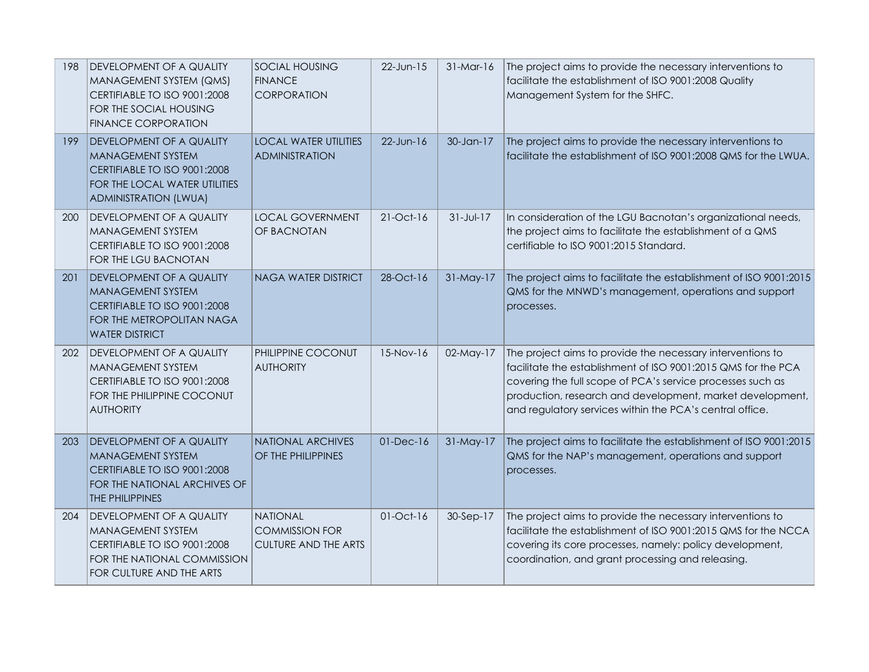| 198 | <b>DEVELOPMENT OF A QUALITY</b><br>MANAGEMENT SYSTEM (QMS)<br>CERTIFIABLE TO ISO 9001:2008<br>FOR THE SOCIAL HOUSING<br><b>FINANCE CORPORATION</b>           | <b>SOCIAL HOUSING</b><br><b>FINANCE</b><br>CORPORATION                  | 22-Jun-15    | $31-Mar-16$     | The project aims to provide the necessary interventions to<br>facilitate the establishment of ISO 9001:2008 Quality<br>Management System for the SHFC.                                                                                                                                                             |
|-----|--------------------------------------------------------------------------------------------------------------------------------------------------------------|-------------------------------------------------------------------------|--------------|-----------------|--------------------------------------------------------------------------------------------------------------------------------------------------------------------------------------------------------------------------------------------------------------------------------------------------------------------|
| 199 | <b>DEVELOPMENT OF A QUALITY</b><br><b>MANAGEMENT SYSTEM</b><br>CERTIFIABLE TO ISO 9001:2008<br>FOR THE LOCAL WATER UTILITIES<br><b>ADMINISTRATION (LWUA)</b> | <b>LOCAL WATER UTILITIES</b><br><b>ADMINISTRATION</b>                   | $22$ -Jun-16 | 30-Jan-17       | The project aims to provide the necessary interventions to<br>facilitate the establishment of ISO 9001:2008 QMS for the LWUA.                                                                                                                                                                                      |
| 200 | <b>DEVELOPMENT OF A QUALITY</b><br><b>MANAGEMENT SYSTEM</b><br>CERTIFIABLE TO ISO 9001:2008<br>FOR THE LGU BACNOTAN                                          | <b>LOCAL GOVERNMENT</b><br>OF BACNOTAN                                  | 21-Oct-16    | $31 - Jul - 17$ | In consideration of the LGU Bacnotan's organizational needs,<br>the project aims to facilitate the establishment of a QMS<br>certifiable to ISO 9001:2015 Standard.                                                                                                                                                |
| 201 | <b>DEVELOPMENT OF A QUALITY</b><br><b>MANAGEMENT SYSTEM</b><br>CERTIFIABLE TO ISO 9001:2008<br>FOR THE METROPOLITAN NAGA<br><b>WATER DISTRICT</b>            | <b>NAGA WATER DISTRICT</b>                                              | 28-Oct-16    | $31-May-17$     | The project aims to facilitate the establishment of ISO 9001:2015<br>QMS for the MNWD's management, operations and support<br>processes.                                                                                                                                                                           |
| 202 | <b>DEVELOPMENT OF A QUALITY</b><br>MANAGEMENT SYSTEM<br>CERTIFIABLE TO ISO 9001:2008<br>FOR THE PHILIPPINE COCONUT<br><b>AUTHORITY</b>                       | PHILIPPINE COCONUT<br><b>AUTHORITY</b>                                  | 15-Nov-16    | 02-May-17       | The project aims to provide the necessary interventions to<br>facilitate the establishment of ISO 9001:2015 QMS for the PCA<br>covering the full scope of PCA's service processes such as<br>production, research and development, market development,<br>and regulatory services within the PCA's central office. |
| 203 | <b>DEVELOPMENT OF A QUALITY</b><br><b>MANAGEMENT SYSTEM</b><br>CERTIFIABLE TO ISO 9001:2008<br>FOR THE NATIONAL ARCHIVES OF<br>THE PHILIPPINES               | <b>NATIONAL ARCHIVES</b><br>OF THE PHILIPPINES                          | $01-Dec-16$  | $31-May-17$     | The project aims to facilitate the establishment of ISO 9001:2015<br>QMS for the NAP's management, operations and support<br>processes.                                                                                                                                                                            |
| 204 | DEVELOPMENT OF A QUALITY<br><b>MANAGEMENT SYSTEM</b><br>CERTIFIABLE TO ISO 9001:2008<br>FOR THE NATIONAL COMMISSION<br>FOR CULTURE AND THE ARTS              | <b>NATIONAL</b><br><b>COMMISSION FOR</b><br><b>CULTURE AND THE ARTS</b> | $01-Oct-16$  | 30-Sep-17       | The project aims to provide the necessary interventions to<br>facilitate the establishment of ISO 9001:2015 QMS for the NCCA<br>covering its core processes, namely: policy development,<br>coordination, and grant processing and releasing.                                                                      |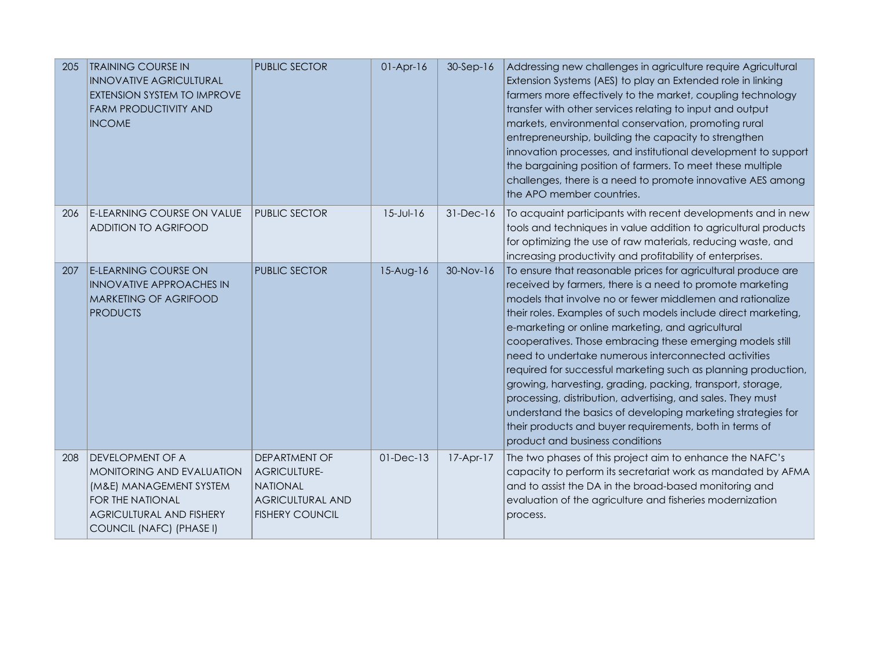| 205 | <b>TRAINING COURSE IN</b><br><b>INNOVATIVE AGRICULTURAL</b><br>EXTENSION SYSTEM TO IMPROVE<br><b>FARM PRODUCTIVITY AND</b><br><b>INCOME</b>                        | <b>PUBLIC SECTOR</b>                                                                                         | $01-Apr-16$   | $30-Sep-16$ | Addressing new challenges in agriculture require Agricultural<br>Extension Systems (AES) to play an Extended role in linking<br>farmers more effectively to the market, coupling technology<br>transfer with other services relating to input and output<br>markets, environmental conservation, promoting rural<br>entrepreneurship, building the capacity to strengthen<br>innovation processes, and institutional development to support<br>the bargaining position of farmers. To meet these multiple<br>challenges, there is a need to promote innovative AES among<br>the APO member countries.                                                                                                                                                                                            |
|-----|--------------------------------------------------------------------------------------------------------------------------------------------------------------------|--------------------------------------------------------------------------------------------------------------|---------------|-------------|--------------------------------------------------------------------------------------------------------------------------------------------------------------------------------------------------------------------------------------------------------------------------------------------------------------------------------------------------------------------------------------------------------------------------------------------------------------------------------------------------------------------------------------------------------------------------------------------------------------------------------------------------------------------------------------------------------------------------------------------------------------------------------------------------|
| 206 | <b>E-LEARNING COURSE ON VALUE</b><br>ADDITION TO AGRIFOOD                                                                                                          | <b>PUBLIC SECTOR</b>                                                                                         | $15 -$ Jul-16 | 31-Dec-16   | To acquaint participants with recent developments and in new<br>tools and techniques in value addition to agricultural products<br>for optimizing the use of raw materials, reducing waste, and<br>increasing productivity and profitability of enterprises.                                                                                                                                                                                                                                                                                                                                                                                                                                                                                                                                     |
| 207 | <b>E-LEARNING COURSE ON</b><br><b>INNOVATIVE APPROACHES IN</b><br><b>MARKETING OF AGRIFOOD</b><br><b>PRODUCTS</b>                                                  | <b>PUBLIC SECTOR</b>                                                                                         | 15-Aug-16     | 30-Nov-16   | To ensure that reasonable prices for agricultural produce are<br>received by farmers, there is a need to promote marketing<br>models that involve no or fewer middlemen and rationalize<br>their roles. Examples of such models include direct marketing,<br>e-marketing or online marketing, and agricultural<br>cooperatives. Those embracing these emerging models still<br>need to undertake numerous interconnected activities<br>required for successful marketing such as planning production,<br>growing, harvesting, grading, packing, transport, storage,<br>processing, distribution, advertising, and sales. They must<br>understand the basics of developing marketing strategies for<br>their products and buyer requirements, both in terms of<br>product and business conditions |
| 208 | DEVELOPMENT OF A<br>MONITORING AND EVALUATION<br>(M&E) MANAGEMENT SYSTEM<br><b>FOR THE NATIONAL</b><br><b>AGRICULTURAL AND FISHERY</b><br>COUNCIL (NAFC) (PHASE I) | DEPARTMENT OF<br><b>AGRICULTURE-</b><br><b>NATIONAL</b><br><b>AGRICULTURAL AND</b><br><b>FISHERY COUNCIL</b> | 01-Dec-13     | 17-Apr-17   | The two phases of this project aim to enhance the NAFC's<br>capacity to perform its secretariat work as mandated by AFMA<br>and to assist the DA in the broad-based monitoring and<br>evaluation of the agriculture and fisheries modernization<br>process.                                                                                                                                                                                                                                                                                                                                                                                                                                                                                                                                      |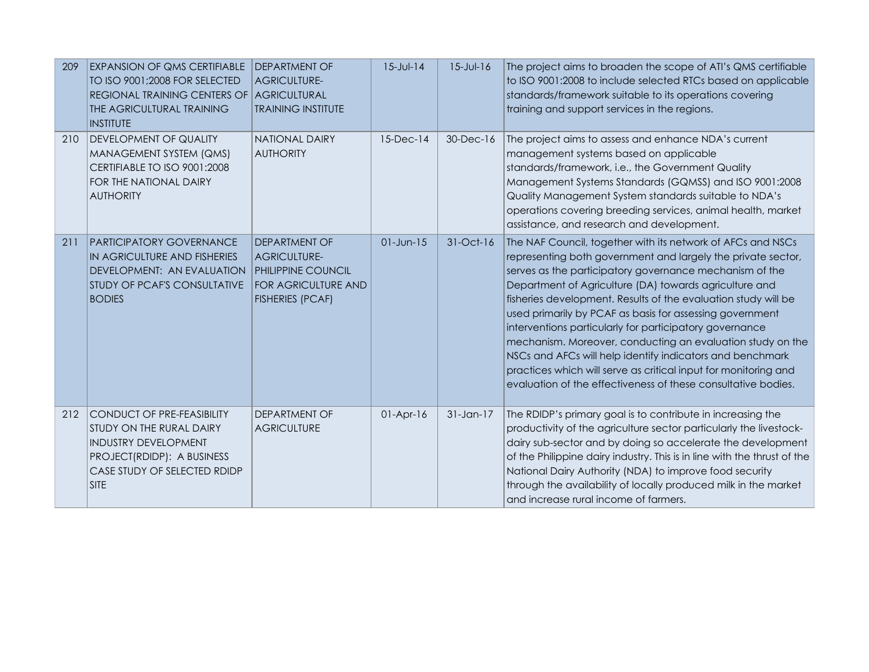| 209 | <b>EXPANSION OF QMS CERTIFIABLE</b><br>TO ISO 9001;2008 FOR SELECTED<br>REGIONAL TRAINING CENTERS OF<br>THE AGRICULTURAL TRAINING<br><b>INSTITUTE</b>                     | <b>DEPARTMENT OF</b><br><b>AGRICULTURE-</b><br><b>AGRICULTURAL</b><br><b>TRAINING INSTITUTE</b>                     | $15 - J$ ul-14  | $15 - Jul - 16$ | The project aims to broaden the scope of ATI's QMS certifiable<br>to ISO 9001:2008 to include selected RTCs based on applicable<br>standards/framework suitable to its operations covering<br>training and support services in the regions.                                                                                                                                                                                                                                                                                                                                                                                                                                                              |
|-----|---------------------------------------------------------------------------------------------------------------------------------------------------------------------------|---------------------------------------------------------------------------------------------------------------------|-----------------|-----------------|----------------------------------------------------------------------------------------------------------------------------------------------------------------------------------------------------------------------------------------------------------------------------------------------------------------------------------------------------------------------------------------------------------------------------------------------------------------------------------------------------------------------------------------------------------------------------------------------------------------------------------------------------------------------------------------------------------|
| 210 | DEVELOPMENT OF QUALITY<br>MANAGEMENT SYSTEM (QMS)<br>CERTIFIABLE TO ISO 9001:2008<br>FOR THE NATIONAL DAIRY<br><b>AUTHORITY</b>                                           | <b>NATIONAL DAIRY</b><br><b>AUTHORITY</b>                                                                           | $15$ -Dec- $14$ | 30-Dec-16       | The project aims to assess and enhance NDA's current<br>management systems based on applicable<br>standards/framework, i.e., the Government Quality<br>Management Systems Standards (GQMSS) and ISO 9001:2008<br>Quality Management System standards suitable to NDA's<br>operations covering breeding services, animal health, market<br>assistance, and research and development.                                                                                                                                                                                                                                                                                                                      |
| 211 | PARTICIPATORY GOVERNANCE<br>IN AGRICULTURE AND FISHERIES<br>DEVELOPMENT: AN EVALUATION<br>STUDY OF PCAF'S CONSULTATIVE<br><b>BODIES</b>                                   | DEPARTMENT OF<br><b>AGRICULTURE-</b><br>PHILIPPINE COUNCIL<br><b>FOR AGRICULTURE AND</b><br><b>FISHERIES (PCAF)</b> | $01$ -Jun- $15$ | 31-Oct-16       | The NAF Council, together with its network of AFCs and NSCs<br>representing both government and largely the private sector,<br>serves as the participatory governance mechanism of the<br>Department of Agriculture (DA) towards agriculture and<br>fisheries development. Results of the evaluation study will be<br>used primarily by PCAF as basis for assessing government<br>interventions particularly for participatory governance<br>mechanism. Moreover, conducting an evaluation study on the<br>NSCs and AFCs will help identify indicators and benchmark<br>practices which will serve as critical input for monitoring and<br>evaluation of the effectiveness of these consultative bodies. |
| 212 | <b>CONDUCT OF PRE-FEASIBILITY</b><br>STUDY ON THE RURAL DAIRY<br><b>INDUSTRY DEVELOPMENT</b><br>PROJECT(RDIDP): A BUSINESS<br>CASE STUDY OF SELECTED RDIDP<br><b>SITE</b> | DEPARTMENT OF<br><b>AGRICULTURE</b>                                                                                 | $01-Apr-16$     | $31$ -Jan-17    | The RDIDP's primary goal is to contribute in increasing the<br>productivity of the agriculture sector particularly the livestock-<br>dairy sub-sector and by doing so accelerate the development<br>of the Philippine dairy industry. This is in line with the thrust of the<br>National Dairy Authority (NDA) to improve food security<br>through the availability of locally produced milk in the market<br>and increase rural income of farmers.                                                                                                                                                                                                                                                      |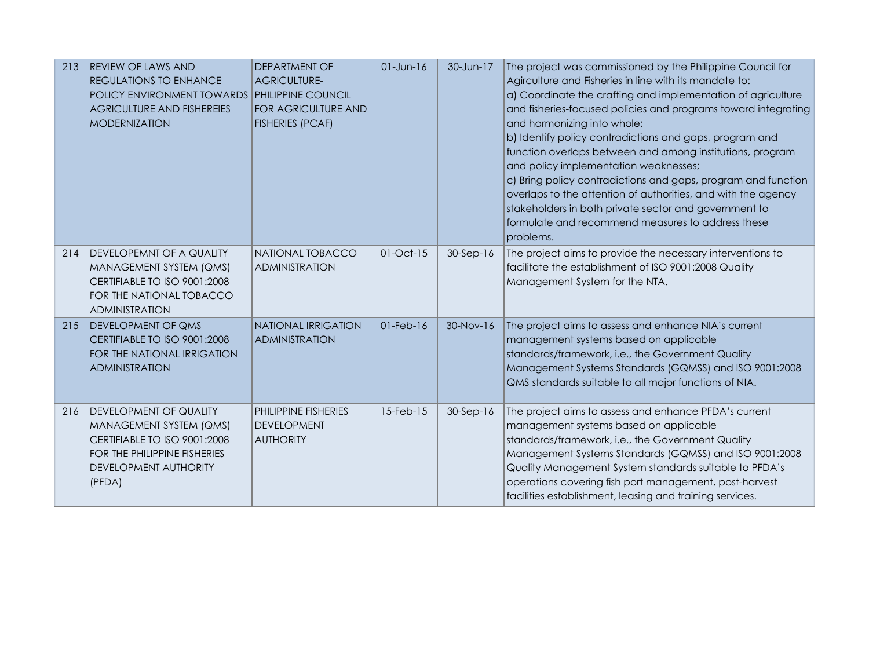| 213 | <b>REVIEW OF LAWS AND</b><br><b>REGULATIONS TO ENHANCE</b><br>POLICY ENVIRONMENT TOWARDS<br><b>AGRICULTURE AND FISHEREIES</b><br><b>MODERNIZATION</b>       | <b>DEPARTMENT OF</b><br><b>AGRICULTURE-</b><br>PHILIPPINE COUNCIL<br><b>FOR AGRICULTURE AND</b><br><b>FISHERIES (PCAF)</b> | $01$ -Jun- $16$ | 30-Jun-17   | The project was commissioned by the Philippine Council for<br>Agirculture and Fisheries in line with its mandate to:<br>a) Coordinate the crafting and implementation of agriculture<br>and fisheries-focused policies and programs toward integrating<br>and harmonizing into whole;<br>b) Identify policy contradictions and gaps, program and<br>function overlaps between and among institutions, program<br>and policy implementation weaknesses;<br>c) Bring policy contradictions and gaps, program and function<br>overlaps to the attention of authorities, and with the agency<br>stakeholders in both private sector and government to<br>formulate and recommend measures to address these<br>problems. |
|-----|-------------------------------------------------------------------------------------------------------------------------------------------------------------|----------------------------------------------------------------------------------------------------------------------------|-----------------|-------------|---------------------------------------------------------------------------------------------------------------------------------------------------------------------------------------------------------------------------------------------------------------------------------------------------------------------------------------------------------------------------------------------------------------------------------------------------------------------------------------------------------------------------------------------------------------------------------------------------------------------------------------------------------------------------------------------------------------------|
| 214 | DEVELOPEMNT OF A QUALITY<br>MANAGEMENT SYSTEM (QMS)<br>CERTIFIABLE TO ISO 9001:2008<br>FOR THE NATIONAL TOBACCO<br><b>ADMINISTRATION</b>                    | NATIONAL TOBACCO<br><b>ADMINISTRATION</b>                                                                                  | $01$ -Oct- $15$ | $30-Sep-16$ | The project aims to provide the necessary interventions to<br>facilitate the establishment of ISO 9001:2008 Quality<br>Management System for the NTA.                                                                                                                                                                                                                                                                                                                                                                                                                                                                                                                                                               |
| 215 | <b>DEVELOPMENT OF QMS</b><br>CERTIFIABLE TO ISO 9001:2008<br>FOR THE NATIONAL IRRIGATION<br><b>ADMINISTRATION</b>                                           | <b>NATIONAL IRRIGATION</b><br><b>ADMINISTRATION</b>                                                                        | $01$ -Feb- $16$ | 30-Nov-16   | The project aims to assess and enhance NIA's current<br>management systems based on applicable<br>standards/framework, i.e., the Government Quality<br>Management Systems Standards (GQMSS) and ISO 9001:2008<br>QMS standards suitable to all major functions of NIA.                                                                                                                                                                                                                                                                                                                                                                                                                                              |
| 216 | <b>DEVELOPMENT OF QUALITY</b><br>MANAGEMENT SYSTEM (QMS)<br>CERTIFIABLE TO ISO 9001:2008<br>FOR THE PHILIPPINE FISHERIES<br>DEVELOPMENT AUTHORITY<br>(PFDA) | <b>PHILIPPINE FISHERIES</b><br><b>DEVELOPMENT</b><br><b>AUTHORITY</b>                                                      | 15-Feb-15       | $30-Sep-16$ | The project aims to assess and enhance PFDA's current<br>management systems based on applicable<br>standards/framework, i.e., the Government Quality<br>Management Systems Standards (GQMSS) and ISO 9001:2008<br>Quality Management System standards suitable to PFDA's<br>operations covering fish port management, post-harvest<br>facilities establishment, leasing and training services.                                                                                                                                                                                                                                                                                                                      |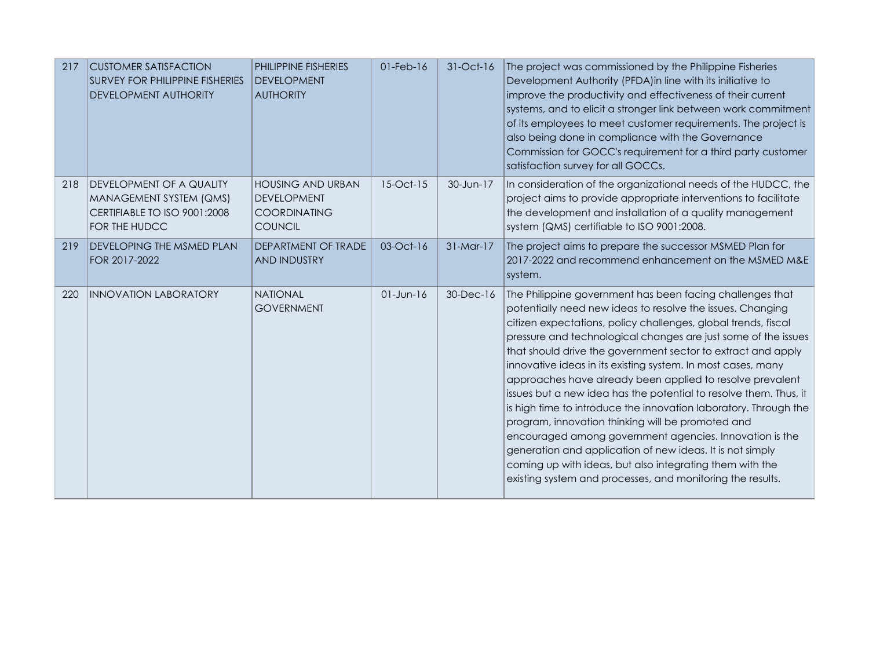| 217 | <b>CUSTOMER SATISFACTION</b><br><b>SURVEY FOR PHILIPPINE FISHERIES</b><br><b>DEVELOPMENT AUTHORITY</b>      | PHILIPPINE FISHERIES<br><b>DEVELOPMENT</b><br><b>AUTHORITY</b>                          | $01$ -Feb- $16$ | 31-Oct-16   | The project was commissioned by the Philippine Fisheries<br>Development Authority (PFDA) in line with its initiative to<br>improve the productivity and effectiveness of their current<br>systems, and to elicit a stronger link between work commitment<br>of its employees to meet customer requirements. The project is<br>also being done in compliance with the Governance<br>Commission for GOCC's requirement for a third party customer<br>satisfaction survey for all GOCCs.                                                                                                                                                                                                                                                                                                                                                                                                                    |
|-----|-------------------------------------------------------------------------------------------------------------|-----------------------------------------------------------------------------------------|-----------------|-------------|----------------------------------------------------------------------------------------------------------------------------------------------------------------------------------------------------------------------------------------------------------------------------------------------------------------------------------------------------------------------------------------------------------------------------------------------------------------------------------------------------------------------------------------------------------------------------------------------------------------------------------------------------------------------------------------------------------------------------------------------------------------------------------------------------------------------------------------------------------------------------------------------------------|
| 218 | <b>DEVELOPMENT OF A QUALITY</b><br>MANAGEMENT SYSTEM (QMS)<br>CERTIFIABLE TO ISO 9001:2008<br>FOR THE HUDCC | <b>HOUSING AND URBAN</b><br><b>DEVELOPMENT</b><br><b>COORDINATING</b><br><b>COUNCIL</b> | 15-Oct-15       | 30-Jun-17   | In consideration of the organizational needs of the HUDCC, the<br>project aims to provide appropriate interventions to facilitate<br>the development and installation of a quality management<br>system (QMS) certifiable to ISO 9001:2008.                                                                                                                                                                                                                                                                                                                                                                                                                                                                                                                                                                                                                                                              |
| 219 | <b>DEVELOPING THE MSMED PLAN</b><br>FOR 2017-2022                                                           | DEPARTMENT OF TRADE<br><b>AND INDUSTRY</b>                                              | 03-Oct-16       | $31-Mar-17$ | The project aims to prepare the successor MSMED Plan for<br>2017-2022 and recommend enhancement on the MSMED M&E<br>system.                                                                                                                                                                                                                                                                                                                                                                                                                                                                                                                                                                                                                                                                                                                                                                              |
| 220 | <b>INNOVATION LABORATORY</b>                                                                                | <b>NATIONAL</b><br><b>GOVERNMENT</b>                                                    | $01 - Jun-16$   | 30-Dec-16   | The Philippine government has been facing challenges that<br>potentially need new ideas to resolve the issues. Changing<br>citizen expectations, policy challenges, global trends, fiscal<br>pressure and technological changes are just some of the issues<br>that should drive the government sector to extract and apply<br>innovative ideas in its existing system. In most cases, many<br>approaches have already been applied to resolve prevalent<br>issues but a new idea has the potential to resolve them. Thus, it<br>is high time to introduce the innovation laboratory. Through the<br>program, innovation thinking will be promoted and<br>encouraged among government agencies. Innovation is the<br>generation and application of new ideas. It is not simply<br>coming up with ideas, but also integrating them with the<br>existing system and processes, and monitoring the results. |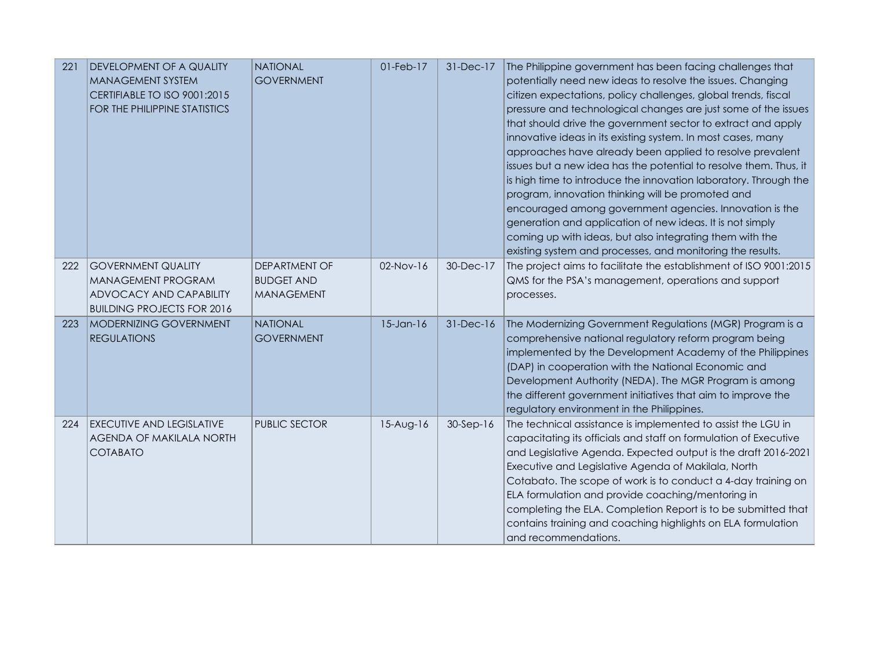| 221 | <b>DEVELOPMENT OF A QUALITY</b><br><b>MANAGEMENT SYSTEM</b><br>CERTIFIABLE TO ISO 9001:2015<br>FOR THE PHILIPPINE STATISTICS | <b>NATIONAL</b><br><b>GOVERNMENT</b>                           | 01-Feb-17       | 31-Dec-17 | The Philippine government has been facing challenges that<br>potentially need new ideas to resolve the issues. Changing<br>citizen expectations, policy challenges, global trends, fiscal<br>pressure and technological changes are just some of the issues<br>that should drive the government sector to extract and apply<br>innovative ideas in its existing system. In most cases, many<br>approaches have already been applied to resolve prevalent<br>issues but a new idea has the potential to resolve them. Thus, it<br>is high time to introduce the innovation laboratory. Through the<br>program, innovation thinking will be promoted and<br>encouraged among government agencies. Innovation is the<br>generation and application of new ideas. It is not simply<br>coming up with ideas, but also integrating them with the<br>existing system and processes, and monitoring the results. |
|-----|------------------------------------------------------------------------------------------------------------------------------|----------------------------------------------------------------|-----------------|-----------|----------------------------------------------------------------------------------------------------------------------------------------------------------------------------------------------------------------------------------------------------------------------------------------------------------------------------------------------------------------------------------------------------------------------------------------------------------------------------------------------------------------------------------------------------------------------------------------------------------------------------------------------------------------------------------------------------------------------------------------------------------------------------------------------------------------------------------------------------------------------------------------------------------|
| 222 | <b>GOVERNMENT QUALITY</b><br>MANAGEMENT PROGRAM<br>ADVOCACY AND CAPABILITY<br><b>BUILDING PROJECTS FOR 2016</b>              | <b>DEPARTMENT OF</b><br><b>BUDGET AND</b><br><b>MANAGEMENT</b> | 02-Nov-16       | 30-Dec-17 | The project aims to facilitate the establishment of ISO 9001:2015<br>QMS for the PSA's management, operations and support<br>processes.                                                                                                                                                                                                                                                                                                                                                                                                                                                                                                                                                                                                                                                                                                                                                                  |
| 223 | <b>MODERNIZING GOVERNMENT</b><br><b>REGULATIONS</b>                                                                          | <b>NATIONAL</b><br><b>GOVERNMENT</b>                           | $15$ -Jan- $16$ | 31-Dec-16 | The Modernizing Government Regulations (MGR) Program is a<br>comprehensive national regulatory reform program being<br>implemented by the Development Academy of the Philippines<br>(DAP) in cooperation with the National Economic and<br>Development Authority (NEDA). The MGR Program is among<br>the different government initiatives that aim to improve the<br>regulatory environment in the Philippines.                                                                                                                                                                                                                                                                                                                                                                                                                                                                                          |
| 224 | <b>EXECUTIVE AND LEGISLATIVE</b><br>AGENDA OF MAKILALA NORTH<br><b>COTABATO</b>                                              | <b>PUBLIC SECTOR</b>                                           | $15-Aug-16$     | 30-Sep-16 | The technical assistance is implemented to assist the LGU in<br>capacitating its officials and staff on formulation of Executive<br>and Legislative Agenda. Expected output is the draft 2016-2021<br>Executive and Legislative Agenda of Makilala, North<br>Cotabato. The scope of work is to conduct a 4-day training on<br>ELA formulation and provide coaching/mentoring in<br>completing the ELA. Completion Report is to be submitted that<br>contains training and coaching highlights on ELA formulation<br>and recommendations.                                                                                                                                                                                                                                                                                                                                                                 |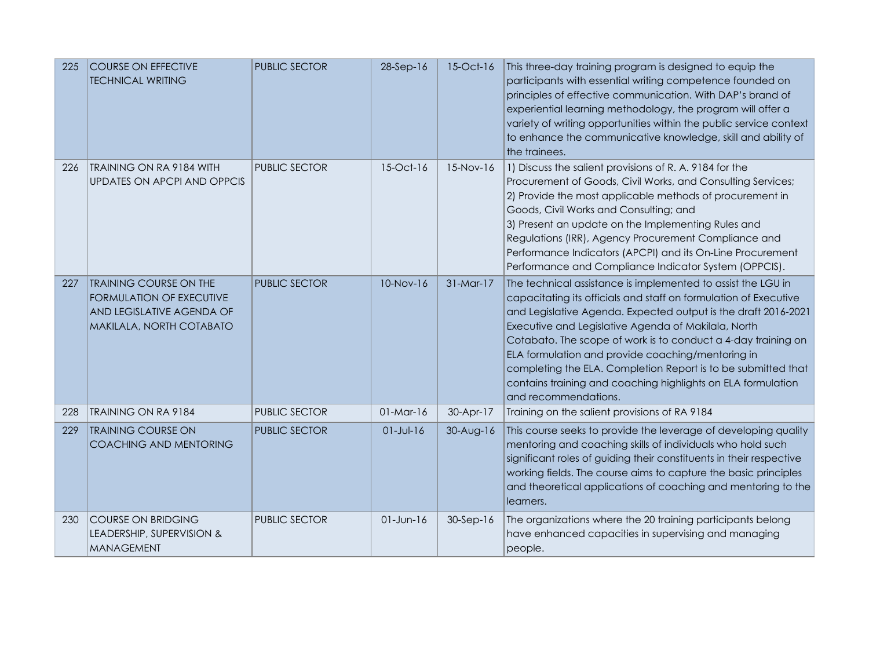| 225 | <b>COURSE ON EFFECTIVE</b><br><b>TECHNICAL WRITING</b>                                                                    | <b>PUBLIC SECTOR</b> | 28-Sep-16       | 15-Oct-16   | This three-day training program is designed to equip the<br>participants with essential writing competence founded on<br>principles of effective communication. With DAP's brand of<br>experiential learning methodology, the program will offer a<br>variety of writing opportunities within the public service context<br>to enhance the communicative knowledge, skill and ability of<br>the trainees.                                                                                                                                |
|-----|---------------------------------------------------------------------------------------------------------------------------|----------------------|-----------------|-------------|------------------------------------------------------------------------------------------------------------------------------------------------------------------------------------------------------------------------------------------------------------------------------------------------------------------------------------------------------------------------------------------------------------------------------------------------------------------------------------------------------------------------------------------|
| 226 | <b>TRAINING ON RA 9184 WITH</b><br><b>UPDATES ON APCPI AND OPPCIS</b>                                                     | <b>PUBLIC SECTOR</b> | 15-Oct-16       | 15-Nov-16   | 1) Discuss the salient provisions of R. A. 9184 for the<br>Procurement of Goods, Civil Works, and Consulting Services;<br>2) Provide the most applicable methods of procurement in<br>Goods, Civil Works and Consulting; and<br>3) Present an update on the Implementing Rules and<br>Regulations (IRR), Agency Procurement Compliance and<br>Performance Indicators (APCPI) and its On-Line Procurement<br>Performance and Compliance Indicator System (OPPCIS).                                                                        |
| 227 | <b>TRAINING COURSE ON THE</b><br><b>FORMULATION OF EXECUTIVE</b><br>AND LEGISLATIVE AGENDA OF<br>MAKILALA, NORTH COTABATO | <b>PUBLIC SECTOR</b> | $10-Nov-16$     | $31-Mar-17$ | The technical assistance is implemented to assist the LGU in<br>capacitating its officials and staff on formulation of Executive<br>and Legislative Agenda. Expected output is the draft 2016-2021<br>Executive and Legislative Agenda of Makilala, North<br>Cotabato. The scope of work is to conduct a 4-day training on<br>ELA formulation and provide coaching/mentoring in<br>completing the ELA. Completion Report is to be submitted that<br>contains training and coaching highlights on ELA formulation<br>and recommendations. |
| 228 | <b>TRAINING ON RA 9184</b>                                                                                                | PUBLIC SECTOR        | $01-Mar-16$     | 30-Apr-17   | Training on the salient provisions of RA 9184                                                                                                                                                                                                                                                                                                                                                                                                                                                                                            |
| 229 | <b>TRAINING COURSE ON</b><br>COACHING AND MENTORING                                                                       | <b>PUBLIC SECTOR</b> | $01$ -Jul-16    | 30-Aug-16   | This course seeks to provide the leverage of developing quality<br>mentoring and coaching skills of individuals who hold such<br>significant roles of guiding their constituents in their respective<br>working fields. The course aims to capture the basic principles<br>and theoretical applications of coaching and mentoring to the<br>learners.                                                                                                                                                                                    |
| 230 | COURSE ON BRIDGING<br>LEADERSHIP, SUPERVISION &<br><b>MANAGEMENT</b>                                                      | <b>PUBLIC SECTOR</b> | $01$ -Jun- $16$ | $30-Sep-16$ | The organizations where the 20 training participants belong<br>have enhanced capacities in supervising and managing<br>people.                                                                                                                                                                                                                                                                                                                                                                                                           |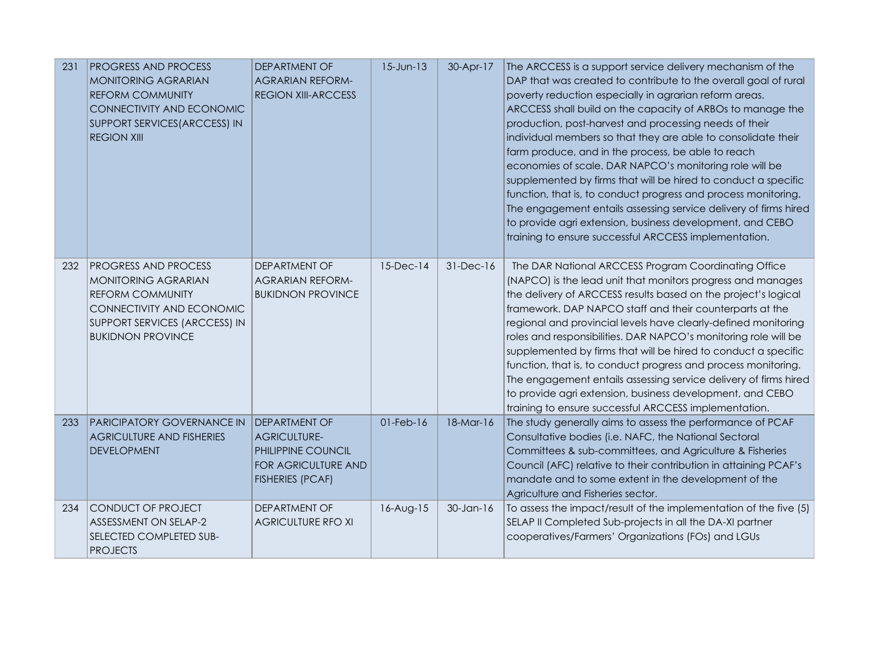| 231 | <b>PROGRESS AND PROCESS</b><br><b>MONITORING AGRARIAN</b><br><b>REFORM COMMUNITY</b><br>CONNECTIVITY AND ECONOMIC<br>SUPPORT SERVICES (ARCCESS) IN<br><b>REGION XIII</b> | DEPARTMENT OF<br><b>AGRARIAN REFORM-</b><br><b>REGION XIII-ARCCESS</b>                                              | $15$ -Jun- $13$ | 30-Apr-17    | The ARCCESS is a support service delivery mechanism of the<br>DAP that was created to contribute to the overall goal of rural<br>poverty reduction especially in agrarian reform areas.<br>ARCCESS shall build on the capacity of ARBOs to manage the<br>production, post-harvest and processing needs of their<br>individual members so that they are able to consolidate their<br>farm produce, and in the process, be able to reach<br>economies of scale. DAR NAPCO's monitoring role will be<br>supplemented by firms that will be hired to conduct a specific<br>function, that is, to conduct progress and process monitoring.<br>The engagement entails assessing service delivery of firms hired<br>to provide agri extension, business development, and CEBO<br>training to ensure successful ARCCESS implementation. |
|-----|--------------------------------------------------------------------------------------------------------------------------------------------------------------------------|---------------------------------------------------------------------------------------------------------------------|-----------------|--------------|---------------------------------------------------------------------------------------------------------------------------------------------------------------------------------------------------------------------------------------------------------------------------------------------------------------------------------------------------------------------------------------------------------------------------------------------------------------------------------------------------------------------------------------------------------------------------------------------------------------------------------------------------------------------------------------------------------------------------------------------------------------------------------------------------------------------------------|
| 232 | PROGRESS AND PROCESS<br>MONITORING AGRARIAN<br><b>REFORM COMMUNITY</b><br>CONNECTIVITY AND ECONOMIC<br>SUPPORT SERVICES (ARCCESS) IN<br><b>BUKIDNON PROVINCE</b>         | <b>DEPARTMENT OF</b><br><b>AGRARIAN REFORM-</b><br><b>BUKIDNON PROVINCE</b>                                         | $15$ -Dec-14    | 31-Dec-16    | The DAR National ARCCESS Program Coordinating Office<br>(NAPCO) is the lead unit that monitors progress and manages<br>the delivery of ARCCESS results based on the project's logical<br>framework. DAP NAPCO staff and their counterparts at the<br>regional and provincial levels have clearly-defined monitoring<br>roles and responsibilities. DAR NAPCO's monitoring role will be<br>supplemented by firms that will be hired to conduct a specific<br>function, that is, to conduct progress and process monitoring.<br>The engagement entails assessing service delivery of firms hired<br>to provide agri extension, business development, and CEBO<br>training to ensure successful ARCCESS implementation.                                                                                                            |
| 233 | PARICIPATORY GOVERNANCE IN<br><b>AGRICULTURE AND FISHERIES</b><br><b>DEVELOPMENT</b>                                                                                     | <b>DEPARTMENT OF</b><br><b>AGRICULTURE-</b><br>PHILIPPINE COUNCIL<br>FOR AGRICULTURE AND<br><b>FISHERIES (PCAF)</b> | $01$ -Feb- $16$ | 18-Mar-16    | The study generally aims to assess the performance of PCAF<br>Consultative bodies (i.e. NAFC, the National Sectoral<br>Committees & sub-committees, and Agriculture & Fisheries<br>Council (AFC) relative to their contribution in attaining PCAF's<br>mandate and to some extent in the development of the<br>Agriculture and Fisheries sector.                                                                                                                                                                                                                                                                                                                                                                                                                                                                                |
| 234 | CONDUCT OF PROJECT<br>ASSESSMENT ON SELAP-2<br>SELECTED COMPLETED SUB-<br><b>PROJECTS</b>                                                                                | DEPARTMENT OF<br><b>AGRICULTURE RFO XI</b>                                                                          | 16-Aug-15       | $30$ -Jan-16 | To assess the impact/result of the implementation of the five (5)<br>SELAP II Completed Sub-projects in all the DA-XI partner<br>cooperatives/Farmers' Organizations (FOs) and LGUs                                                                                                                                                                                                                                                                                                                                                                                                                                                                                                                                                                                                                                             |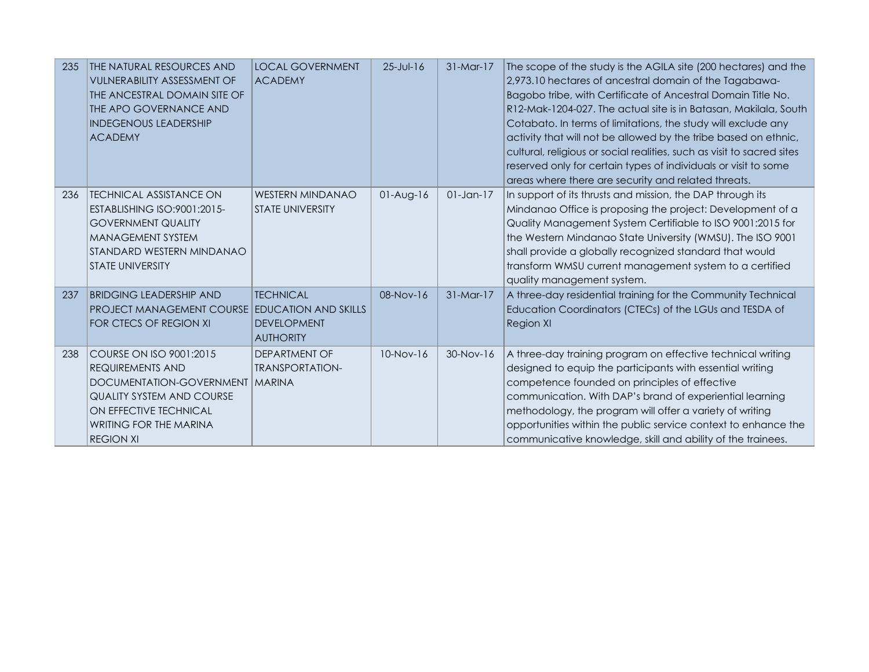| 235 | THE NATURAL RESOURCES AND<br><b>VULNERABILITY ASSESSMENT OF</b><br>THE ANCESTRAL DOMAIN SITE OF<br>THE APO GOVERNANCE AND<br><b>INDEGENOUS LEADERSHIP</b><br><b>ACADEMY</b>                | <b>LOCAL GOVERNMENT</b><br><b>ACADEMY</b>                                                 | $25 - Jul - 16$ | $31-Mar-17$  | The scope of the study is the AGILA site (200 hectares) and the<br>2,973.10 hectares of ancestral domain of the Tagabawa-<br>Bagobo tribe, with Certificate of Ancestral Domain Title No.<br>R12-Mak-1204-027. The actual site is in Batasan, Makilala, South<br>Cotabato. In terms of limitations, the study will exclude any<br>activity that will not be allowed by the tribe based on ethnic,<br>cultural, religious or social realities, such as visit to sacred sites<br>reserved only for certain types of individuals or visit to some<br>areas where there are security and related threats. |
|-----|--------------------------------------------------------------------------------------------------------------------------------------------------------------------------------------------|-------------------------------------------------------------------------------------------|-----------------|--------------|-------------------------------------------------------------------------------------------------------------------------------------------------------------------------------------------------------------------------------------------------------------------------------------------------------------------------------------------------------------------------------------------------------------------------------------------------------------------------------------------------------------------------------------------------------------------------------------------------------|
| 236 | <b>TECHNICAL ASSISTANCE ON</b><br>ESTABLISHING ISO:9001:2015-<br><b>GOVERNMENT QUALITY</b><br><b>MANAGEMENT SYSTEM</b><br>STANDARD WESTERN MINDANAO<br><b>STATE UNIVERSITY</b>             | <b>WESTERN MINDANAO</b><br><b>STATE UNIVERSITY</b>                                        | $01-Auq-16$     | $01$ -Jan-17 | In support of its thrusts and mission, the DAP through its<br>Mindanao Office is proposing the project: Development of a<br>Quality Management System Certifiable to ISO 9001:2015 for<br>the Western Mindanao State University (WMSU). The ISO 9001<br>shall provide a globally recognized standard that would<br>transform WMSU current management system to a certified<br>quality management system.                                                                                                                                                                                              |
| 237 | <b>BRIDGING LEADERSHIP AND</b><br>PROJECT MANAGEMENT COURSE<br>FOR CTECS OF REGION XI                                                                                                      | <b>TECHNICAL</b><br><b>EDUCATION AND SKILLS</b><br><b>DEVELOPMENT</b><br><b>AUTHORITY</b> | $08-Nov-16$     | $31-Mar-17$  | A three-day residential training for the Community Technical<br>Education Coordinators (CTECs) of the LGUs and TESDA of<br><b>Region XI</b>                                                                                                                                                                                                                                                                                                                                                                                                                                                           |
| 238 | COURSE ON ISO 9001:2015<br>REQUIREMENTS AND<br>DOCUMENTATION-GOVERNMENT<br><b>QUALITY SYSTEM AND COURSE</b><br>ON EFFECTIVE TECHNICAL<br><b>WRITING FOR THE MARINA</b><br><b>REGION XI</b> | DEPARTMENT OF<br><b>TRANSPORTATION-</b><br><b>MARINA</b>                                  | 10-Nov-16       | 30-Nov-16    | A three-day training program on effective technical writing<br>designed to equip the participants with essential writing<br>competence founded on principles of effective<br>communication. With DAP's brand of experiential learning<br>methodology, the program will offer a variety of writing<br>opportunities within the public service context to enhance the<br>communicative knowledge, skill and ability of the trainees.                                                                                                                                                                    |